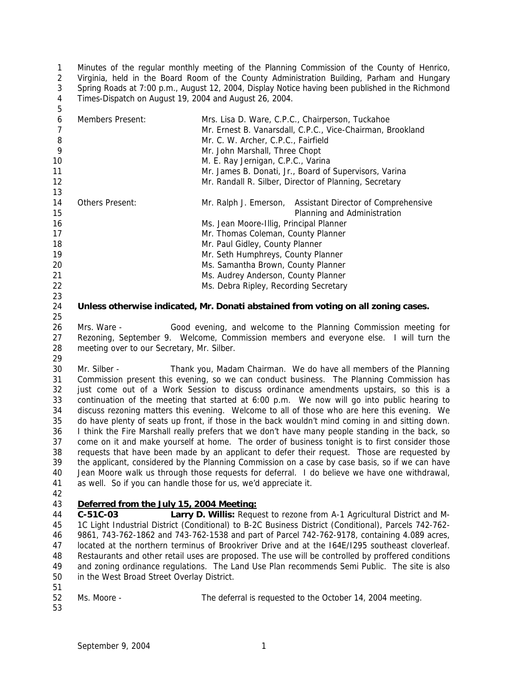Minutes of the regular monthly meeting of the Planning Commission of the County of Henrico, Virginia, held in the Board Room of the County Administration Building, Parham and Hungary Spring Roads at 7:00 p.m., August 12, 2004, Display Notice having been published in the Richmond Times-Dispatch on August 19, 2004 and August 26, 2004. 

| 6<br>8 | Members Present: | Mrs. Lisa D. Ware, C.P.C., Chairperson, Tuckahoe<br>Mr. Ernest B. Vanarsdall, C.P.C., Vice-Chairman, Brookland<br>Mr. C. W. Archer, C.P.C., Fairfield |
|--------|------------------|-------------------------------------------------------------------------------------------------------------------------------------------------------|
| 9      |                  | Mr. John Marshall, Three Chopt                                                                                                                        |
| 10     |                  | M. E. Ray Jernigan, C.P.C., Varina                                                                                                                    |
| 11     |                  | Mr. James B. Donati, Jr., Board of Supervisors, Varina                                                                                                |
| 12     |                  | Mr. Randall R. Silber, Director of Planning, Secretary                                                                                                |
| 13     |                  |                                                                                                                                                       |
| 14     | Others Present:  | Mr. Ralph J. Emerson, Assistant Director of Comprehensive                                                                                             |
| 15     |                  | Planning and Administration                                                                                                                           |
| 16     |                  | Ms. Jean Moore-Illig, Principal Planner                                                                                                               |
| 17     |                  | Mr. Thomas Coleman, County Planner                                                                                                                    |
| 18     |                  | Mr. Paul Gidley, County Planner                                                                                                                       |
| 19     |                  | Mr. Seth Humphreys, County Planner                                                                                                                    |
| 20     |                  | Ms. Samantha Brown, County Planner                                                                                                                    |
| 21     |                  | Ms. Audrey Anderson, County Planner                                                                                                                   |
| 22     |                  | Ms. Debra Ripley, Recording Secretary                                                                                                                 |
| 23     |                  |                                                                                                                                                       |

### **Unless otherwise indicated, Mr. Donati abstained from voting on all zoning cases.**

 Mrs. Ware - Good evening, and welcome to the Planning Commission meeting for Rezoning, September 9. Welcome, Commission members and everyone else. I will turn the meeting over to our Secretary, Mr. Silber.

 Mr. Silber - Thank you, Madam Chairman. We do have all members of the Planning Commission present this evening, so we can conduct business. The Planning Commission has just come out of a Work Session to discuss ordinance amendments upstairs, so this is a continuation of the meeting that started at 6:00 p.m. We now will go into public hearing to discuss rezoning matters this evening. Welcome to all of those who are here this evening. We do have plenty of seats up front, if those in the back wouldn't mind coming in and sitting down. I think the Fire Marshall really prefers that we don't have many people standing in the back, so come on it and make yourself at home. The order of business tonight is to first consider those requests that have been made by an applicant to defer their request. Those are requested by the applicant, considered by the Planning Commission on a case by case basis, so if we can have Jean Moore walk us through those requests for deferral. I do believe we have one withdrawal, as well. So if you can handle those for us, we'd appreciate it.

# *Deferred from the July 15, 2004 Meeting:*

 **C-51C-03 Larry D. Willis:** Request to rezone from A-1 Agricultural District and M- 1C Light Industrial District (Conditional) to B-2C Business District (Conditional), Parcels 742-762- 9861, 743-762-1862 and 743-762-1538 and part of Parcel 742-762-9178, containing 4.089 acres, located at the northern terminus of Brookriver Drive and at the I64E/I295 southeast cloverleaf. Restaurants and other retail uses are proposed. The use will be controlled by proffered conditions and zoning ordinance regulations. The Land Use Plan recommends Semi Public. The site is also in the West Broad Street Overlay District.

Ms. Moore - The deferral is requested to the October 14, 2004 meeting.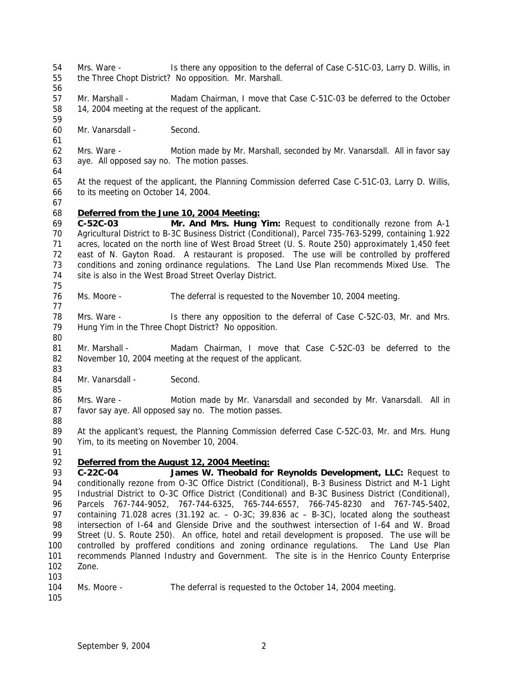- Mrs. Ware Is there any opposition to the deferral of Case C-51C-03, Larry D. Willis, in the Three Chopt District? No opposition. Mr. Marshall.
- 
- Mr. Marshall Madam Chairman, I move that Case C-51C-03 be deferred to the October 14, 2004 meeting at the request of the applicant.
- Mr. Vanarsdall Second.
- Mrs. Ware Motion made by Mr. Marshall, seconded by Mr. Vanarsdall. All in favor say aye. All opposed say no. The motion passes.
- 

- At the request of the applicant, the Planning Commission deferred Case C-51C-03, Larry D. Willis, to its meeting on October 14, 2004.
- 

# *Deferred from the June 10, 2004 Meeting:*

 **C-52C-03 Mr. And Mrs. Hung Yim:** Request to conditionally rezone from A-1 Agricultural District to B-3C Business District (Conditional), Parcel 735-763-5299, containing 1.922 acres, located on the north line of West Broad Street (U. S. Route 250) approximately 1,450 feet east of N. Gayton Road. A restaurant is proposed. The use will be controlled by proffered conditions and zoning ordinance regulations. The Land Use Plan recommends Mixed Use. The site is also in the West Broad Street Overlay District. 

- Ms. Moore The deferral is requested to the November 10, 2004 meeting.
- 78 Mrs. Ware Is there any opposition to the deferral of Case C-52C-03, Mr. and Mrs. Hung Yim in the Three Chopt District? No opposition.
- 81 Mr. Marshall Madam Chairman, I move that Case C-52C-03 be deferred to the November 10, 2004 meeting at the request of the applicant.
- 84 Mr. Vanarsdall Second.
- Mrs. Ware Motion made by Mr. Vanarsdall and seconded by Mr. Vanarsdall. All in favor say aye. All opposed say no. The motion passes.
- 

 At the applicant's request, the Planning Commission deferred Case C-52C-03, Mr. and Mrs. Hung Yim, to its meeting on November 10, 2004.

# *Deferred from the August 12, 2004 Meeting:*

 **C-22C-04 James W. Theobald for Reynolds Development, LLC:** Request to 94 conditionally rezone from O-3C Office District (Conditional), B-3 Business District and M-1 Light Industrial District to O-3C Office District (Conditional) and B-3C Business District (Conditional), Parcels 767-744-9052, 767-744-6325, 765-744-6557, 766-745-8230 and 767-745-5402, containing 71.028 acres (31.192 ac. – O-3C; 39.836 ac – B-3C), located along the southeast intersection of I-64 and Glenside Drive and the southwest intersection of I-64 and W. Broad Street (U. S. Route 250). An office, hotel and retail development is proposed. The use will be controlled by proffered conditions and zoning ordinance regulations. The Land Use Plan recommends Planned Industry and Government. The site is in the Henrico County Enterprise Zone. 

- Ms. Moore The deferral is requested to the October 14, 2004 meeting.
-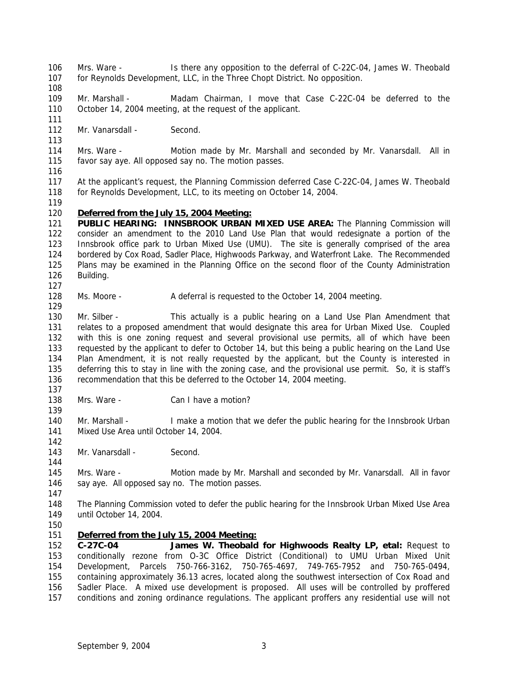- Mrs. Ware Is there any opposition to the deferral of C-22C-04, James W. Theobald for Reynolds Development, LLC, in the Three Chopt District. No opposition.
- 

 Mr. Marshall - Madam Chairman, I move that Case C-22C-04 be deferred to the October 14, 2004 meeting, at the request of the applicant.

- 112 Mr. Vanarsdall Second.
- Mrs. Ware Motion made by Mr. Marshall and seconded by Mr. Vanarsdall. All in favor say aye. All opposed say no. The motion passes.
- 

 At the applicant's request, the Planning Commission deferred Case C-22C-04, James W. Theobald for Reynolds Development, LLC, to its meeting on October 14, 2004.

## *Deferred from the July 15, 2004 Meeting:*

**PUBLIC HEARING: INNSBROOK URBAN MIXED USE AREA:** The Planning Commission will consider an amendment to the 2010 Land Use Plan that would redesignate a portion of the Innsbrook office park to Urban Mixed Use (UMU). The site is generally comprised of the area bordered by Cox Road, Sadler Place, Highwoods Parkway, and Waterfront Lake. The Recommended Plans may be examined in the Planning Office on the second floor of the County Administration Building.

Ms. Moore - A deferral is requested to the October 14, 2004 meeting.

130 Mr. Silber - This actually is a public hearing on a Land Use Plan Amendment that relates to a proposed amendment that would designate this area for Urban Mixed Use. Coupled with this is one zoning request and several provisional use permits, all of which have been requested by the applicant to defer to October 14, but this being a public hearing on the Land Use Plan Amendment, it is not really requested by the applicant, but the County is interested in deferring this to stay in line with the zoning case, and the provisional use permit. So, it is staff's recommendation that this be deferred to the October 14, 2004 meeting.

- 138 Mrs. Ware Can I have a motion?
- Mr. Marshall I make a motion that we defer the public hearing for the Innsbrook Urban Mixed Use Area until October 14, 2004.
- 143 Mr. Vanarsdall Second.

 Mrs. Ware - Motion made by Mr. Marshall and seconded by Mr. Vanarsdall. All in favor 146 say aye. All opposed say no. The motion passes.

- The Planning Commission voted to defer the public hearing for the Innsbrook Urban Mixed Use Area until October 14, 2004.
- 

# *Deferred from the July 15, 2004 Meeting:*

 **C-27C-04 James W. Theobald for Highwoods Realty LP, etal:** Request to conditionally rezone from O-3C Office District (Conditional) to UMU Urban Mixed Unit Development, Parcels 750-766-3162, 750-765-4697, 749-765-7952 and 750-765-0494, containing approximately 36.13 acres, located along the southwest intersection of Cox Road and Sadler Place. A mixed use development is proposed. All uses will be controlled by proffered conditions and zoning ordinance regulations. The applicant proffers any residential use will not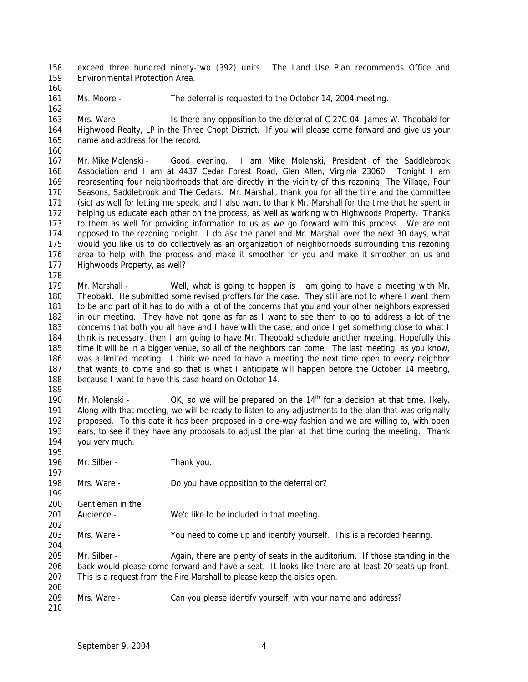exceed three hundred ninety-two (392) units. The Land Use Plan recommends Office and Environmental Protection Area.

Ms. Moore - The deferral is requested to the October 14, 2004 meeting.

 Mrs. Ware - Is there any opposition to the deferral of C-27C-04, James W. Theobald for Highwood Realty, LP in the Three Chopt District. If you will please come forward and give us your name and address for the record.

 Mr. Mike Molenski - Good evening. I am Mike Molenski, President of the Saddlebrook Association and I am at 4437 Cedar Forest Road, Glen Allen, Virginia 23060. Tonight I am representing four neighborhoods that are directly in the vicinity of this rezoning, The Village, Four Seasons, Saddlebrook and The Cedars. Mr. Marshall, thank you for all the time and the committee (sic) as well for letting me speak, and I also want to thank Mr. Marshall for the time that he spent in helping us educate each other on the process, as well as working with Highwoods Property. Thanks to them as well for providing information to us as we go forward with this process. We are not opposed to the rezoning tonight. I do ask the panel and Mr. Marshall over the next 30 days, what would you like us to do collectively as an organization of neighborhoods surrounding this rezoning area to help with the process and make it smoother for you and make it smoother on us and Highwoods Property, as well?

 Mr. Marshall - Well, what is going to happen is I am going to have a meeting with Mr. Theobald. He submitted some revised proffers for the case. They still are not to where I want them to be and part of it has to do with a lot of the concerns that you and your other neighbors expressed in our meeting. They have not gone as far as I want to see them to go to address a lot of the concerns that both you all have and I have with the case, and once I get something close to what I think is necessary, then I am going to have Mr. Theobald schedule another meeting. Hopefully this time it will be in a bigger venue, so all of the neighbors can come. The last meeting, as you know, was a limited meeting. I think we need to have a meeting the next time open to every neighbor 187 that wants to come and so that is what I anticipate will happen before the October 14 meeting, because I want to have this case heard on October 14.

190 Mr. Molenski -  $OK$ , so we will be prepared on the  $14<sup>th</sup>$  for a decision at that time, likely. Along with that meeting, we will be ready to listen to any adjustments to the plan that was originally proposed. To this date it has been proposed in a one-way fashion and we are willing to, with open ears, to see if they have any proposals to adjust the plan at that time during the meeting. Thank you very much.

196 Mr. Silber - Thank you.

Mrs. Ware - Do you have opposition to the deferral or?

 Gentleman in the

- Audience We'd like to be included in that meeting.
- Mrs. Ware You need to come up and identify yourself. This is a recorded hearing.

205 Mr. Silber - Again, there are plenty of seats in the auditorium. If those standing in the back would please come forward and have a seat. It looks like there are at least 20 seats up front. This is a request from the Fire Marshall to please keep the aisles open. 

- Mrs. Ware Can you please identify yourself, with your name and address?
-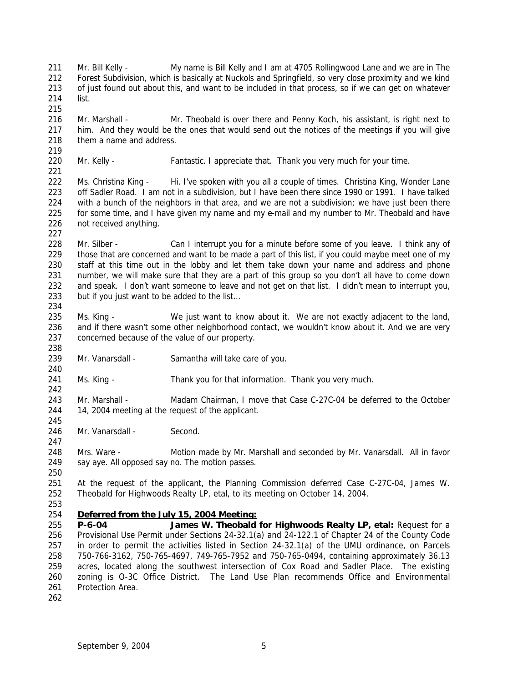Mr. Bill Kelly - My name is Bill Kelly and I am at 4705 Rollingwood Lane and we are in The Forest Subdivision, which is basically at Nuckols and Springfield, so very close proximity and we kind of just found out about this, and want to be included in that process, so if we can get on whatever list. 216 Mr. Marshall - Mr. Theobald is over there and Penny Koch, his assistant, is right next to him. And they would be the ones that would send out the notices of the meetings if you will give 218 them a name and address. 220 Mr. Kelly - Fantastic. I appreciate that. Thank you very much for your time. 222 Ms. Christina King - Hi. I've spoken with you all a couple of times. Christina King, Wonder Lane off Sadler Road. I am not in a subdivision, but I have been there since 1990 or 1991. I have talked with a bunch of the neighbors in that area, and we are not a subdivision; we have just been there for some time, and I have given my name and my e-mail and my number to Mr. Theobald and have not received anything. 228 Mr. Silber - Can I interrupt you for a minute before some of you leave. I think any of those that are concerned and want to be made a part of this list, if you could maybe meet one of my staff at this time out in the lobby and let them take down your name and address and phone number, we will make sure that they are a part of this group so you don't all have to come down and speak. I don't want someone to leave and not get on that list. I didn't mean to interrupt you, but if you just want to be added to the list… 235 Ms. King - We just want to know about it. We are not exactly adjacent to the land, and if there wasn't some other neighborhood contact, we wouldn't know about it. And we are very concerned because of the value of our property. Mr. Vanarsdall - Samantha will take care of you. Ms. King - Thank you for that information. Thank you very much. Mr. Marshall - Madam Chairman, I move that Case C-27C-04 be deferred to the October 14, 2004 meeting at the request of the applicant. 246 Mr. Vanarsdall - Second. Mrs. Ware - Motion made by Mr. Marshall and seconded by Mr. Vanarsdall. All in favor 249 say aye. All opposed say no. The motion passes. At the request of the applicant, the Planning Commission deferred Case C-27C-04, James W. Theobald for Highwoods Realty LP, etal, to its meeting on October 14, 2004. *Deferred from the July 15, 2004 Meeting:* **P-6-04 James W. Theobald for Highwoods Realty LP, etal:** Request for a Provisional Use Permit under Sections 24-32.1(a) and 24-122.1 of Chapter 24 of the County Code in order to permit the activities listed in Section 24-32.1(a) of the UMU ordinance, on Parcels 750-766-3162, 750-765-4697, 749-765-7952 and 750-765-0494, containing approximately 36.13 acres, located along the southwest intersection of Cox Road and Sadler Place. The existing zoning is O-3C Office District. The Land Use Plan recommends Office and Environmental Protection Area.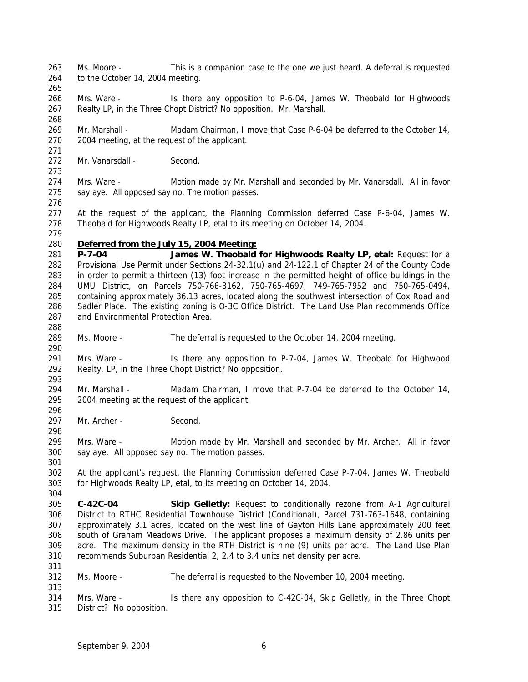Ms. Moore - This is a companion case to the one we just heard. A deferral is requested 264 to the October 14, 2004 meeting.

- Mrs. Ware Is there any opposition to P-6-04, James W. Theobald for Highwoods Realty LP, in the Three Chopt District? No opposition. Mr. Marshall.
- Mr. Marshall Madam Chairman, I move that Case P-6-04 be deferred to the October 14, 2004 meeting, at the request of the applicant.
- 272 Mr. Vanarsdall - Second.
- Mrs. Ware Motion made by Mr. Marshall and seconded by Mr. Vanarsdall. All in favor say aye. All opposed say no. The motion passes.
- 

 At the request of the applicant, the Planning Commission deferred Case P-6-04, James W. Theobald for Highwoods Realty LP, etal to its meeting on October 14, 2004.

#### *Deferred from the July 15, 2004 Meeting:*

 **P-7-04 James W. Theobald for Highwoods Realty LP, etal:** Request for a Provisional Use Permit under Sections 24-32.1(u) and 24-122.1 of Chapter 24 of the County Code in order to permit a thirteen (13) foot increase in the permitted height of office buildings in the UMU District, on Parcels 750-766-3162, 750-765-4697, 749-765-7952 and 750-765-0494, containing approximately 36.13 acres, located along the southwest intersection of Cox Road and Sadler Place. The existing zoning is O-3C Office District. The Land Use Plan recommends Office and Environmental Protection Area.

Ms. Moore - The deferral is requested to the October 14, 2004 meeting.

 Mrs. Ware - Is there any opposition to P-7-04, James W. Theobald for Highwood Realty, LP, in the Three Chopt District? No opposition.

- Mr. Marshall Madam Chairman, I move that P-7-04 be deferred to the October 14, 2004 meeting at the request of the applicant.
- 297 Mr. Archer Second.
- Mrs. Ware Motion made by Mr. Marshall and seconded by Mr. Archer. All in favor say aye. All opposed say no. The motion passes.
- At the applicant's request, the Planning Commission deferred Case P-7-04, James W. Theobald for Highwoods Realty LP, etal, to its meeting on October 14, 2004.
- **C-42C-04 Skip Gelletly:** Request to conditionally rezone from A-1 Agricultural District to RTHC Residential Townhouse District (Conditional), Parcel 731-763-1648, containing approximately 3.1 acres, located on the west line of Gayton Hills Lane approximately 200 feet south of Graham Meadows Drive. The applicant proposes a maximum density of 2.86 units per acre. The maximum density in the RTH District is nine (9) units per acre. The Land Use Plan recommends Suburban Residential 2, 2.4 to 3.4 units net density per acre.
- Ms. Moore The deferral is requested to the November 10, 2004 meeting.
- Mrs. Ware Is there any opposition to C-42C-04, Skip Gelletly, in the Three Chopt District? No opposition.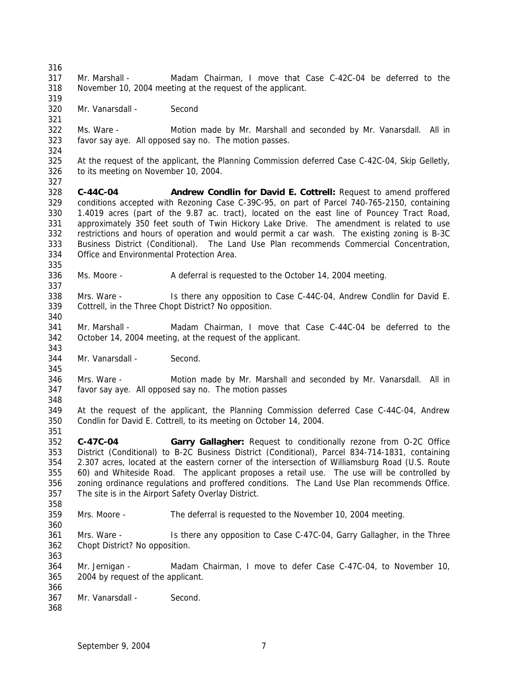Mr. Marshall - Madam Chairman, I move that Case C-42C-04 be deferred to the November 10, 2004 meeting at the request of the applicant. Mr. Vanarsdall - Second Ms. Ware - Motion made by Mr. Marshall and seconded by Mr. Vanarsdall. All in favor say aye. All opposed say no. The motion passes. At the request of the applicant, the Planning Commission deferred Case C-42C-04, Skip Gelletly, to its meeting on November 10, 2004. **C-44C-04 Andrew Condlin for David E. Cottrell:** Request to amend proffered conditions accepted with Rezoning Case C-39C-95, on part of Parcel 740-765-2150, containing 1.4019 acres (part of the 9.87 ac. tract), located on the east line of Pouncey Tract Road, approximately 350 feet south of Twin Hickory Lake Drive. The amendment is related to use restrictions and hours of operation and would permit a car wash. The existing zoning is B-3C Business District (Conditional). The Land Use Plan recommends Commercial Concentration, Office and Environmental Protection Area. Ms. Moore - A deferral is requested to the October 14, 2004 meeting. Mrs. Ware - Is there any opposition to Case C-44C-04, Andrew Condlin for David E. Cottrell, in the Three Chopt District? No opposition. Mr. Marshall - Madam Chairman, I move that Case C-44C-04 be deferred to the October 14, 2004 meeting, at the request of the applicant. Mr. Vanarsdall - Second. Mrs. Ware - Motion made by Mr. Marshall and seconded by Mr. Vanarsdall. All in favor say aye. All opposed say no. The motion passes At the request of the applicant, the Planning Commission deferred Case C-44C-04, Andrew Condlin for David E. Cottrell, to its meeting on October 14, 2004. **C-47C-04 Garry Gallagher:** Request to conditionally rezone from O-2C Office District (Conditional) to B-2C Business District (Conditional), Parcel 834-714-1831, containing 2.307 acres, located at the eastern corner of the intersection of Williamsburg Road (U.S. Route 60) and Whiteside Road. The applicant proposes a retail use. The use will be controlled by zoning ordinance regulations and proffered conditions. The Land Use Plan recommends Office. The site is in the Airport Safety Overlay District. Mrs. Moore - The deferral is requested to the November 10, 2004 meeting. Mrs. Ware - Is there any opposition to Case C-47C-04, Garry Gallagher, in the Three Chopt District? No opposition. Mr. Jernigan - Madam Chairman, I move to defer Case C-47C-04, to November 10, 2004 by request of the applicant. Mr. Vanarsdall - Second.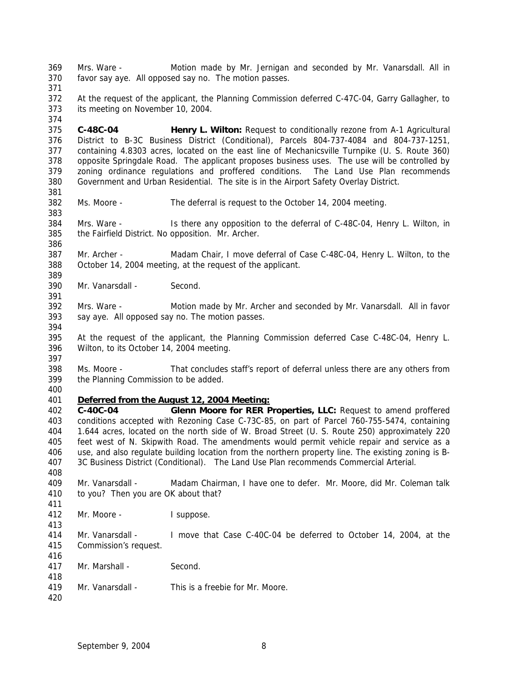Mrs. Ware - Motion made by Mr. Jernigan and seconded by Mr. Vanarsdall. All in favor say aye. All opposed say no. The motion passes. At the request of the applicant, the Planning Commission deferred C-47C-04, Garry Gallagher, to its meeting on November 10, 2004. **C-48C-04 Henry L. Wilton:** Request to conditionally rezone from A-1 Agricultural District to B-3C Business District (Conditional), Parcels 804-737-4084 and 804-737-1251, containing 4.8303 acres, located on the east line of Mechanicsville Turnpike (U. S. Route 360) opposite Springdale Road. The applicant proposes business uses. The use will be controlled by zoning ordinance regulations and proffered conditions. The Land Use Plan recommends Government and Urban Residential. The site is in the Airport Safety Overlay District. Ms. Moore - The deferral is request to the October 14, 2004 meeting. Mrs. Ware - Is there any opposition to the deferral of C-48C-04, Henry L. Wilton, in the Fairfield District. No opposition. Mr. Archer. Mr. Archer - Madam Chair, I move deferral of Case C-48C-04, Henry L. Wilton, to the October 14, 2004 meeting, at the request of the applicant. Mr. Vanarsdall - Second. Mrs. Ware - Motion made by Mr. Archer and seconded by Mr. Vanarsdall. All in favor say aye. All opposed say no. The motion passes. At the request of the applicant, the Planning Commission deferred Case C-48C-04, Henry L. Wilton, to its October 14, 2004 meeting. Ms. Moore - That concludes staff's report of deferral unless there are any others from the Planning Commission to be added. *Deferred from the August 12, 2004 Meeting:* **C-40C-04 Glenn Moore for RER Properties, LLC:** Request to amend proffered conditions accepted with Rezoning Case C-73C-85, on part of Parcel 760-755-5474, containing 1.644 acres, located on the north side of W. Broad Street (U. S. Route 250) approximately 220 feet west of N. Skipwith Road. The amendments would permit vehicle repair and service as a use, and also regulate building location from the northern property line. The existing zoning is B- 3C Business District (Conditional). The Land Use Plan recommends Commercial Arterial. Mr. Vanarsdall - Madam Chairman, I have one to defer. Mr. Moore, did Mr. Coleman talk to you? Then you are OK about that? Mr. Moore - I suppose. Mr. Vanarsdall - I move that Case C-40C-04 be deferred to October 14, 2004, at the Commission's request. Mr. Marshall - Second. Mr. Vanarsdall - This is a freebie for Mr. Moore.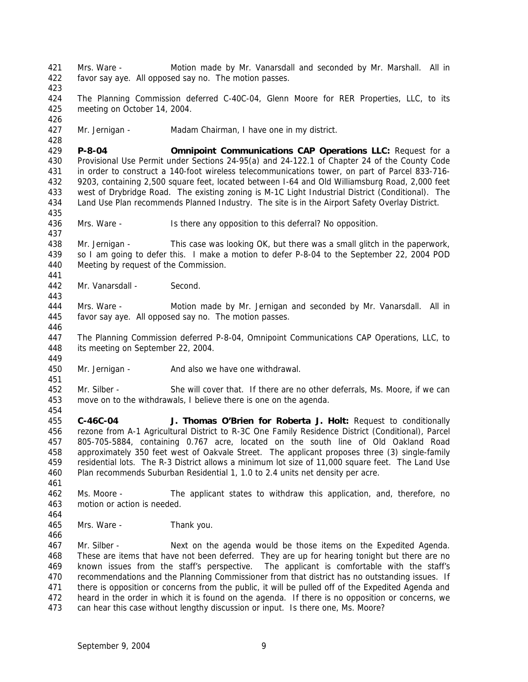Mrs. Ware - Motion made by Mr. Vanarsdall and seconded by Mr. Marshall. All in favor say aye. All opposed say no. The motion passes. The Planning Commission deferred C-40C-04, Glenn Moore for RER Properties, LLC, to its meeting on October 14, 2004. Mr. Jernigan - Madam Chairman, I have one in my district. **P-8-04 Omnipoint Communications CAP Operations LLC:** Request for a Provisional Use Permit under Sections 24-95(a) and 24-122.1 of Chapter 24 of the County Code in order to construct a 140-foot wireless telecommunications tower, on part of Parcel 833-716- 9203, containing 2,500 square feet, located between I-64 and Old Williamsburg Road, 2,000 feet west of Drybridge Road. The existing zoning is M-1C Light Industrial District (Conditional). The Land Use Plan recommends Planned Industry. The site is in the Airport Safety Overlay District. Mrs. Ware - Is there any opposition to this deferral? No opposition. Mr. Jernigan - This case was looking OK, but there was a small glitch in the paperwork, so I am going to defer this. I make a motion to defer P-8-04 to the September 22, 2004 POD Meeting by request of the Commission. Mr. Vanarsdall - Second. Mrs. Ware - Motion made by Mr. Jernigan and seconded by Mr. Vanarsdall. All in favor say aye. All opposed say no. The motion passes. The Planning Commission deferred P-8-04, Omnipoint Communications CAP Operations, LLC, to its meeting on September 22, 2004. 450 Mr. Jernigan - And also we have one withdrawal. Mr. Silber - She will cover that. If there are no other deferrals, Ms. Moore, if we can move on to the withdrawals, I believe there is one on the agenda. **C-46C-04 J. Thomas O'Brien for Roberta J. Holt:** Request to conditionally rezone from A-1 Agricultural District to R-3C One Family Residence District (Conditional), Parcel 805-705-5884, containing 0.767 acre, located on the south line of Old Oakland Road approximately 350 feet west of Oakvale Street. The applicant proposes three (3) single-family residential lots. The R-3 District allows a minimum lot size of 11,000 square feet. The Land Use Plan recommends Suburban Residential 1, 1.0 to 2.4 units net density per acre. Ms. Moore - The applicant states to withdraw this application, and, therefore, no motion or action is needed. Mrs. Ware - Thank you. Mr. Silber - Next on the agenda would be those items on the Expedited Agenda. These are items that have not been deferred. They are up for hearing tonight but there are no known issues from the staff's perspective. The applicant is comfortable with the staff's recommendations and the Planning Commissioner from that district has no outstanding issues. If 471 there is opposition or concerns from the public, it will be pulled off of the Expedited Agenda and heard in the order in which it is found on the agenda. If there is no opposition or concerns, we can hear this case without lengthy discussion or input. Is there one, Ms. Moore?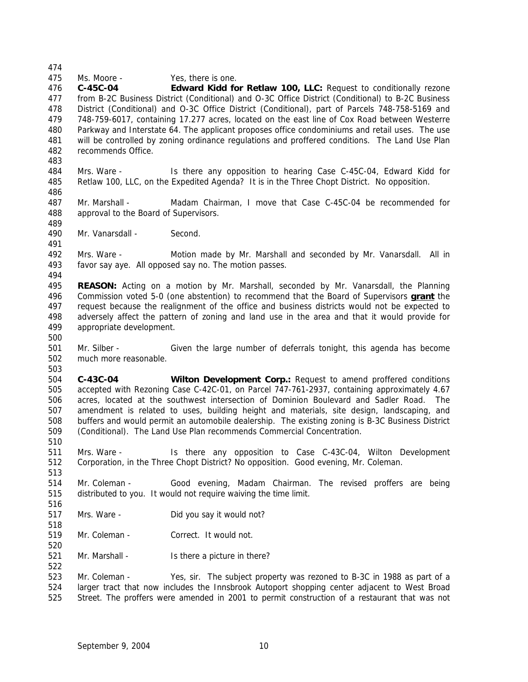Ms. Moore - Yes, there is one.

 **C-45C-04 Edward Kidd for Retlaw 100, LLC:** Request to conditionally rezone from B-2C Business District (Conditional) and O-3C Office District (Conditional) to B-2C Business District (Conditional) and O-3C Office District (Conditional), part of Parcels 748-758-5169 and 748-759-6017, containing 17.277 acres, located on the east line of Cox Road between Westerre Parkway and Interstate 64. The applicant proposes office condominiums and retail uses. The use will be controlled by zoning ordinance regulations and proffered conditions. The Land Use Plan recommends Office.

 Mrs. Ware - Is there any opposition to hearing Case C-45C-04, Edward Kidd for Retlaw 100, LLC, on the Expedited Agenda? It is in the Three Chopt District. No opposition. 

 Mr. Marshall - Madam Chairman, I move that Case C-45C-04 be recommended for approval to the Board of Supervisors.

490 Mr. Vanarsdall - Second.

 Mrs. Ware - Motion made by Mr. Marshall and seconded by Mr. Vanarsdall. All in favor say aye. All opposed say no. The motion passes.

 **REASON:** Acting on a motion by Mr. Marshall, seconded by Mr. Vanarsdall, the Planning Commission voted 5-0 (one abstention) to recommend that the Board of Supervisors **grant** the request because the realignment of the office and business districts would not be expected to adversely affect the pattern of zoning and land use in the area and that it would provide for appropriate development.

 Mr. Silber - Given the large number of deferrals tonight, this agenda has become much more reasonable. 

 **C-43C-04 Wilton Development Corp.:** Request to amend proffered conditions accepted with Rezoning Case C-42C-01, on Parcel 747-761-2937, containing approximately 4.67 acres, located at the southwest intersection of Dominion Boulevard and Sadler Road. The amendment is related to uses, building height and materials, site design, landscaping, and buffers and would permit an automobile dealership. The existing zoning is B-3C Business District (Conditional). The Land Use Plan recommends Commercial Concentration.

 Mrs. Ware - Is there any opposition to Case C-43C-04, Wilton Development Corporation, in the Three Chopt District? No opposition. Good evening, Mr. Coleman.

 Mr. Coleman - Good evening, Madam Chairman. The revised proffers are being distributed to you. It would not require waiving the time limit.

- Mrs. Ware Did you say it would not?
- Mr. Coleman Correct. It would not.
- 521 Mr. Marshall Is there a picture in there?

 Mr. Coleman - Yes, sir. The subject property was rezoned to B-3C in 1988 as part of a larger tract that now includes the Innsbrook Autoport shopping center adjacent to West Broad Street. The proffers were amended in 2001 to permit construction of a restaurant that was not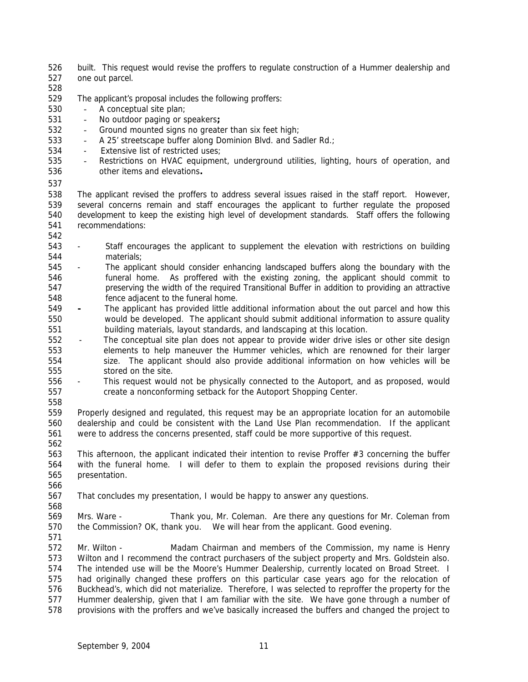- built. This request would revise the proffers to regulate construction of a Hummer dealership and
- one out parcel.
- 

The applicant's proposal includes the following proffers:

- A conceptual site plan;
- No outdoor paging or speakers**;**
- 532 Ground mounted signs no greater than six feet high;
- 533 A 25' streetscape buffer along Dominion Blvd. and Sadler Rd.;
- Extensive list of restricted uses;
- Restrictions on HVAC equipment, underground utilities, lighting, hours of operation, and other items and elevations**.**
- 

 The applicant revised the proffers to address several issues raised in the staff report. However, several concerns remain and staff encourages the applicant to further regulate the proposed development to keep the existing high level of development standards. Staff offers the following recommendations: 

- Staff encourages the applicant to supplement the elevation with restrictions on building materials;
- The applicant should consider enhancing landscaped buffers along the boundary with the funeral home. As proffered with the existing zoning, the applicant should commit to preserving the width of the required Transitional Buffer in addition to providing an attractive fence adjacent to the funeral home.
- **-** The applicant has provided little additional information about the out parcel and how this would be developed. The applicant should submit additional information to assure quality building materials, layout standards, and landscaping at this location.
- The conceptual site plan does not appear to provide wider drive isles or other site design elements to help maneuver the Hummer vehicles, which are renowned for their larger size. The applicant should also provide additional information on how vehicles will be stored on the site.
- This request would not be physically connected to the Autoport, and as proposed, would create a nonconforming setback for the Autoport Shopping Center.
- 

 Properly designed and regulated, this request may be an appropriate location for an automobile dealership and could be consistent with the Land Use Plan recommendation. If the applicant were to address the concerns presented, staff could be more supportive of this request.

 This afternoon, the applicant indicated their intention to revise Proffer #3 concerning the buffer with the funeral home. I will defer to them to explain the proposed revisions during their presentation.

 That concludes my presentation, I would be happy to answer any questions. 

 Mrs. Ware - Thank you, Mr. Coleman. Are there any questions for Mr. Coleman from the Commission? OK, thank you. We will hear from the applicant. Good evening.

 Mr. Wilton - Madam Chairman and members of the Commission, my name is Henry Wilton and I recommend the contract purchasers of the subject property and Mrs. Goldstein also. The intended use will be the Moore's Hummer Dealership, currently located on Broad Street. I had originally changed these proffers on this particular case years ago for the relocation of Buckhead's, which did not materialize. Therefore, I was selected to reproffer the property for the Hummer dealership, given that I am familiar with the site. We have gone through a number of provisions with the proffers and we've basically increased the buffers and changed the project to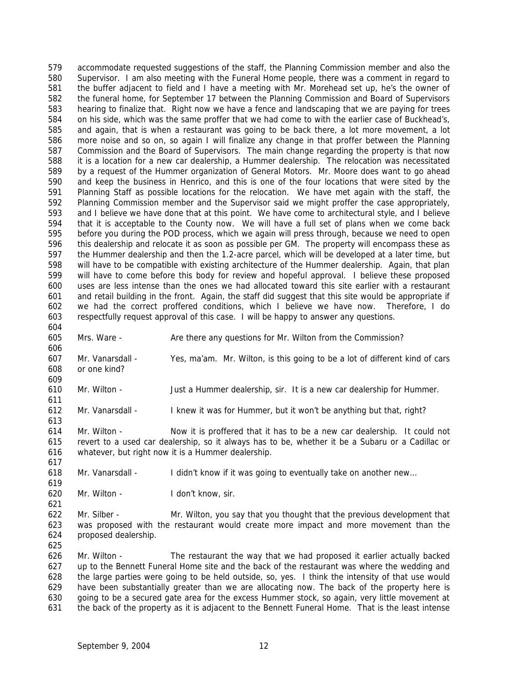accommodate requested suggestions of the staff, the Planning Commission member and also the Supervisor. I am also meeting with the Funeral Home people, there was a comment in regard to the buffer adjacent to field and I have a meeting with Mr. Morehead set up, he's the owner of the funeral home, for September 17 between the Planning Commission and Board of Supervisors hearing to finalize that. Right now we have a fence and landscaping that we are paying for trees on his side, which was the same proffer that we had come to with the earlier case of Buckhead's, and again, that is when a restaurant was going to be back there, a lot more movement, a lot more noise and so on, so again I will finalize any change in that proffer between the Planning Commission and the Board of Supervisors. The main change regarding the property is that now it is a location for a new car dealership, a Hummer dealership. The relocation was necessitated by a request of the Hummer organization of General Motors. Mr. Moore does want to go ahead and keep the business in Henrico, and this is one of the four locations that were sited by the Planning Staff as possible locations for the relocation. We have met again with the staff, the Planning Commission member and the Supervisor said we might proffer the case appropriately, and I believe we have done that at this point. We have come to architectural style, and I believe that it is acceptable to the County now. We will have a full set of plans when we come back before you during the POD process, which we again will press through, because we need to open this dealership and relocate it as soon as possible per GM. The property will encompass these as the Hummer dealership and then the 1.2-acre parcel, which will be developed at a later time, but will have to be compatible with existing architecture of the Hummer dealership. Again, that plan will have to come before this body for review and hopeful approval. I believe these proposed uses are less intense than the ones we had allocated toward this site earlier with a restaurant and retail building in the front. Again, the staff did suggest that this site would be appropriate if we had the correct proffered conditions, which I believe we have now. Therefore, I do respectfully request approval of this case. I will be happy to answer any questions. 

605 Mrs. Ware - Are there any questions for Mr. Wilton from the Commission? 

 Mr. Vanarsdall - Yes, ma'am. Mr. Wilton, is this going to be a lot of different kind of cars or one kind? 

Mr. Wilton - Just a Hummer dealership, sir. It is a new car dealership for Hummer.

Mr. Vanarsdall - I knew it was for Hummer, but it won't be anything but that, right?

 Mr. Wilton - Now it is proffered that it has to be a new car dealership. It could not revert to a used car dealership, so it always has to be, whether it be a Subaru or a Cadillac or whatever, but right now it is a Hummer dealership.

Mr. Vanarsdall - I didn't know if it was going to eventually take on another new…

Mr. Wilton - I don't know, sir.

 Mr. Silber - Mr. Wilton, you say that you thought that the previous development that was proposed with the restaurant would create more impact and more movement than the proposed dealership.

 Mr. Wilton - The restaurant the way that we had proposed it earlier actually backed up to the Bennett Funeral Home site and the back of the restaurant was where the wedding and the large parties were going to be held outside, so, yes. I think the intensity of that use would have been substantially greater than we are allocating now. The back of the property here is going to be a secured gate area for the excess Hummer stock, so again, very little movement at the back of the property as it is adjacent to the Bennett Funeral Home. That is the least intense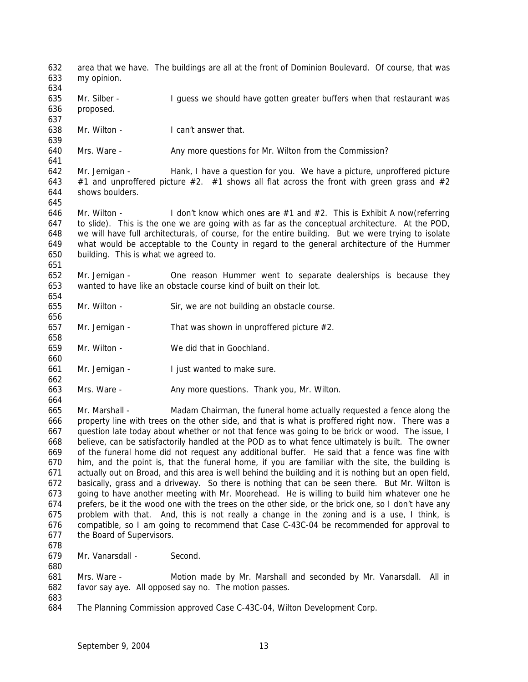area that we have. The buildings are all at the front of Dominion Boulevard. Of course, that was my opinion. 635 Mr. Silber - I guess we should have gotten greater buffers when that restaurant was proposed. Mr. Wilton - I can't answer that. 640 Mrs. Ware - Any more questions for Mr. Wilton from the Commission? Mr. Jernigan - Hank, I have a question for you. We have a picture, unproffered picture 643 #1 and unproffered picture #2. #1 shows all flat across the front with green grass and #2 shows boulders. Mr. Wilton - I don't know which ones are #1 and #2. This is Exhibit A now(referring to slide). This is the one we are going with as far as the conceptual architecture. At the POD, we will have full architecturals, of course, for the entire building. But we were trying to isolate what would be acceptable to the County in regard to the general architecture of the Hummer building. This is what we agreed to. Mr. Jernigan - One reason Hummer went to separate dealerships is because they wanted to have like an obstacle course kind of built on their lot. Mr. Wilton - Sir, we are not building an obstacle course. 657 Mr. Jernigan - That was shown in unproffered picture  $#2$ . Mr. Wilton - We did that in Goochland. Mr. Jernigan - I just wanted to make sure. 663 Mrs. Ware - Any more questions. Thank you, Mr. Wilton. Mr. Marshall - Madam Chairman, the funeral home actually requested a fence along the property line with trees on the other side, and that is what is proffered right now. There was a question late today about whether or not that fence was going to be brick or wood. The issue, I believe, can be satisfactorily handled at the POD as to what fence ultimately is built. The owner of the funeral home did not request any additional buffer. He said that a fence was fine with him, and the point is, that the funeral home, if you are familiar with the site, the building is actually out on Broad, and this area is well behind the building and it is nothing but an open field, basically, grass and a driveway. So there is nothing that can be seen there. But Mr. Wilton is going to have another meeting with Mr. Moorehead. He is willing to build him whatever one he prefers, be it the wood one with the trees on the other side, or the brick one, so I don't have any problem with that. And, this is not really a change in the zoning and is a use, I think, is compatible, so I am going to recommend that Case C-43C-04 be recommended for approval to the Board of Supervisors. Mr. Vanarsdall - Second. Mrs. Ware - Motion made by Mr. Marshall and seconded by Mr. Vanarsdall. All in favor say aye. All opposed say no. The motion passes. The Planning Commission approved Case C-43C-04, Wilton Development Corp.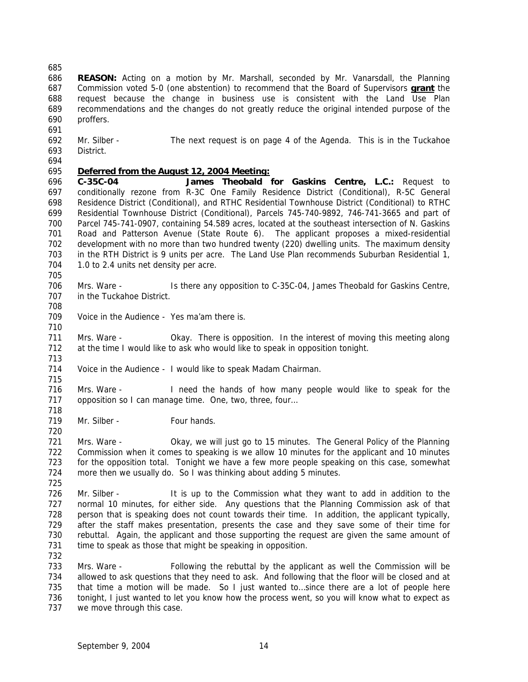- **REASON:** Acting on a motion by Mr. Marshall, seconded by Mr. Vanarsdall, the Planning Commission voted 5-0 (one abstention) to recommend that the Board of Supervisors **grant** the request because the change in business use is consistent with the Land Use Plan recommendations and the changes do not greatly reduce the original intended purpose of the proffers.
- 
- Mr. Silber The next request is on page 4 of the Agenda. This is in the Tuckahoe District.
- 

# *Deferred from the August 12, 2004 Meeting:*

 **C-35C-04 James Theobald for Gaskins Centre, L.C.:** Request to conditionally rezone from R-3C One Family Residence District (Conditional), R-5C General Residence District (Conditional), and RTHC Residential Townhouse District (Conditional) to RTHC Residential Townhouse District (Conditional), Parcels 745-740-9892, 746-741-3665 and part of Parcel 745-741-0907, containing 54.589 acres, located at the southeast intersection of N. Gaskins Road and Patterson Avenue (State Route 6). The applicant proposes a mixed-residential development with no more than two hundred twenty (220) dwelling units. The maximum density in the RTH District is 9 units per acre. The Land Use Plan recommends Suburban Residential 1, 704 1.0 to 2.4 units net density per acre.

 Mrs. Ware - Is there any opposition to C-35C-04, James Theobald for Gaskins Centre, in the Tuckahoe District.

- Voice in the Audience - Yes ma'am there is.
- Mrs. Ware - Okay. There is opposition. In the interest of moving this meeting along at the time I would like to ask who would like to speak in opposition tonight.
- Voice in the Audience - I would like to speak Madam Chairman.

 Mrs. Ware - I need the hands of how many people would like to speak for the 717 opposition so I can manage time. One, two, three, four...

719 Mr. Silber - Four hands.

 Mrs. Ware - Okay, we will just go to 15 minutes. The General Policy of the Planning Commission when it comes to speaking is we allow 10 minutes for the applicant and 10 minutes for the opposition total. Tonight we have a few more people speaking on this case, somewhat more then we usually do. So I was thinking about adding 5 minutes. 

726 Mr. Silber - It is up to the Commission what they want to add in addition to the normal 10 minutes, for either side. Any questions that the Planning Commission ask of that person that is speaking does not count towards their time. In addition, the applicant typically, after the staff makes presentation, presents the case and they save some of their time for rebuttal. Again, the applicant and those supporting the request are given the same amount of 731 time to speak as those that might be speaking in opposition.

 Mrs. Ware - Following the rebuttal by the applicant as well the Commission will be allowed to ask questions that they need to ask. And following that the floor will be closed and at 735 that time a motion will be made. So I just wanted to...since there are a lot of people here tonight, I just wanted to let you know how the process went, so you will know what to expect as 737 we move through this case.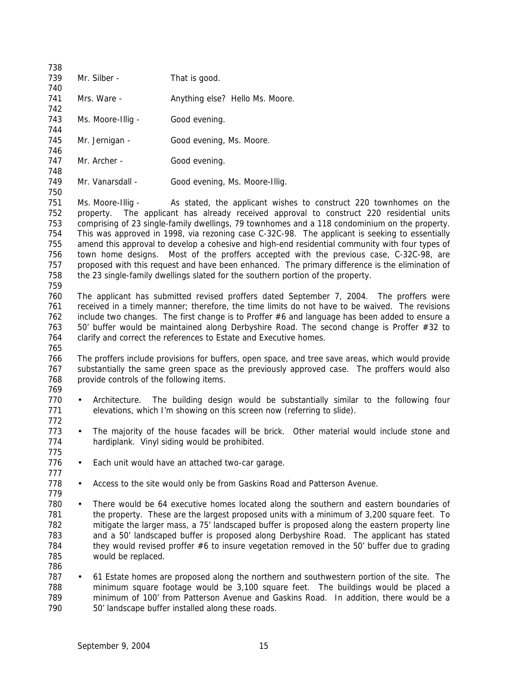| 738 |                   |                                                          |
|-----|-------------------|----------------------------------------------------------|
| 739 | Mr. Silber -      | That is good.                                            |
| 740 |                   |                                                          |
| 741 | Mrs. Ware -       | Anything else? Hello Ms. Moore.                          |
| 742 |                   |                                                          |
| 743 | Ms. Moore-Illig - | Good evening.                                            |
| 744 |                   |                                                          |
| 745 | Mr. Jernigan -    | Good evening, Ms. Moore.                                 |
| 746 |                   |                                                          |
| 747 | Mr. Archer -      | Good evening.                                            |
| 748 |                   |                                                          |
| 749 | Mr. Vanarsdall -  | Good evening, Ms. Moore-Illig.                           |
| 750 |                   |                                                          |
| 751 | Ms. Moore-Illig - | As stated, the applicant wishes to                       |
| 752 |                   | property. The applicant has already received approval    |
| フロつ |                   | comprising of 22 single family duclings 70 townhomes and |

construct 220 townhomes on the to construct 220 residential units comprising of 23 single-family dwellings, 79 townhomes and a 118 condominium on the property. This was approved in 1998, via rezoning case C-32C-98. The applicant is seeking to essentially amend this approval to develop a cohesive and high-end residential community with four types of town home designs. Most of the proffers accepted with the previous case, C-32C-98, are 757 proposed with this request and have been enhanced. The primary difference is the elimination of the 23 single-family dwellings slated for the southern portion of the property.

 The applicant has submitted revised proffers dated September 7, 2004. The proffers were received in a timely manner; therefore, the time limits do not have to be waived. The revisions include two changes. The first change is to Proffer #6 and language has been added to ensure a 763 50' buffer would be maintained along Derbyshire Road. The second change is Proffer #32 to clarify and correct the references to Estate and Executive homes.

 The proffers include provisions for buffers, open space, and tree save areas, which would provide 767 substantially the same green space as the previously approved case. The proffers would also 768 provide controls of the following items.

 • Architecture. The building design would be substantially similar to the following four elevations, which I'm showing on this screen now (referring to slide). 

- 773 The majority of the house facades will be brick. Other material would include stone and hardiplank. Vinyl siding would be prohibited.
- 776 Each unit would have an attached two-car garage.
- 

- 778 Access to the site would only be from Gaskins Road and Patterson Avenue.
- There would be 64 executive homes located along the southern and eastern boundaries of 781 the property. These are the largest proposed units with a minimum of 3,200 square feet. To mitigate the larger mass, a 75' landscaped buffer is proposed along the eastern property line and a 50' landscaped buffer is proposed along Derbyshire Road. The applicant has stated they would revised proffer #6 to insure vegetation removed in the 50' buffer due to grading would be replaced.
- 61 Estate homes are proposed along the northern and southwestern portion of the site. The minimum square footage would be 3,100 square feet. The buildings would be placed a minimum of 100' from Patterson Avenue and Gaskins Road. In addition, there would be a 50' landscape buffer installed along these roads.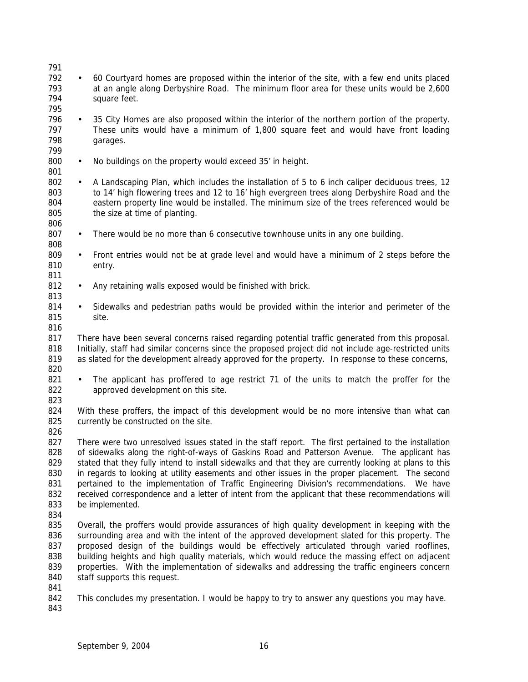| 791<br>792<br>793<br>794                             | $\bullet$ | 60 Courtyard homes are proposed within the interior of the site, with a few end units placed<br>at an angle along Derbyshire Road. The minimum floor area for these units would be 2,600<br>square feet.                                                                                                                                                                                                                                                                                                                                                                                                                                    |
|------------------------------------------------------|-----------|---------------------------------------------------------------------------------------------------------------------------------------------------------------------------------------------------------------------------------------------------------------------------------------------------------------------------------------------------------------------------------------------------------------------------------------------------------------------------------------------------------------------------------------------------------------------------------------------------------------------------------------------|
| 795<br>796<br>797<br>798<br>799                      | $\bullet$ | 35 City Homes are also proposed within the interior of the northern portion of the property.<br>These units would have a minimum of 1,800 square feet and would have front loading<br>garages.                                                                                                                                                                                                                                                                                                                                                                                                                                              |
| 800<br>801                                           | $\bullet$ | No buildings on the property would exceed 35' in height.                                                                                                                                                                                                                                                                                                                                                                                                                                                                                                                                                                                    |
| 802<br>803<br>804<br>805<br>806                      | $\bullet$ | A Landscaping Plan, which includes the installation of 5 to 6 inch caliper deciduous trees, 12<br>to 14' high flowering trees and 12 to 16' high evergreen trees along Derbyshire Road and the<br>eastern property line would be installed. The minimum size of the trees referenced would be<br>the size at time of planting.                                                                                                                                                                                                                                                                                                              |
| 807<br>808                                           | $\bullet$ | There would be no more than 6 consecutive townhouse units in any one building.                                                                                                                                                                                                                                                                                                                                                                                                                                                                                                                                                              |
| 809<br>810<br>811                                    | $\bullet$ | Front entries would not be at grade level and would have a minimum of 2 steps before the<br>entry.                                                                                                                                                                                                                                                                                                                                                                                                                                                                                                                                          |
| 812<br>813                                           | $\bullet$ | Any retaining walls exposed would be finished with brick.                                                                                                                                                                                                                                                                                                                                                                                                                                                                                                                                                                                   |
| 814<br>815<br>816                                    | $\bullet$ | Sidewalks and pedestrian paths would be provided within the interior and perimeter of the<br>site.                                                                                                                                                                                                                                                                                                                                                                                                                                                                                                                                          |
| 817<br>818<br>819<br>820                             |           | There have been several concerns raised regarding potential traffic generated from this proposal.<br>Initially, staff had similar concerns since the proposed project did not include age-restricted units<br>as slated for the development already approved for the property. In response to these concerns,                                                                                                                                                                                                                                                                                                                               |
| 821<br>822<br>823                                    | $\bullet$ | The applicant has proffered to age restrict 71 of the units to match the proffer for the<br>approved development on this site.                                                                                                                                                                                                                                                                                                                                                                                                                                                                                                              |
| 824<br>825<br>826                                    |           | With these proffers, the impact of this development would be no more intensive than what can<br>currently be constructed on the site.                                                                                                                                                                                                                                                                                                                                                                                                                                                                                                       |
| 827<br>828<br>829<br>830<br>831<br>832<br>833<br>834 |           | There were two unresolved issues stated in the staff report. The first pertained to the installation<br>of sidewalks along the right-of-ways of Gaskins Road and Patterson Avenue. The applicant has<br>stated that they fully intend to install sidewalks and that they are currently looking at plans to this<br>in regards to looking at utility easements and other issues in the proper placement. The second<br>pertained to the implementation of Traffic Engineering Division's recommendations.<br>We have<br>received correspondence and a letter of intent from the applicant that these recommendations will<br>be implemented. |
| 835<br>836<br>837<br>838<br>839<br>840<br>841        |           | Overall, the proffers would provide assurances of high quality development in keeping with the<br>surrounding area and with the intent of the approved development slated for this property. The<br>proposed design of the buildings would be effectively articulated through varied rooflines,<br>building heights and high quality materials, which would reduce the massing effect on adjacent<br>properties. With the implementation of sidewalks and addressing the traffic engineers concern<br>staff supports this request.                                                                                                          |
| 842<br>843                                           |           | This concludes my presentation. I would be happy to try to answer any questions you may have.                                                                                                                                                                                                                                                                                                                                                                                                                                                                                                                                               |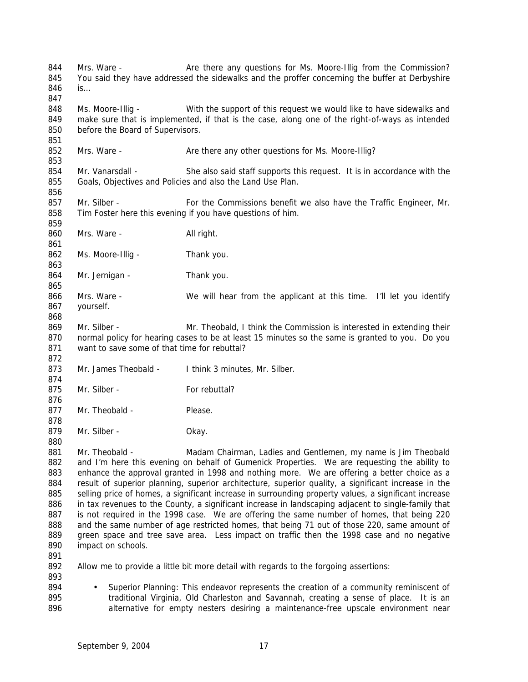844 Mrs. Ware - Are there any questions for Ms. Moore-Illig from the Commission? 845 You said they have addressed the sidewalks and the proffer concerning the buffer at Derbyshire is… Ms. Moore-Illig - With the support of this request we would like to have sidewalks and make sure that is implemented, if that is the case, along one of the right-of-ways as intended before the Board of Supervisors. 852 Mrs. Ware - Are there any other questions for Ms. Moore-Illig? Mr. Vanarsdall - She also said staff supports this request. It is in accordance with the Goals, Objectives and Policies and also the Land Use Plan. Mr. Silber - For the Commissions benefit we also have the Traffic Engineer, Mr. Tim Foster here this evening if you have questions of him. 860 Mrs. Ware - All right. 862 Ms. Moore-Illig - Thank you. 864 Mr. Jernigan - Thank you. Mrs. Ware - We will hear from the applicant at this time. I'll let you identify yourself. Mr. Silber - Mr. Theobald, I think the Commission is interested in extending their normal policy for hearing cases to be at least 15 minutes so the same is granted to you. Do you want to save some of that time for rebuttal? Mr. James Theobald - I think 3 minutes, Mr. Silber. 875 Mr. Silber - For rebuttal? 877 Mr. Theobald - Please. 879 Mr. Silber - Chay. Mr. Theobald - Madam Chairman, Ladies and Gentlemen, my name is Jim Theobald and I'm here this evening on behalf of Gumenick Properties. We are requesting the ability to enhance the approval granted in 1998 and nothing more. We are offering a better choice as a 884 result of superior planning, superior architecture, superior quality, a significant increase in the selling price of homes, a significant increase in surrounding property values, a significant increase in tax revenues to the County, a significant increase in landscaping adjacent to single-family that is not required in the 1998 case. We are offering the same number of homes, that being 220 and the same number of age restricted homes, that being 71 out of those 220, same amount of green space and tree save area. Less impact on traffic then the 1998 case and no negative impact on schools. Allow me to provide a little bit more detail with regards to the forgoing assertions: 894 • Superior Planning: This endeavor represents the creation of a community reminiscent of traditional Virginia, Old Charleston and Savannah, creating a sense of place. It is an 896 alternative for empty nesters desiring a maintenance-free upscale environment near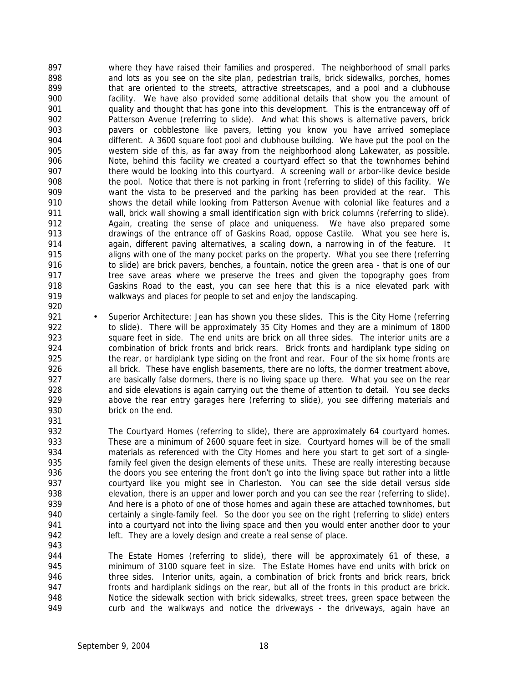where they have raised their families and prospered. The neighborhood of small parks and lots as you see on the site plan, pedestrian trails, brick sidewalks, porches, homes 899 that are oriented to the streets, attractive streetscapes, and a pool and a clubhouse facility. We have also provided some additional details that show you the amount of quality and thought that has gone into this development. This is the entranceway off of Patterson Avenue (referring to slide). And what this shows is alternative pavers, brick pavers or cobblestone like pavers, letting you know you have arrived someplace different. A 3600 square foot pool and clubhouse building. We have put the pool on the western side of this, as far away from the neighborhood along Lakewater, as possible. Note, behind this facility we created a courtyard effect so that the townhomes behind 907 there would be looking into this courtyard. A screening wall or arbor-like device beside the pool. Notice that there is not parking in front (referring to slide) of this facility. We want the vista to be preserved and the parking has been provided at the rear. This shows the detail while looking from Patterson Avenue with colonial like features and a wall, brick wall showing a small identification sign with brick columns (referring to slide). Again, creating the sense of place and uniqueness. We have also prepared some drawings of the entrance off of Gaskins Road, oppose Castile. What you see here is, again, different paving alternatives, a scaling down, a narrowing in of the feature. It 915 aligns with one of the many pocket parks on the property. What you see there (referring 916 to slide) are brick pavers, benches, a fountain, notice the green area - that is one of our 917 tree save areas where we preserve the trees and given the topography goes from Gaskins Road to the east, you can see here that this is a nice elevated park with walkways and places for people to set and enjoy the landscaping. 

- 921 Superior Architecture: Jean has shown you these slides. This is the City Home (referring 922 to slide). There will be approximately 35 City Homes and they are a minimum of 1800 923 square feet in side. The end units are brick on all three sides. The interior units are a combination of brick fronts and brick rears. Brick fronts and hardiplank type siding on 925 the rear, or hardiplank type siding on the front and rear. Four of the six home fronts are 926 all brick. These have english basements, there are no lofts, the dormer treatment above, are basically false dormers, there is no living space up there. What you see on the rear and side elevations is again carrying out the theme of attention to detail. You see decks above the rear entry garages here (referring to slide), you see differing materials and brick on the end.
- The Courtyard Homes (referring to slide), there are approximately 64 courtyard homes. These are a minimum of 2600 square feet in size. Courtyard homes will be of the small materials as referenced with the City Homes and here you start to get sort of a single- family feel given the design elements of these units. These are really interesting because 936 the doors you see entering the front don't go into the living space but rather into a little courtyard like you might see in Charleston. You can see the side detail versus side elevation, there is an upper and lower porch and you can see the rear (referring to slide). And here is a photo of one of those homes and again these are attached townhomes, but certainly a single-family feel. So the door you see on the right (referring to slide) enters 941 into a courtyard not into the living space and then you would enter another door to your 942 left. They are a lovely design and create a real sense of place.
- The Estate Homes (referring to slide), there will be approximately 61 of these, a minimum of 3100 square feet in size. The Estate Homes have end units with brick on 946 three sides. Interior units, again, a combination of brick fronts and brick rears, brick 947 fronts and hardiplank sidings on the rear, but all of the fronts in this product are brick. Notice the sidewalk section with brick sidewalks, street trees, green space between the curb and the walkways and notice the driveways - the driveways, again have an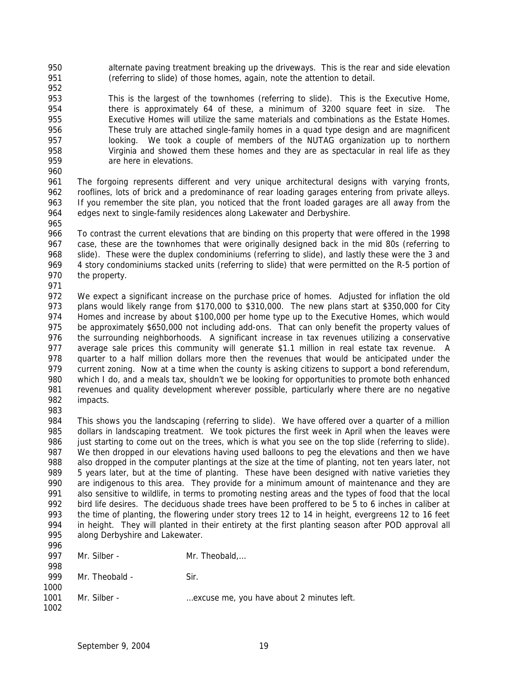- alternate paving treatment breaking up the driveways. This is the rear and side elevation (referring to slide) of those homes, again, note the attention to detail.
- 

 This is the largest of the townhomes (referring to slide). This is the Executive Home, there is approximately 64 of these, a minimum of 3200 square feet in size. The Executive Homes will utilize the same materials and combinations as the Estate Homes. These truly are attached single-family homes in a quad type design and are magnificent looking. We took a couple of members of the NUTAG organization up to northern Virginia and showed them these homes and they are as spectacular in real life as they are here in elevations.

 The forgoing represents different and very unique architectural designs with varying fronts, rooflines, lots of brick and a predominance of rear loading garages entering from private alleys. If you remember the site plan, you noticed that the front loaded garages are all away from the 964 edges next to single-family residences along Lakewater and Derbyshire. 

 To contrast the current elevations that are binding on this property that were offered in the 1998 case, these are the townhomes that were originally designed back in the mid 80s (referring to slide). These were the duplex condominiums (referring to slide), and lastly these were the 3 and 969 4 story condominiums stacked units (referring to slide) that were permitted on the R-5 portion of the property.

 We expect a significant increase on the purchase price of homes. Adjusted for inflation the old plans would likely range from \$170,000 to \$310,000. The new plans start at \$350,000 for City Homes and increase by about \$100,000 per home type up to the Executive Homes, which would be approximately \$650,000 not including add-ons. That can only benefit the property values of the surrounding neighborhoods. A significant increase in tax revenues utilizing a conservative average sale prices this community will generate \$1.1 million in real estate tax revenue. A quarter to a half million dollars more then the revenues that would be anticipated under the 979 current zoning. Now at a time when the county is asking citizens to support a bond referendum, which I do, and a meals tax, shouldn't we be looking for opportunities to promote both enhanced revenues and quality development wherever possible, particularly where there are no negative impacts.

 This shows you the landscaping (referring to slide). We have offered over a quarter of a million dollars in landscaping treatment. We took pictures the first week in April when the leaves were 986 just starting to come out on the trees, which is what you see on the top slide (referring to slide). We then dropped in our elevations having used balloons to peg the elevations and then we have also dropped in the computer plantings at the size at the time of planting, not ten years later, not 989 5 years later, but at the time of planting. These have been designed with native varieties they are indigenous to this area. They provide for a minimum amount of maintenance and they are also sensitive to wildlife, in terms to promoting nesting areas and the types of food that the local bird life desires. The deciduous shade trees have been proffered to be 5 to 6 inches in caliber at the time of planting, the flowering under story trees 12 to 14 in height, evergreens 12 to 16 feet in height. They will planted in their entirety at the first planting season after POD approval all along Derbyshire and Lakewater. 

| 997  | Mr. Silber -   | Mr. Theobald                              |
|------|----------------|-------------------------------------------|
| 998  |                |                                           |
| 999  | Mr. Theobald - | Sir.                                      |
| 1000 |                |                                           |
| 1001 | Mr. Silber -   | excuse me, you have about 2 minutes left. |
| 1002 |                |                                           |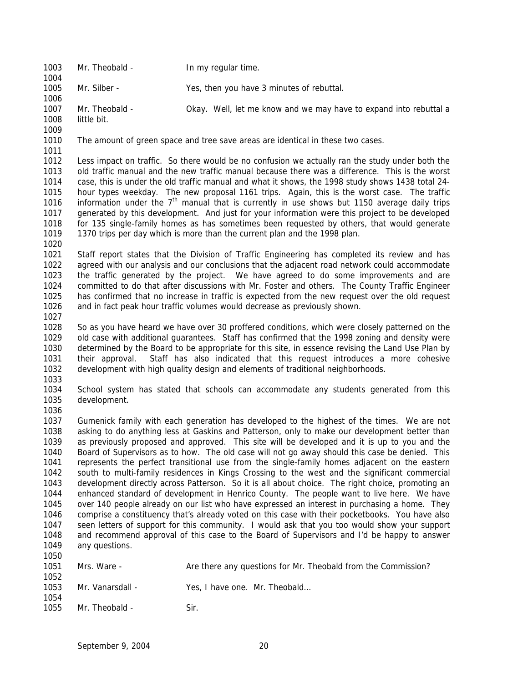1003 Mr. Theobald - In my regular time. Mr. Silber - Yes, then you have 3 minutes of rebuttal. Mr. Theobald - Okay. Well, let me know and we may have to expand into rebuttal a little bit. The amount of green space and tree save areas are identical in these two cases. Less impact on traffic. So there would be no confusion we actually ran the study under both the old traffic manual and the new traffic manual because there was a difference. This is the worst case, this is under the old traffic manual and what it shows, the 1998 study shows 1438 total 24- hour types weekday. The new proposal 1161 trips. Again, this is the worst case. The traffic 1016 information under the  $7<sup>th</sup>$  manual that is currently in use shows but 1150 average daily trips generated by this development. And just for your information were this project to be developed for 135 single-family homes as has sometimes been requested by others, that would generate 1370 trips per day which is more than the current plan and the 1998 plan. Staff report states that the Division of Traffic Engineering has completed its review and has agreed with our analysis and our conclusions that the adjacent road network could accommodate the traffic generated by the project. We have agreed to do some improvements and are committed to do that after discussions with Mr. Foster and others. The County Traffic Engineer has confirmed that no increase in traffic is expected from the new request over the old request and in fact peak hour traffic volumes would decrease as previously shown. So as you have heard we have over 30 proffered conditions, which were closely patterned on the old case with additional guarantees. Staff has confirmed that the 1998 zoning and density were determined by the Board to be appropriate for this site, in essence revising the Land Use Plan by their approval. Staff has also indicated that this request introduces a more cohesive development with high quality design and elements of traditional neighborhoods. School system has stated that schools can accommodate any students generated from this development. Gumenick family with each generation has developed to the highest of the times. We are not asking to do anything less at Gaskins and Patterson, only to make our development better than as previously proposed and approved. This site will be developed and it is up to you and the Board of Supervisors as to how. The old case will not go away should this case be denied. This represents the perfect transitional use from the single-family homes adjacent on the eastern south to multi-family residences in Kings Crossing to the west and the significant commercial development directly across Patterson. So it is all about choice. The right choice, promoting an enhanced standard of development in Henrico County. The people want to live here. We have over 140 people already on our list who have expressed an interest in purchasing a home. They comprise a constituency that's already voted on this case with their pocketbooks. You have also seen letters of support for this community. I would ask that you too would show your support and recommend approval of this case to the Board of Supervisors and I'd be happy to answer any questions. Mrs. Ware - Are there any questions for Mr. Theobald from the Commission? 1053 Mr. Vanarsdall - Yes, I have one. Mr. Theobald... 1055 Mr. Theobald - Sir.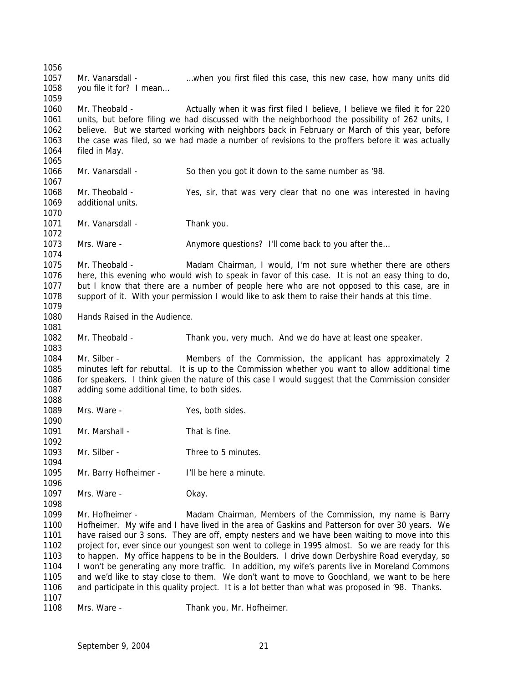Mr. Vanarsdall - …when you first filed this case, this new case, how many units did 1058 vou file it for? I mean... Mr. Theobald - Actually when it was first filed I believe, I believe we filed it for 220 units, but before filing we had discussed with the neighborhood the possibility of 262 units, I believe. But we started working with neighbors back in February or March of this year, before the case was filed, so we had made a number of revisions to the proffers before it was actually filed in May. Mr. Vanarsdall - So then you got it down to the same number as '98. Mr. Theobald - Yes, sir, that was very clear that no one was interested in having additional units. 1071 Mr. Vanarsdall - Thank you. 1073 Mrs. Ware - Anymore questions? I'll come back to you after the... 1075 Mr. Theobald - Madam Chairman, I would, I'm not sure whether there are others here, this evening who would wish to speak in favor of this case. It is not an easy thing to do, but I know that there are a number of people here who are not opposed to this case, are in support of it. With your permission I would like to ask them to raise their hands at this time. Hands Raised in the Audience. Mr. Theobald - Thank you, very much. And we do have at least one speaker. Mr. Silber - Members of the Commission, the applicant has approximately 2 minutes left for rebuttal. It is up to the Commission whether you want to allow additional time for speakers. I think given the nature of this case I would suggest that the Commission consider adding some additional time, to both sides. Mrs. Ware - Yes, both sides. 1091 Mr. Marshall - That is fine. 1093 Mr. Silber - Three to 5 minutes. Mr. Barry Hofheimer - I'll be here a minute. Mrs. Ware - Okay. Mr. Hofheimer - Madam Chairman, Members of the Commission, my name is Barry Hofheimer. My wife and I have lived in the area of Gaskins and Patterson for over 30 years. We have raised our 3 sons. They are off, empty nesters and we have been waiting to move into this project for, ever since our youngest son went to college in 1995 almost. So we are ready for this to happen. My office happens to be in the Boulders. I drive down Derbyshire Road everyday, so I won't be generating any more traffic. In addition, my wife's parents live in Moreland Commons and we'd like to stay close to them. We don't want to move to Goochland, we want to be here and participate in this quality project. It is a lot better than what was proposed in '98. Thanks. 1108 Mrs. Ware - Thank you, Mr. Hofheimer.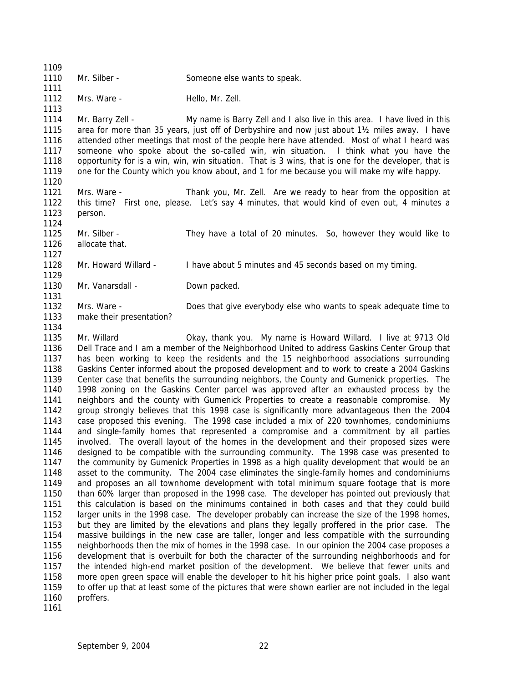| 1109 |                          |                                                                                                      |
|------|--------------------------|------------------------------------------------------------------------------------------------------|
| 1110 | Mr. Silber -             | Someone else wants to speak.                                                                         |
| 1111 |                          |                                                                                                      |
| 1112 | Mrs. Ware -              | Hello, Mr. Zell.                                                                                     |
| 1113 |                          |                                                                                                      |
| 1114 | Mr. Barry Zell -         | My name is Barry Zell and I also live in this area. I have lived in this                             |
| 1115 |                          | area for more than 35 years, just off of Derbyshire and now just about 1½ miles away. I have         |
| 1116 |                          | attended other meetings that most of the people here have attended. Most of what I heard was         |
| 1117 |                          | someone who spoke about the so-called win, win situation. I think what you have the                  |
| 1118 |                          | opportunity for is a win, win, win situation. That is 3 wins, that is one for the developer, that is |
| 1119 |                          | one for the County which you know about, and 1 for me because you will make my wife happy.           |
| 1120 |                          |                                                                                                      |
| 1121 | Mrs. Ware -              | Thank you, Mr. Zell. Are we ready to hear from the opposition at                                     |
| 1122 |                          | this time? First one, please. Let's say 4 minutes, that would kind of even out, 4 minutes a          |
| 1123 | person.                  |                                                                                                      |
| 1124 |                          |                                                                                                      |
| 1125 | Mr. Silber -             | They have a total of 20 minutes. So, however they would like to                                      |
| 1126 | allocate that.           |                                                                                                      |
| 1127 |                          |                                                                                                      |
| 1128 | Mr. Howard Willard -     | I have about 5 minutes and 45 seconds based on my timing.                                            |
| 1129 |                          |                                                                                                      |
| 1130 | Mr. Vanarsdall -         | Down packed.                                                                                         |
| 1131 |                          |                                                                                                      |
| 1132 | Mrs. Ware -              | Does that give everybody else who wants to speak adequate time to                                    |
| 1133 | make their presentation? |                                                                                                      |
| 1134 |                          |                                                                                                      |

 Mr. Willard Okay, thank you. My name is Howard Willard. I live at 9713 Old Dell Trace and I am a member of the Neighborhood United to address Gaskins Center Group that has been working to keep the residents and the 15 neighborhood associations surrounding Gaskins Center informed about the proposed development and to work to create a 2004 Gaskins Center case that benefits the surrounding neighbors, the County and Gumenick properties. The 1998 zoning on the Gaskins Center parcel was approved after an exhausted process by the neighbors and the county with Gumenick Properties to create a reasonable compromise. My group strongly believes that this 1998 case is significantly more advantageous then the 2004 case proposed this evening. The 1998 case included a mix of 220 townhomes, condominiums and single-family homes that represented a compromise and a commitment by all parties involved. The overall layout of the homes in the development and their proposed sizes were designed to be compatible with the surrounding community. The 1998 case was presented to the community by Gumenick Properties in 1998 as a high quality development that would be an asset to the community. The 2004 case eliminates the single-family homes and condominiums and proposes an all townhome development with total minimum square footage that is more than 60% larger than proposed in the 1998 case. The developer has pointed out previously that this calculation is based on the minimums contained in both cases and that they could build larger units in the 1998 case. The developer probably can increase the size of the 1998 homes, but they are limited by the elevations and plans they legally proffered in the prior case. The massive buildings in the new case are taller, longer and less compatible with the surrounding neighborhoods then the mix of homes in the 1998 case. In our opinion the 2004 case proposes a development that is overbuilt for both the character of the surrounding neighborhoods and for the intended high-end market position of the development. We believe that fewer units and more open green space will enable the developer to hit his higher price point goals. I also want to offer up that at least some of the pictures that were shown earlier are not included in the legal proffers.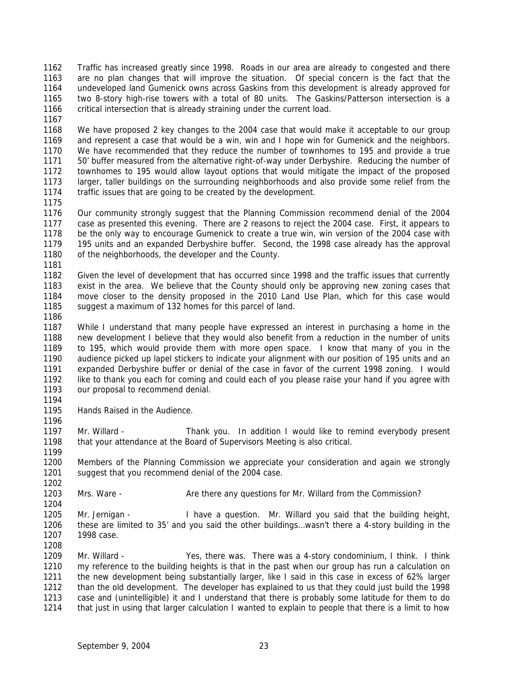Traffic has increased greatly since 1998. Roads in our area are already to congested and there are no plan changes that will improve the situation. Of special concern is the fact that the undeveloped land Gumenick owns across Gaskins from this development is already approved for two 8-story high-rise towers with a total of 80 units. The Gaskins/Patterson intersection is a 1166 critical intersection that is already straining under the current load.

 We have proposed 2 key changes to the 2004 case that would make it acceptable to our group and represent a case that would be a win, win and I hope win for Gumenick and the neighbors. We have recommended that they reduce the number of townhomes to 195 and provide a true 50' buffer measured from the alternative right-of-way under Derbyshire. Reducing the number of townhomes to 195 would allow layout options that would mitigate the impact of the proposed larger, taller buildings on the surrounding neighborhoods and also provide some relief from the traffic issues that are going to be created by the development.

 Our community strongly suggest that the Planning Commission recommend denial of the 2004 case as presented this evening. There are 2 reasons to reject the 2004 case. First, it appears to be the only way to encourage Gumenick to create a true win, win version of the 2004 case with 195 units and an expanded Derbyshire buffer. Second, the 1998 case already has the approval 1180 of the neighborhoods, the developer and the County. 

 Given the level of development that has occurred since 1998 and the traffic issues that currently exist in the area. We believe that the County should only be approving new zoning cases that move closer to the density proposed in the 2010 Land Use Plan, which for this case would suggest a maximum of 132 homes for this parcel of land.

 While I understand that many people have expressed an interest in purchasing a home in the new development I believe that they would also benefit from a reduction in the number of units to 195, which would provide them with more open space. I know that many of you in the audience picked up lapel stickers to indicate your alignment with our position of 195 units and an expanded Derbyshire buffer or denial of the case in favor of the current 1998 zoning. I would like to thank you each for coming and could each of you please raise your hand if you agree with our proposal to recommend denial.

Hands Raised in the Audience.

 Mr. Willard - Thank you. In addition I would like to remind everybody present that your attendance at the Board of Supervisors Meeting is also critical.

 Members of the Planning Commission we appreciate your consideration and again we strongly suggest that you recommend denial of the 2004 case. 

1203 Mrs. Ware - Are there any questions for Mr. Willard from the Commission? 

 Mr. Jernigan - I have a question. Mr. Willard you said that the building height, these are limited to 35' and you said the other buildings…wasn't there a 4-story building in the 1998 case. 

 Mr. Willard - Yes, there was. There was a 4-story condominium, I think. I think my reference to the building heights is that in the past when our group has run a calculation on the new development being substantially larger, like I said in this case in excess of 62% larger than the old development. The developer has explained to us that they could just build the 1998 case and (unintelligible) it and I understand that there is probably some latitude for them to do that just in using that larger calculation I wanted to explain to people that there is a limit to how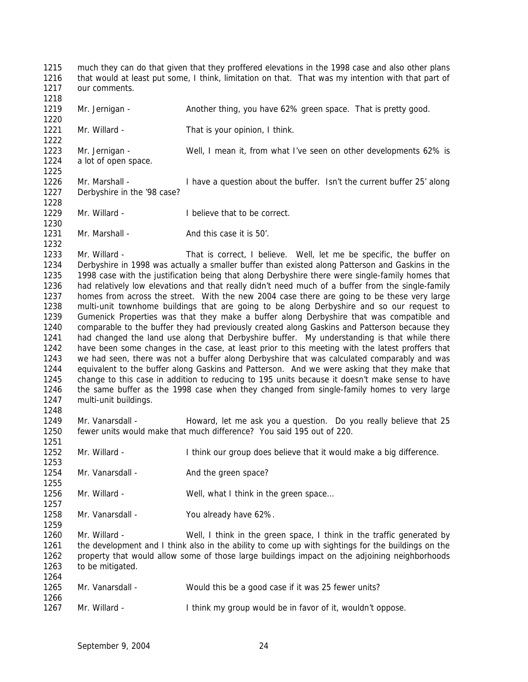much they can do that given that they proffered elevations in the 1998 case and also other plans that would at least put some, I think, limitation on that. That was my intention with that part of our comments. 1219 Mr. Jernigan - Another thing, you have 62% green space. That is pretty good. Mr. Willard - That is your opinion, I think. Mr. Jernigan - Well, I mean it, from what I've seen on other developments 62% is a lot of open space. Mr. Marshall - I have a question about the buffer. Isn't the current buffer 25' along Derbyshire in the '98 case? 1229 Mr. Willard - I believe that to be correct. 1231 Mr. Marshall - And this case it is 50'. Mr. Willard - That is correct, I believe. Well, let me be specific, the buffer on Derbyshire in 1998 was actually a smaller buffer than existed along Patterson and Gaskins in the 1235 1998 case with the justification being that along Derbyshire there were single-family homes that 1236 had relatively low elevations and that really didn't need much of a buffer from the single-family had relatively low elevations and that really didn't need much of a buffer from the single-family homes from across the street. With the new 2004 case there are going to be these very large multi-unit townhome buildings that are going to be along Derbyshire and so our request to Gumenick Properties was that they make a buffer along Derbyshire that was compatible and comparable to the buffer they had previously created along Gaskins and Patterson because they had changed the land use along that Derbyshire buffer. My understanding is that while there have been some changes in the case, at least prior to this meeting with the latest proffers that we had seen, there was not a buffer along Derbyshire that was calculated comparably and was equivalent to the buffer along Gaskins and Patterson. And we were asking that they make that change to this case in addition to reducing to 195 units because it doesn't make sense to have the same buffer as the 1998 case when they changed from single-family homes to very large multi-unit buildings. Mr. Vanarsdall - Howard, let me ask you a question. Do you really believe that 25 fewer units would make that much difference? You said 195 out of 220. Mr. Willard - I think our group does believe that it would make a big difference. 1254 Mr. Vanarsdall - And the green space? Mr. Willard - Well, what I think in the green space… Mr. Vanarsdall - You already have 62%. 1259<br>1260 Mr. Willard - Well, I think in the green space, I think in the traffic generated by the development and I think also in the ability to come up with sightings for the buildings on the property that would allow some of those large buildings impact on the adjoining neighborhoods to be mitigated. Mr. Vanarsdall - Would this be a good case if it was 25 fewer units? Mr. Willard - I think my group would be in favor of it, wouldn't oppose.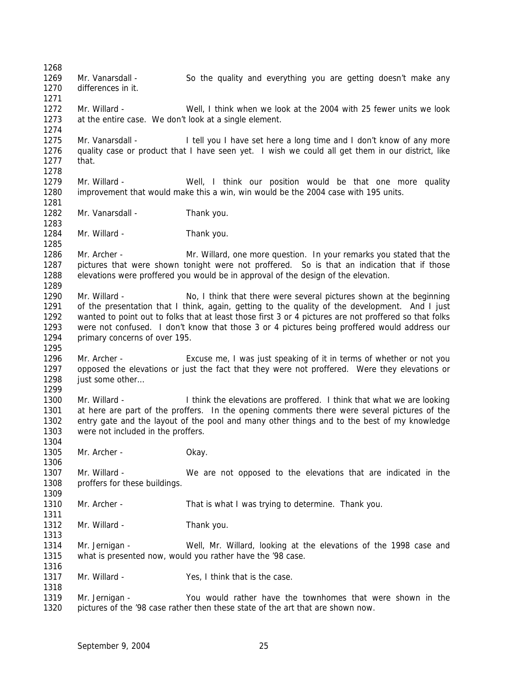Mr. Vanarsdall - So the quality and everything you are getting doesn't make any differences in it. Mr. Willard - Well, I think when we look at the 2004 with 25 fewer units we look at the entire case. We don't look at a single element. Mr. Vanarsdall - I tell you I have set here a long time and I don't know of any more quality case or product that I have seen yet. I wish we could all get them in our district, like that. Mr. Willard - Well, I think our position would be that one more quality improvement that would make this a win, win would be the 2004 case with 195 units. 1282 Mr. Vanarsdall - Thank you. 1284 Mr. Willard - Thank you. Mr. Archer - Mr. Willard, one more question. In your remarks you stated that the pictures that were shown tonight were not proffered. So is that an indication that if those elevations were proffered you would be in approval of the design of the elevation. Mr. Willard - No, I think that there were several pictures shown at the beginning of the presentation that I think, again, getting to the quality of the development. And I just wanted to point out to folks that at least those first 3 or 4 pictures are not proffered so that folks were not confused. I don't know that those 3 or 4 pictures being proffered would address our primary concerns of over 195. Mr. Archer - Excuse me, I was just speaking of it in terms of whether or not you opposed the elevations or just the fact that they were not proffered. Were they elevations or 1298 just some other... Mr. Willard - I think the elevations are proffered. I think that what we are looking at here are part of the proffers. In the opening comments there were several pictures of the entry gate and the layout of the pool and many other things and to the best of my knowledge were not included in the proffers. Mr. Archer - Okay. Mr. Willard - We are not opposed to the elevations that are indicated in the proffers for these buildings. Mr. Archer - That is what I was trying to determine. Thank you. 1312 Mr. Willard - Thank you. Mr. Jernigan - Well, Mr. Willard, looking at the elevations of the 1998 case and what is presented now, would you rather have the '98 case. 1317 Mr. Willard - Yes, I think that is the case. Mr. Jernigan - You would rather have the townhomes that were shown in the pictures of the '98 case rather then these state of the art that are shown now.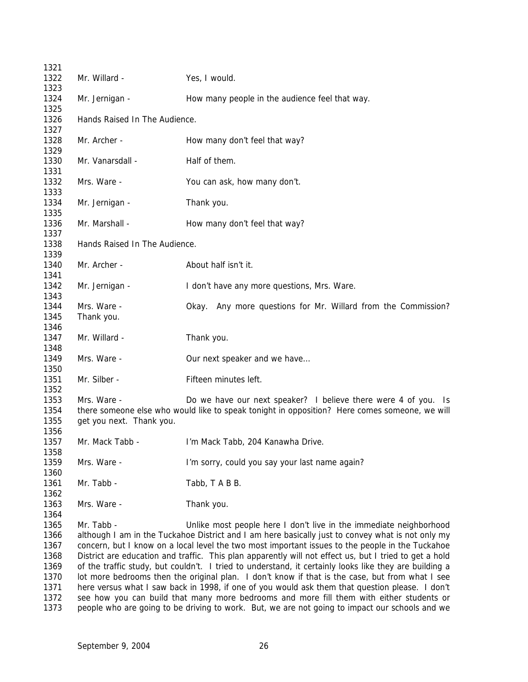| 1321                                                                 |                                         |                                                                                                                                                                                                                                                                                                                                                                                                                                                                                                                                                                                                                                                                                                                                                                                                                                                                                                     |
|----------------------------------------------------------------------|-----------------------------------------|-----------------------------------------------------------------------------------------------------------------------------------------------------------------------------------------------------------------------------------------------------------------------------------------------------------------------------------------------------------------------------------------------------------------------------------------------------------------------------------------------------------------------------------------------------------------------------------------------------------------------------------------------------------------------------------------------------------------------------------------------------------------------------------------------------------------------------------------------------------------------------------------------------|
| 1322<br>1323                                                         | Mr. Willard -                           | Yes, I would.                                                                                                                                                                                                                                                                                                                                                                                                                                                                                                                                                                                                                                                                                                                                                                                                                                                                                       |
| 1324<br>1325                                                         | Mr. Jernigan -                          | How many people in the audience feel that way.                                                                                                                                                                                                                                                                                                                                                                                                                                                                                                                                                                                                                                                                                                                                                                                                                                                      |
| 1326<br>1327                                                         | Hands Raised In The Audience.           |                                                                                                                                                                                                                                                                                                                                                                                                                                                                                                                                                                                                                                                                                                                                                                                                                                                                                                     |
| 1328<br>1329                                                         | Mr. Archer -                            | How many don't feel that way?                                                                                                                                                                                                                                                                                                                                                                                                                                                                                                                                                                                                                                                                                                                                                                                                                                                                       |
| 1330<br>1331                                                         | Mr. Vanarsdall -                        | Half of them.                                                                                                                                                                                                                                                                                                                                                                                                                                                                                                                                                                                                                                                                                                                                                                                                                                                                                       |
| 1332<br>1333                                                         | Mrs. Ware -                             | You can ask, how many don't.                                                                                                                                                                                                                                                                                                                                                                                                                                                                                                                                                                                                                                                                                                                                                                                                                                                                        |
| 1334<br>1335                                                         | Mr. Jernigan -                          | Thank you.                                                                                                                                                                                                                                                                                                                                                                                                                                                                                                                                                                                                                                                                                                                                                                                                                                                                                          |
| 1336<br>1337                                                         | Mr. Marshall -                          | How many don't feel that way?                                                                                                                                                                                                                                                                                                                                                                                                                                                                                                                                                                                                                                                                                                                                                                                                                                                                       |
| 1338<br>1339                                                         | Hands Raised In The Audience.           |                                                                                                                                                                                                                                                                                                                                                                                                                                                                                                                                                                                                                                                                                                                                                                                                                                                                                                     |
| 1340<br>1341                                                         | Mr. Archer -                            | About half isn't it.                                                                                                                                                                                                                                                                                                                                                                                                                                                                                                                                                                                                                                                                                                                                                                                                                                                                                |
| 1342<br>1343                                                         | Mr. Jernigan -                          | I don't have any more questions, Mrs. Ware.                                                                                                                                                                                                                                                                                                                                                                                                                                                                                                                                                                                                                                                                                                                                                                                                                                                         |
| 1344<br>1345                                                         | Mrs. Ware -<br>Thank you.               | Okay. Any more questions for Mr. Willard from the Commission?                                                                                                                                                                                                                                                                                                                                                                                                                                                                                                                                                                                                                                                                                                                                                                                                                                       |
| 1346<br>1347                                                         | Mr. Willard -                           | Thank you.                                                                                                                                                                                                                                                                                                                                                                                                                                                                                                                                                                                                                                                                                                                                                                                                                                                                                          |
| 1348<br>1349                                                         | Mrs. Ware -                             | Our next speaker and we have                                                                                                                                                                                                                                                                                                                                                                                                                                                                                                                                                                                                                                                                                                                                                                                                                                                                        |
| 1350<br>1351                                                         | Mr. Silber -                            | Fifteen minutes left.                                                                                                                                                                                                                                                                                                                                                                                                                                                                                                                                                                                                                                                                                                                                                                                                                                                                               |
| 1352<br>1353<br>1354<br>1355<br>1356                                 | Mrs. Ware -<br>get you next. Thank you. | Do we have our next speaker? I believe there were 4 of you. Is<br>there someone else who would like to speak tonight in opposition? Here comes someone, we will                                                                                                                                                                                                                                                                                                                                                                                                                                                                                                                                                                                                                                                                                                                                     |
| 1357<br>1358                                                         | Mr. Mack Tabb -                         | I'm Mack Tabb, 204 Kanawha Drive.                                                                                                                                                                                                                                                                                                                                                                                                                                                                                                                                                                                                                                                                                                                                                                                                                                                                   |
| 1359<br>1360                                                         | Mrs. Ware -                             | I'm sorry, could you say your last name again?                                                                                                                                                                                                                                                                                                                                                                                                                                                                                                                                                                                                                                                                                                                                                                                                                                                      |
| 1361<br>1362                                                         | Mr. Tabb -                              | Tabb, T A B B.                                                                                                                                                                                                                                                                                                                                                                                                                                                                                                                                                                                                                                                                                                                                                                                                                                                                                      |
| 1363<br>1364                                                         | Mrs. Ware -                             | Thank you.                                                                                                                                                                                                                                                                                                                                                                                                                                                                                                                                                                                                                                                                                                                                                                                                                                                                                          |
| 1365<br>1366<br>1367<br>1368<br>1369<br>1370<br>1371<br>1372<br>1373 | Mr. Tabb -                              | Unlike most people here I don't live in the immediate neighborhood<br>although I am in the Tuckahoe District and I am here basically just to convey what is not only my<br>concern, but I know on a local level the two most important issues to the people in the Tuckahoe<br>District are education and traffic. This plan apparently will not effect us, but I tried to get a hold<br>of the traffic study, but couldn't. I tried to understand, it certainly looks like they are building a<br>lot more bedrooms then the original plan. I don't know if that is the case, but from what I see<br>here versus what I saw back in 1998, if one of you would ask them that question please. I don't<br>see how you can build that many more bedrooms and more fill them with either students or<br>people who are going to be driving to work. But, we are not going to impact our schools and we |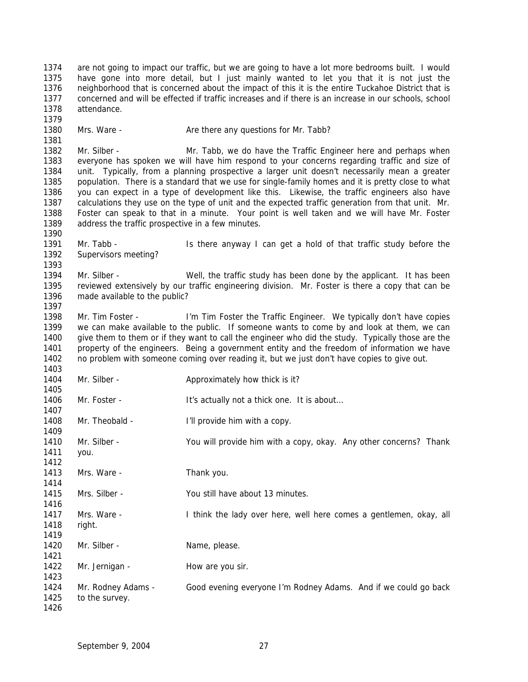are not going to impact our traffic, but we are going to have a lot more bedrooms built. I would have gone into more detail, but I just mainly wanted to let you that it is not just the neighborhood that is concerned about the impact of this it is the entire Tuckahoe District that is concerned and will be effected if traffic increases and if there is an increase in our schools, school attendance. 

1380 Mrs. Ware - Are there any questions for Mr. Tabb?

 Mr. Silber - Mr. Tabb, we do have the Traffic Engineer here and perhaps when everyone has spoken we will have him respond to your concerns regarding traffic and size of unit. Typically, from a planning prospective a larger unit doesn't necessarily mean a greater population. There is a standard that we use for single-family homes and it is pretty close to what you can expect in a type of development like this. Likewise, the traffic engineers also have calculations they use on the type of unit and the expected traffic generation from that unit. Mr. Foster can speak to that in a minute. Your point is well taken and we will have Mr. Foster address the traffic prospective in a few minutes.

 Mr. Tabb - Is there anyway I can get a hold of that traffic study before the Supervisors meeting?

 Mr. Silber - Well, the traffic study has been done by the applicant. It has been reviewed extensively by our traffic engineering division. Mr. Foster is there a copy that can be made available to the public?

1398 Mr. Tim Foster - I'm Tim Foster the Traffic Engineer. We typically don't have copies we can make available to the public. If someone wants to come by and look at them, we can give them to them or if they want to call the engineer who did the study. Typically those are the property of the engineers. Being a government entity and the freedom of information we have no problem with someone coming over reading it, but we just don't have copies to give out. 

1404 Mr. Silber - Approximately how thick is it? 1406 Mr. Foster - It's actually not a thick one. It is about... 1408 Mr. Theobald - I'll provide him with a copy. Mr. Silber - You will provide him with a copy, okay. Any other concerns? Thank you. 1413 Mrs. Ware - Thank you. Mrs. Silber - You still have about 13 minutes. Mrs. Ware - I think the lady over here, well here comes a gentlemen, okay, all right. 1420 Mr. Silber - Name, please. 1422 Mr. Jernigan - How are you sir. Mr. Rodney Adams - Good evening everyone I'm Rodney Adams. And if we could go back to the survey.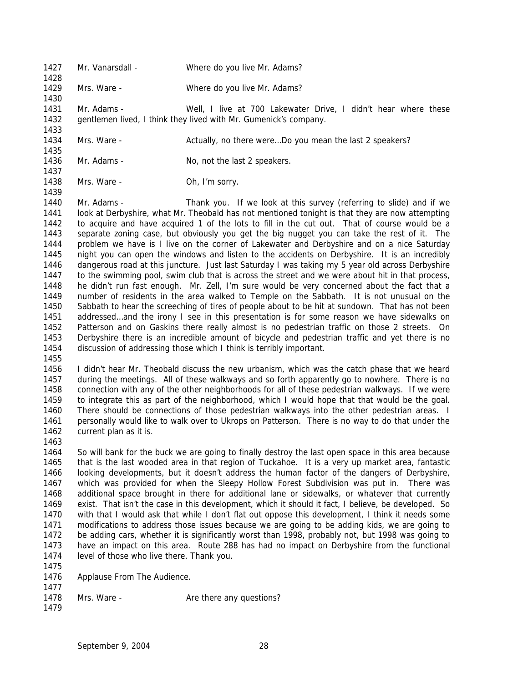- 1427 Mr. Vanarsdall Where do you live Mr. Adams? Mrs. Ware - Where do you live Mr. Adams? Mr. Adams - Well, I live at 700 Lakewater Drive, I didn't hear where these gentlemen lived, I think they lived with Mr. Gumenick's company. 1434 Mrs. Ware - Actually, no there were...Do you mean the last 2 speakers?
- 1436 Mr. Adams No, not the last 2 speakers.
- 1438 Mrs. Ware Ch, I'm sorry.

 Mr. Adams - Thank you. If we look at this survey (referring to slide) and if we look at Derbyshire, what Mr. Theobald has not mentioned tonight is that they are now attempting to acquire and have acquired 1 of the lots to fill in the cut out. That of course would be a separate zoning case, but obviously you get the big nugget you can take the rest of it. The problem we have is I live on the corner of Lakewater and Derbyshire and on a nice Saturday night you can open the windows and listen to the accidents on Derbyshire. It is an incredibly dangerous road at this juncture. Just last Saturday I was taking my 5 year old across Derbyshire to the swimming pool, swim club that is across the street and we were about hit in that process, he didn't run fast enough. Mr. Zell, I'm sure would be very concerned about the fact that a number of residents in the area walked to Temple on the Sabbath. It is not unusual on the Sabbath to hear the screeching of tires of people about to be hit at sundown. That has not been addressed…and the irony I see in this presentation is for some reason we have sidewalks on Patterson and on Gaskins there really almost is no pedestrian traffic on those 2 streets. On Derbyshire there is an incredible amount of bicycle and pedestrian traffic and yet there is no discussion of addressing those which I think is terribly important.

 I didn't hear Mr. Theobald discuss the new urbanism, which was the catch phase that we heard during the meetings. All of these walkways and so forth apparently go to nowhere. There is no connection with any of the other neighborhoods for all of these pedestrian walkways. If we were to integrate this as part of the neighborhood, which I would hope that that would be the goal. There should be connections of those pedestrian walkways into the other pedestrian areas. I personally would like to walk over to Ukrops on Patterson. There is no way to do that under the current plan as it is.

 So will bank for the buck we are going to finally destroy the last open space in this area because that is the last wooded area in that region of Tuckahoe. It is a very up market area, fantastic looking developments, but it doesn't address the human factor of the dangers of Derbyshire, which was provided for when the Sleepy Hollow Forest Subdivision was put in. There was additional space brought in there for additional lane or sidewalks, or whatever that currently exist. That isn't the case in this development, which it should it fact, I believe, be developed. So with that I would ask that while I don't flat out oppose this development, I think it needs some modifications to address those issues because we are going to be adding kids, we are going to be adding cars, whether it is significantly worst than 1998, probably not, but 1998 was going to have an impact on this area. Route 288 has had no impact on Derbyshire from the functional level of those who live there. Thank you.

- 
- Applause From The Audience.
- 
- 1478 Mrs. Ware Are there any questions?
-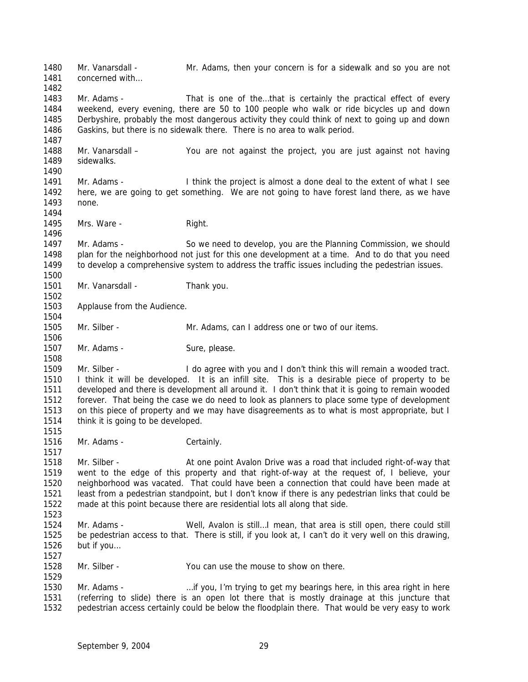Mr. Vanarsdall - Mr. Adams, then your concern is for a sidewalk and so you are not 1481 concerned with 1483 Mr. Adams - That is one of the...that is certainly the practical effect of every weekend, every evening, there are 50 to 100 people who walk or ride bicycles up and down Derbyshire, probably the most dangerous activity they could think of next to going up and down Gaskins, but there is no sidewalk there. There is no area to walk period. Mr. Vanarsdall – You are not against the project, you are just against not having sidewalks. Mr. Adams - I think the project is almost a done deal to the extent of what I see here, we are going to get something. We are not going to have forest land there, as we have none. 1495 Mrs. Ware - Right. Mr. Adams - So we need to develop, you are the Planning Commission, we should plan for the neighborhood not just for this one development at a time. And to do that you need to develop a comprehensive system to address the traffic issues including the pedestrian issues. 1501 Mr. Vanarsdall - Thank you. Applause from the Audience. Mr. Silber - Mr. Adams, can I address one or two of our items. 1507 Mr. Adams - Sure, please. 1509 Mr. Silber - I do agree with you and I don't think this will remain a wooded tract. I think it will be developed. It is an infill site. This is a desirable piece of property to be developed and there is development all around it. I don't think that it is going to remain wooded forever. That being the case we do need to look as planners to place some type of development on this piece of property and we may have disagreements as to what is most appropriate, but I think it is going to be developed. 1516 Mr. Adams - Certainly. Mr. Silber - At one point Avalon Drive was a road that included right-of-way that went to the edge of this property and that right-of-way at the request of, I believe, your neighborhood was vacated. That could have been a connection that could have been made at least from a pedestrian standpoint, but I don't know if there is any pedestrian links that could be made at this point because there are residential lots all along that side. Mr. Adams - Well, Avalon is still…I mean, that area is still open, there could still be pedestrian access to that. There is still, if you look at, I can't do it very well on this drawing, but if you… Mr. Silber - You can use the mouse to show on there. 1530 Mr. Adams - …if you, I'm trying to get my bearings here, in this area right in here (referring to slide) there is an open lot there that is mostly drainage at this juncture that pedestrian access certainly could be below the floodplain there. That would be very easy to work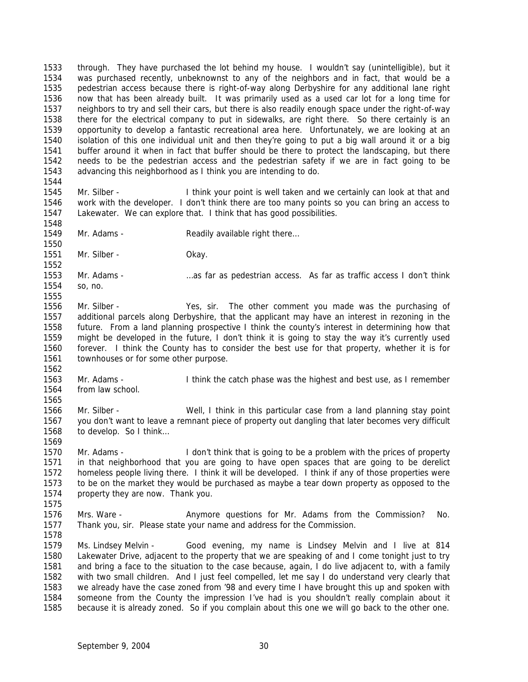through. They have purchased the lot behind my house. I wouldn't say (unintelligible), but it was purchased recently, unbeknownst to any of the neighbors and in fact, that would be a pedestrian access because there is right-of-way along Derbyshire for any additional lane right now that has been already built. It was primarily used as a used car lot for a long time for neighbors to try and sell their cars, but there is also readily enough space under the right-of-way there for the electrical company to put in sidewalks, are right there. So there certainly is an opportunity to develop a fantastic recreational area here. Unfortunately, we are looking at an isolation of this one individual unit and then they're going to put a big wall around it or a big buffer around it when in fact that buffer should be there to protect the landscaping, but there needs to be the pedestrian access and the pedestrian safety if we are in fact going to be advancing this neighborhood as I think you are intending to do. 

- Mr. Silber I think your point is well taken and we certainly can look at that and work with the developer. I don't think there are too many points so you can bring an access to Lakewater. We can explore that. I think that has good possibilities.
- 1549 Mr. Adams - Readily available right there...

- 
- 1551 Mr. Silber Chay.
- Mr. Adams …as far as pedestrian access. As far as traffic access I don't think so, no.
- 
- Mr. Silber Yes, sir. The other comment you made was the purchasing of additional parcels along Derbyshire, that the applicant may have an interest in rezoning in the future. From a land planning prospective I think the county's interest in determining how that might be developed in the future, I don't think it is going to stay the way it's currently used forever. I think the County has to consider the best use for that property, whether it is for townhouses or for some other purpose.
- Mr. Adams I think the catch phase was the highest and best use, as I remember from law school.
- Mr. Silber Well, I think in this particular case from a land planning stay point you don't want to leave a remnant piece of property out dangling that later becomes very difficult to develop. So I think…
- Mr. Adams I don't think that is going to be a problem with the prices of property in that neighborhood that you are going to have open spaces that are going to be derelict homeless people living there. I think it will be developed. I think if any of those properties were to be on the market they would be purchased as maybe a tear down property as opposed to the property they are now. Thank you.
- 

- 1576 Mrs. Ware Anymore questions for Mr. Adams from the Commission? No. Thank you, sir. Please state your name and address for the Commission.
- Ms. Lindsey Melvin Good evening, my name is Lindsey Melvin and I live at 814 Lakewater Drive, adjacent to the property that we are speaking of and I come tonight just to try and bring a face to the situation to the case because, again, I do live adjacent to, with a family with two small children. And I just feel compelled, let me say I do understand very clearly that we already have the case zoned from '98 and every time I have brought this up and spoken with someone from the County the impression I've had is you shouldn't really complain about it because it is already zoned. So if you complain about this one we will go back to the other one.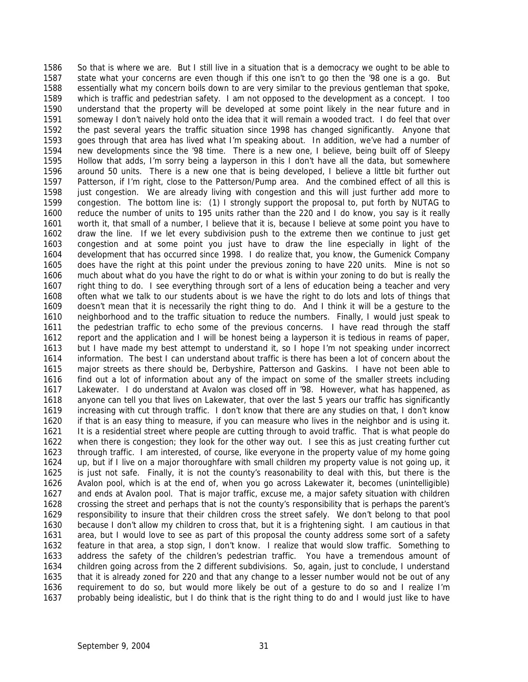So that is where we are. But I still live in a situation that is a democracy we ought to be able to state what your concerns are even though if this one isn't to go then the '98 one is a go. But essentially what my concern boils down to are very similar to the previous gentleman that spoke, which is traffic and pedestrian safety. I am not opposed to the development as a concept. I too understand that the property will be developed at some point likely in the near future and in someway I don't naively hold onto the idea that it will remain a wooded tract. I do feel that over the past several years the traffic situation since 1998 has changed significantly. Anyone that goes through that area has lived what I'm speaking about. In addition, we've had a number of new developments since the '98 time. There is a new one, I believe, being built off of Sleepy Hollow that adds, I'm sorry being a layperson in this I don't have all the data, but somewhere around 50 units. There is a new one that is being developed, I believe a little bit further out Patterson, if I'm right, close to the Patterson/Pump area. And the combined effect of all this is just congestion. We are already living with congestion and this will just further add more to congestion. The bottom line is: (1) I strongly support the proposal to, put forth by NUTAG to reduce the number of units to 195 units rather than the 220 and I do know, you say is it really worth it, that small of a number, I believe that it is, because I believe at some point you have to draw the line. If we let every subdivision push to the extreme then we continue to just get congestion and at some point you just have to draw the line especially in light of the development that has occurred since 1998. I do realize that, you know, the Gumenick Company does have the right at this point under the previous zoning to have 220 units. Mine is not so much about what do you have the right to do or what is within your zoning to do but is really the right thing to do. I see everything through sort of a lens of education being a teacher and very often what we talk to our students about is we have the right to do lots and lots of things that doesn't mean that it is necessarily the right thing to do. And I think it will be a gesture to the neighborhood and to the traffic situation to reduce the numbers. Finally, I would just speak to the pedestrian traffic to echo some of the previous concerns. I have read through the staff report and the application and I will be honest being a layperson it is tedious in reams of paper, but I have made my best attempt to understand it, so I hope I'm not speaking under incorrect information. The best I can understand about traffic is there has been a lot of concern about the major streets as there should be, Derbyshire, Patterson and Gaskins. I have not been able to find out a lot of information about any of the impact on some of the smaller streets including Lakewater. I do understand at Avalon was closed off in '98. However, what has happened, as anyone can tell you that lives on Lakewater, that over the last 5 years our traffic has significantly increasing with cut through traffic. I don't know that there are any studies on that, I don't know if that is an easy thing to measure, if you can measure who lives in the neighbor and is using it. It is a residential street where people are cutting through to avoid traffic. That is what people do when there is congestion; they look for the other way out. I see this as just creating further cut through traffic. I am interested, of course, like everyone in the property value of my home going up, but if I live on a major thoroughfare with small children my property value is not going up, it is just not safe. Finally, it is not the county's reasonability to deal with this, but there is the Avalon pool, which is at the end of, when you go across Lakewater it, becomes (unintelligible) and ends at Avalon pool. That is major traffic, excuse me, a major safety situation with children crossing the street and perhaps that is not the county's responsibility that is perhaps the parent's responsibility to insure that their children cross the street safely. We don't belong to that pool because I don't allow my children to cross that, but it is a frightening sight. I am cautious in that area, but I would love to see as part of this proposal the county address some sort of a safety feature in that area, a stop sign, I don't know. I realize that would slow traffic. Something to address the safety of the children's pedestrian traffic. You have a tremendous amount of children going across from the 2 different subdivisions. So, again, just to conclude, I understand that it is already zoned for 220 and that any change to a lesser number would not be out of any requirement to do so, but would more likely be out of a gesture to do so and I realize I'm probably being idealistic, but I do think that is the right thing to do and I would just like to have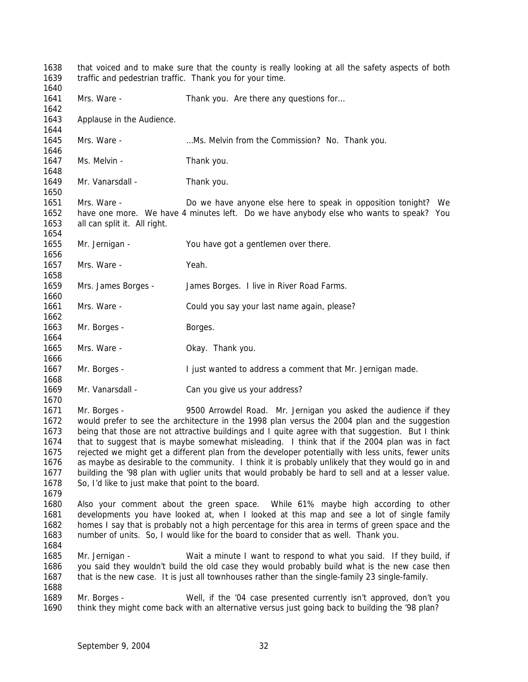that voiced and to make sure that the county is really looking at all the safety aspects of both traffic and pedestrian traffic. Thank you for your time. 1641 Mrs. Ware - Thank you. Are there any questions for... Applause in the Audience. Mrs. Ware - …Ms. Melvin from the Commission? No. Thank you. 1647 Ms. Melvin - Thank you. 1649 Mr. Vanarsdall - Thank you. Mrs. Ware - Do we have anyone else here to speak in opposition tonight? We have one more. We have 4 minutes left. Do we have anybody else who wants to speak? You all can split it. All right. Mr. Jernigan - You have got a gentlemen over there. 1657 Mrs. Ware - Yeah. Mrs. James Borges - James Borges. I live in River Road Farms. Mrs. Ware - Could you say your last name again, please? 1663 Mr. Borges - Borges. Mrs. Ware - Okay. Thank you. 1667 Mr. Borges - I just wanted to address a comment that Mr. Jernigan made. Mr. Vanarsdall - Can you give us your address? Mr. Borges - 9500 Arrowdel Road. Mr. Jernigan you asked the audience if they would prefer to see the architecture in the 1998 plan versus the 2004 plan and the suggestion being that those are not attractive buildings and I quite agree with that suggestion. But I think that to suggest that is maybe somewhat misleading. I think that if the 2004 plan was in fact rejected we might get a different plan from the developer potentially with less units, fewer units as maybe as desirable to the community. I think it is probably unlikely that they would go in and building the '98 plan with uglier units that would probably be hard to sell and at a lesser value. So, I'd like to just make that point to the board. Also your comment about the green space. While 61% maybe high according to other developments you have looked at, when I looked at this map and see a lot of single family homes I say that is probably not a high percentage for this area in terms of green space and the number of units. So, I would like for the board to consider that as well. Thank you. Mr. Jernigan - Wait a minute I want to respond to what you said. If they build, if you said they wouldn't build the old case they would probably build what is the new case then that is the new case. It is just all townhouses rather than the single-family 23 single-family. Mr. Borges - Well, if the '04 case presented currently isn't approved, don't you think they might come back with an alternative versus just going back to building the '98 plan?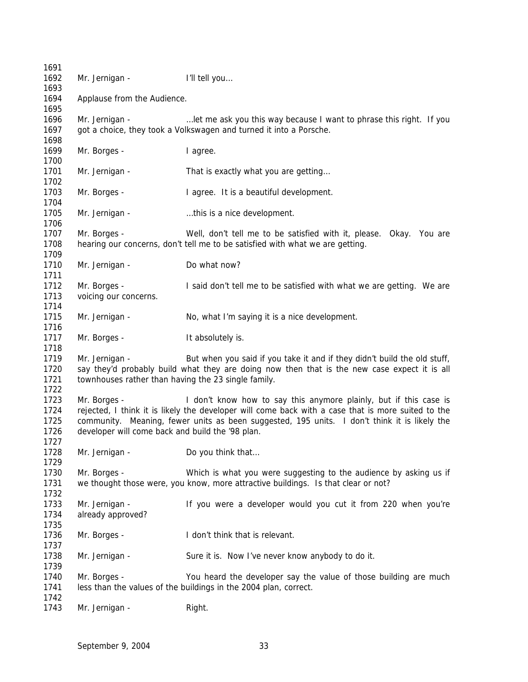| 1691 |                                                     |                                                                                                    |
|------|-----------------------------------------------------|----------------------------------------------------------------------------------------------------|
| 1692 | Mr. Jernigan -                                      | I'll tell you                                                                                      |
| 1693 |                                                     |                                                                                                    |
| 1694 | Applause from the Audience.                         |                                                                                                    |
| 1695 |                                                     |                                                                                                    |
| 1696 | Mr. Jernigan -                                      | let me ask you this way because I want to phrase this right. If you                                |
| 1697 |                                                     | got a choice, they took a Volkswagen and turned it into a Porsche.                                 |
| 1698 |                                                     |                                                                                                    |
| 1699 | Mr. Borges -                                        | I agree.                                                                                           |
| 1700 |                                                     |                                                                                                    |
| 1701 | Mr. Jernigan -                                      | That is exactly what you are getting                                                               |
| 1702 |                                                     |                                                                                                    |
| 1703 | Mr. Borges -                                        | I agree. It is a beautiful development.                                                            |
| 1704 |                                                     |                                                                                                    |
| 1705 | Mr. Jernigan -                                      | this is a nice development.                                                                        |
| 1706 |                                                     |                                                                                                    |
| 1707 | Mr. Borges -                                        | Well, don't tell me to be satisfied with it, please. Okay. You are                                 |
| 1708 |                                                     | hearing our concerns, don't tell me to be satisfied with what we are getting.                      |
| 1709 |                                                     |                                                                                                    |
| 1710 | Mr. Jernigan -                                      | Do what now?                                                                                       |
| 1711 |                                                     |                                                                                                    |
| 1712 | Mr. Borges -                                        | I said don't tell me to be satisfied with what we are getting. We are                              |
| 1713 | voicing our concerns.                               |                                                                                                    |
| 1714 |                                                     |                                                                                                    |
| 1715 | Mr. Jernigan -                                      | No, what I'm saying it is a nice development.                                                      |
| 1716 |                                                     |                                                                                                    |
| 1717 | Mr. Borges -                                        | It absolutely is.                                                                                  |
| 1718 |                                                     |                                                                                                    |
| 1719 | Mr. Jernigan -                                      | But when you said if you take it and if they didn't build the old stuff,                           |
| 1720 |                                                     | say they'd probably build what they are doing now then that is the new case expect it is all       |
| 1721 | townhouses rather than having the 23 single family. |                                                                                                    |
| 1722 |                                                     |                                                                                                    |
| 1723 | Mr. Borges -                                        | I don't know how to say this anymore plainly, but if this case is                                  |
| 1724 |                                                     | rejected, I think it is likely the developer will come back with a case that is more suited to the |
| 1725 |                                                     | community. Meaning, fewer units as been suggested, 195 units. I don't think it is likely the       |
| 1726 | developer will come back and build the '98 plan.    |                                                                                                    |
| 1727 |                                                     |                                                                                                    |
| 1728 | Mr. Jernigan -                                      | Do you think that                                                                                  |
| 1729 |                                                     |                                                                                                    |
| 1730 | Mr. Borges -                                        | Which is what you were suggesting to the audience by asking us if                                  |
| 1731 |                                                     | we thought those were, you know, more attractive buildings. Is that clear or not?                  |
| 1732 |                                                     |                                                                                                    |
| 1733 | Mr. Jernigan -                                      | If you were a developer would you cut it from 220 when you're                                      |
| 1734 | already approved?                                   |                                                                                                    |
| 1735 |                                                     |                                                                                                    |
| 1736 | Mr. Borges -                                        | I don't think that is relevant.                                                                    |
| 1737 |                                                     |                                                                                                    |
| 1738 | Mr. Jernigan -                                      | Sure it is. Now I've never know anybody to do it.                                                  |
| 1739 |                                                     |                                                                                                    |
| 1740 | Mr. Borges -                                        | You heard the developer say the value of those building are much                                   |
| 1741 |                                                     | less than the values of the buildings in the 2004 plan, correct.                                   |
| 1742 |                                                     |                                                                                                    |
| 1743 | Mr. Jernigan -                                      | Right.                                                                                             |
|      |                                                     |                                                                                                    |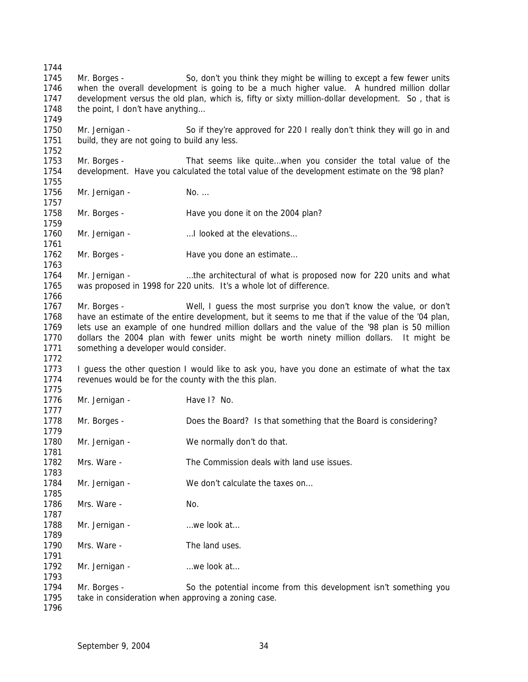Mr. Borges - So, don't you think they might be willing to except a few fewer units when the overall development is going to be a much higher value. A hundred million dollar development versus the old plan, which is, fifty or sixty million-dollar development. So , that is 1748 the point, I don't have anything... Mr. Jernigan - So if they're approved for 220 I really don't think they will go in and 1751 build, they are not going to build any less. Mr. Borges - That seems like quite…when you consider the total value of the development. Have you calculated the total value of the development estimate on the '98 plan? 1756 Mr. Jernigan - No. ... Mr. Borges - Have you done it on the 2004 plan? 1760 Mr. Jernigan - ... ... I looked at the elevations... 1762 Mr. Borges - Have you done an estimate... Mr. Jernigan - …the architectural of what is proposed now for 220 units and what was proposed in 1998 for 220 units. It's a whole lot of difference. Mr. Borges - Well, I guess the most surprise you don't know the value, or don't have an estimate of the entire development, but it seems to me that if the value of the '04 plan, lets use an example of one hundred million dollars and the value of the '98 plan is 50 million dollars the 2004 plan with fewer units might be worth ninety million dollars. It might be something a developer would consider. 1773 I guess the other question I would like to ask you, have you done an estimate of what the tax revenues would be for the county with the this plan. 1776 Mr. Jernigan - Have I? No. Mr. Borges - Does the Board? Is that something that the Board is considering? 1780 Mr. Jernigan - We normally don't do that. Mrs. Ware - The Commission deals with land use issues. 1784 Mr. Jernigan - We don't calculate the taxes on... Mrs. Ware - No. 1788 Mr. Jernigan - …we look at... 1790 Mrs. Ware - The land uses. 1792 Mr. Jernigan - …we look at... Mr. Borges - So the potential income from this development isn't something you take in consideration when approving a zoning case.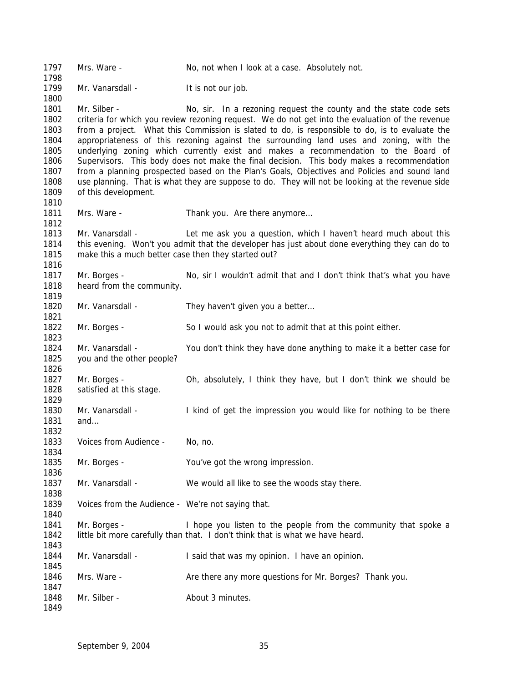| 1797<br>1798         | Mrs. Ware -                                         | No, not when I look at a case. Absolutely not.                                                                                                                                                     |
|----------------------|-----------------------------------------------------|----------------------------------------------------------------------------------------------------------------------------------------------------------------------------------------------------|
| 1799                 | Mr. Vanarsdall -                                    | It is not our job.                                                                                                                                                                                 |
| 1800<br>1801         | Mr. Silber -                                        | No, sir. In a rezoning request the county and the state code sets                                                                                                                                  |
| 1802<br>1803         |                                                     | criteria for which you review rezoning request. We do not get into the evaluation of the revenue<br>from a project. What this Commission is slated to do, is responsible to do, is to evaluate the |
| 1804<br>1805         |                                                     | appropriateness of this rezoning against the surrounding land uses and zoning, with the<br>underlying zoning which currently exist and makes a recommendation to the Board of                      |
| 1806<br>1807         |                                                     | Supervisors. This body does not make the final decision. This body makes a recommendation<br>from a planning prospected based on the Plan's Goals, Objectives and Policies and sound land          |
| 1808                 |                                                     | use planning. That is what they are suppose to do. They will not be looking at the revenue side                                                                                                    |
| 1809<br>1810         | of this development.                                |                                                                                                                                                                                                    |
| 1811<br>1812         | Mrs. Ware -                                         | Thank you. Are there anymore                                                                                                                                                                       |
| 1813                 | Mr. Vanarsdall -                                    | Let me ask you a question, which I haven't heard much about this                                                                                                                                   |
| 1814<br>1815         | make this a much better case then they started out? | this evening. Won't you admit that the developer has just about done everything they can do to                                                                                                     |
| 1816                 |                                                     |                                                                                                                                                                                                    |
| 1817                 | Mr. Borges -                                        | No, sir I wouldn't admit that and I don't think that's what you have                                                                                                                               |
| 1818                 | heard from the community.                           |                                                                                                                                                                                                    |
| 1819                 |                                                     |                                                                                                                                                                                                    |
| 1820<br>1821         | Mr. Vanarsdall -                                    | They haven't given you a better                                                                                                                                                                    |
| 1822<br>1823         | Mr. Borges -                                        | So I would ask you not to admit that at this point either.                                                                                                                                         |
| 1824<br>1825<br>1826 | Mr. Vanarsdall -<br>you and the other people?       | You don't think they have done anything to make it a better case for                                                                                                                               |
| 1827<br>1828<br>1829 | Mr. Borges -<br>satisfied at this stage.            | Oh, absolutely, I think they have, but I don't think we should be                                                                                                                                  |
| 1830<br>1831         | Mr. Vanarsdall -<br>and                             | I kind of get the impression you would like for nothing to be there                                                                                                                                |
| 1832<br>1833         | Voices from Audience -                              | No, no.                                                                                                                                                                                            |
| 1834                 |                                                     |                                                                                                                                                                                                    |
| 1835<br>1836         | Mr. Borges -                                        | You've got the wrong impression.                                                                                                                                                                   |
| 1837                 | Mr. Vanarsdall -                                    | We would all like to see the woods stay there.                                                                                                                                                     |
| 1838<br>1839         | Voices from the Audience - We're not saying that.   |                                                                                                                                                                                                    |
| 1840                 |                                                     |                                                                                                                                                                                                    |
| 1841<br>1842         | Mr. Borges -                                        | I hope you listen to the people from the community that spoke a<br>little bit more carefully than that. I don't think that is what we have heard.                                                  |
| 1843<br>1844         | Mr. Vanarsdall -                                    | I said that was my opinion. I have an opinion.                                                                                                                                                     |
| 1845<br>1846         | Mrs. Ware -                                         | Are there any more questions for Mr. Borges? Thank you.                                                                                                                                            |
| 1847                 |                                                     |                                                                                                                                                                                                    |
| 1848<br>1849         | Mr. Silber -                                        | About 3 minutes.                                                                                                                                                                                   |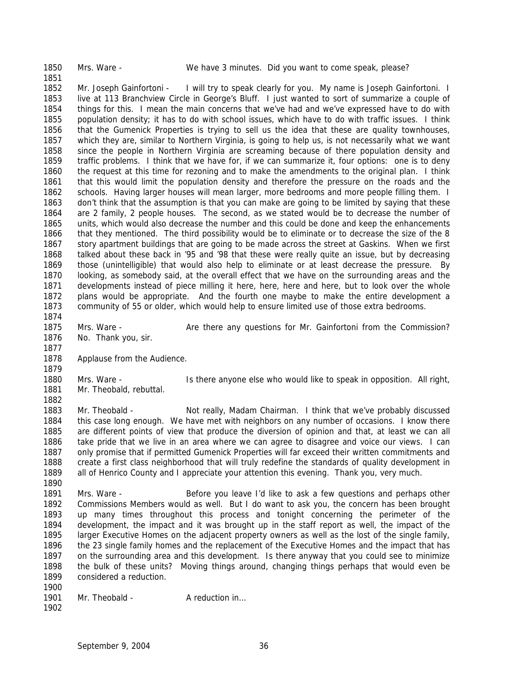Mrs. Ware - We have 3 minutes. Did you want to come speak, please? 1852 Mr. Joseph Gainfortoni - I will try to speak clearly for you. My name is Joseph Gainfortoni. I live at 113 Branchview Circle in George's Bluff. I just wanted to sort of summarize a couple of things for this. I mean the main concerns that we've had and we've expressed have to do with population density; it has to do with school issues, which have to do with traffic issues. I think that the Gumenick Properties is trying to sell us the idea that these are quality townhouses, which they are, similar to Northern Virginia, is going to help us, is not necessarily what we want since the people in Northern Virginia are screaming because of there population density and traffic problems. I think that we have for, if we can summarize it, four options: one is to deny the request at this time for rezoning and to make the amendments to the original plan. I think that this would limit the population density and therefore the pressure on the roads and the schools. Having larger houses will mean larger, more bedrooms and more people filling them. I don't think that the assumption is that you can make are going to be limited by saying that these are 2 family, 2 people houses. The second, as we stated would be to decrease the number of units, which would also decrease the number and this could be done and keep the enhancements that they mentioned. The third possibility would be to eliminate or to decrease the size of the 8 story apartment buildings that are going to be made across the street at Gaskins. When we first talked about these back in '95 and '98 that these were really quite an issue, but by decreasing those (unintelligible) that would also help to eliminate or at least decrease the pressure. By looking, as somebody said, at the overall effect that we have on the surrounding areas and the developments instead of piece milling it here, here, here and here, but to look over the whole plans would be appropriate. And the fourth one maybe to make the entire development a community of 55 or older, which would help to ensure limited use of those extra bedrooms. Mrs. Ware - Are there any questions for Mr. Gainfortoni from the Commission? No. Thank you, sir. Applause from the Audience. Mrs. Ware - Is there anyone else who would like to speak in opposition. All right, Mr. Theobald, rebuttal. Mr. Theobald - Not really, Madam Chairman. I think that we've probably discussed this case long enough. We have met with neighbors on any number of occasions. I know there are different points of view that produce the diversion of opinion and that, at least we can all take pride that we live in an area where we can agree to disagree and voice our views. I can only promise that if permitted Gumenick Properties will far exceed their written commitments and create a first class neighborhood that will truly redefine the standards of quality development in all of Henrico County and I appreciate your attention this evening. Thank you, very much. Mrs. Ware - Before you leave I'd like to ask a few questions and perhaps other Commissions Members would as well. But I do want to ask you, the concern has been brought up many times throughout this process and tonight concerning the perimeter of the development, the impact and it was brought up in the staff report as well, the impact of the larger Executive Homes on the adjacent property owners as well as the lost of the single family, the 23 single family homes and the replacement of the Executive Homes and the impact that has on the surrounding area and this development. Is there anyway that you could see to minimize the bulk of these units? Moving things around, changing things perhaps that would even be considered a reduction. 1901 Mr. Theobald - A reduction in...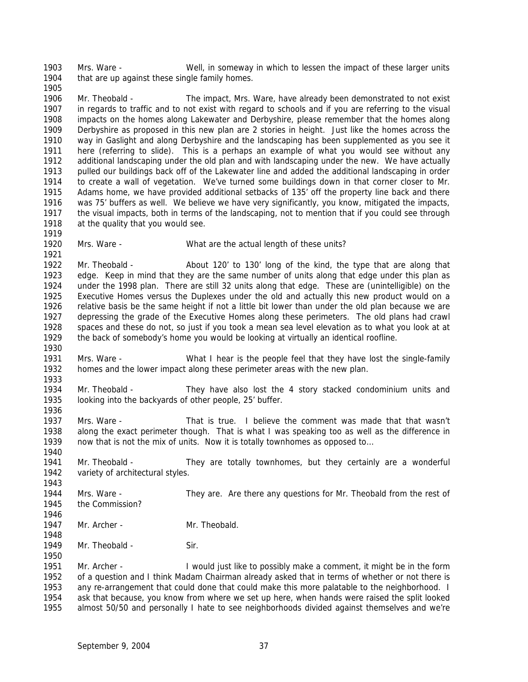Mrs. Ware - Well, in someway in which to lessen the impact of these larger units that are up against these single family homes. 

 Mr. Theobald - The impact, Mrs. Ware, have already been demonstrated to not exist in regards to traffic and to not exist with regard to schools and if you are referring to the visual impacts on the homes along Lakewater and Derbyshire, please remember that the homes along Derbyshire as proposed in this new plan are 2 stories in height. Just like the homes across the way in Gaslight and along Derbyshire and the landscaping has been supplemented as you see it here (referring to slide). This is a perhaps an example of what you would see without any additional landscaping under the old plan and with landscaping under the new. We have actually pulled our buildings back off of the Lakewater line and added the additional landscaping in order to create a wall of vegetation. We've turned some buildings down in that corner closer to Mr. Adams home, we have provided additional setbacks of 135' off the property line back and there was 75' buffers as well. We believe we have very significantly, you know, mitigated the impacts, the visual impacts, both in terms of the landscaping, not to mention that if you could see through 1918 at the quality that you would see.

Mrs. Ware - What are the actual length of these units?

 Mr. Theobald - About 120' to 130' long of the kind, the type that are along that edge. Keep in mind that they are the same number of units along that edge under this plan as under the 1998 plan. There are still 32 units along that edge. These are (unintelligible) on the Executive Homes versus the Duplexes under the old and actually this new product would on a relative basis be the same height if not a little bit lower than under the old plan because we are depressing the grade of the Executive Homes along these perimeters. The old plans had crawl spaces and these do not, so just if you took a mean sea level elevation as to what you look at at the back of somebody's home you would be looking at virtually an identical roofline.

- Mrs. Ware What I hear is the people feel that they have lost the single-family homes and the lower impact along these perimeter areas with the new plan.
- Mr. Theobald They have also lost the 4 story stacked condominium units and looking into the backyards of other people, 25' buffer.
- Mrs. Ware That is true. I believe the comment was made that that wasn't along the exact perimeter though. That is what I was speaking too as well as the difference in 1939 now that is not the mix of units. Now it is totally townhomes as opposed to...
- Mr. Theobald They are totally townhomes, but they certainly are a wonderful 1942 variety of architectural styles.
- Mrs. Ware They are. Are there any questions for Mr. Theobald from the rest of the Commission?
- 1947 Mr. Archer Mr. Theobald.
- 1949 Mr. Theobald Sir.

 Mr. Archer - I would just like to possibly make a comment, it might be in the form of a question and I think Madam Chairman already asked that in terms of whether or not there is any re-arrangement that could done that could make this more palatable to the neighborhood. I ask that because, you know from where we set up here, when hands were raised the split looked almost 50/50 and personally I hate to see neighborhoods divided against themselves and we're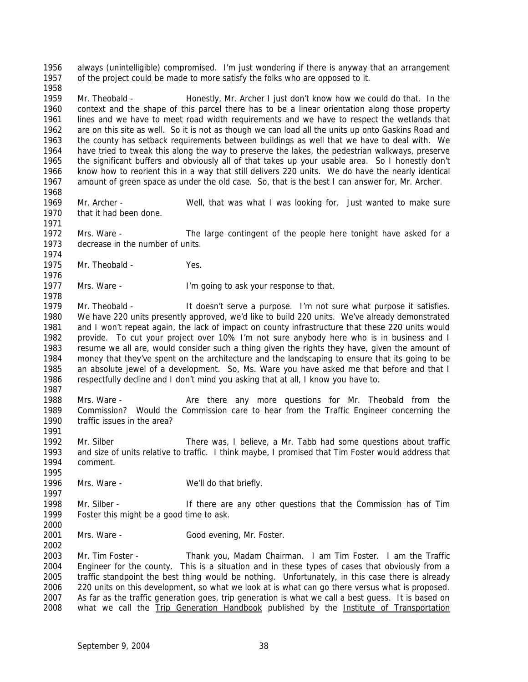always (unintelligible) compromised. I'm just wondering if there is anyway that an arrangement of the project could be made to more satisfy the folks who are opposed to it. 

 Mr. Theobald - Honestly, Mr. Archer I just don't know how we could do that. In the context and the shape of this parcel there has to be a linear orientation along those property lines and we have to meet road width requirements and we have to respect the wetlands that are on this site as well. So it is not as though we can load all the units up onto Gaskins Road and the county has setback requirements between buildings as well that we have to deal with. We have tried to tweak this along the way to preserve the lakes, the pedestrian walkways, preserve the significant buffers and obviously all of that takes up your usable area. So I honestly don't know how to reorient this in a way that still delivers 220 units. We do have the nearly identical amount of green space as under the old case. So, that is the best I can answer for, Mr. Archer. 

- Mr. Archer Well, that was what I was looking for. Just wanted to make sure that it had been done.
- Mrs. Ware The large contingent of the people here tonight have asked for a decrease in the number of units.
- Mr. Theobald Yes.

 1977 Mrs. Ware - I'm going to ask your response to that.

- Mr. Theobald It doesn't serve a purpose. I'm not sure what purpose it satisfies. We have 220 units presently approved, we'd like to build 220 units. We've already demonstrated and I won't repeat again, the lack of impact on county infrastructure that these 220 units would provide. To cut your project over 10% I'm not sure anybody here who is in business and I resume we all are, would consider such a thing given the rights they have, given the amount of money that they've spent on the architecture and the landscaping to ensure that its going to be an absolute jewel of a development. So, Ms. Ware you have asked me that before and that I respectfully decline and I don't mind you asking that at all, I know you have to.
- 

- Mrs. Ware Are there any more questions for Mr. Theobald from the Commission? Would the Commission care to hear from the Traffic Engineer concerning the traffic issues in the area?
- Mr. Silber There was, I believe, a Mr. Tabb had some questions about traffic and size of units relative to traffic. I think maybe, I promised that Tim Foster would address that comment.
- 1996 Mrs. Ware We'll do that briefly.
- Mr. Silber If there are any other questions that the Commission has of Tim Foster this might be a good time to ask.
- 2001 Mrs. Ware Good evening, Mr. Foster.

 Mr. Tim Foster - Thank you, Madam Chairman. I am Tim Foster. I am the Traffic Engineer for the county. This is a situation and in these types of cases that obviously from a traffic standpoint the best thing would be nothing. Unfortunately, in this case there is already 220 units on this development, so what we look at is what can go there versus what is proposed. As far as the traffic generation goes, trip generation is what we call a best guess. It is based on what we call the *Trip Generation Handbook* published by the *Institute of Transportation*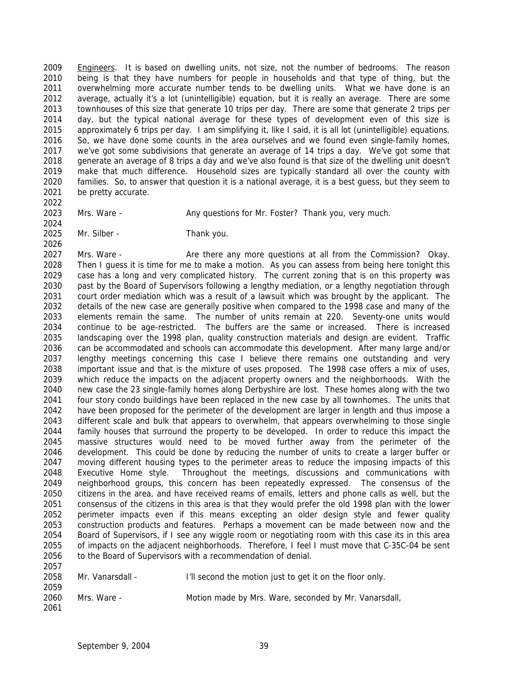*Engineers*. It is based on dwelling units, not size, not the number of bedrooms. The reason being is that they have numbers for people in households and that type of thing, but the overwhelming more accurate number tends to be dwelling units. What we have done is an average, actually it's a lot (unintelligible) equation, but it is really an average. There are some townhouses of this size that generate 10 trips per day. There are some that generate 2 trips per day, but the typical national average for these types of development even of this size is approximately 6 trips per day. I am simplifying it, like I said, it is all lot (unintelligible) equations. So, we have done some counts in the area ourselves and we found even single-family homes, we've got some subdivisions that generate an average of 14 trips a day. We've got some that generate an average of 8 trips a day and we've also found is that size of the dwelling unit doesn't make that much difference. Household sizes are typically standard all over the county with families. So, to answer that question it is a national average, it is a best guess, but they seem to be pretty accurate.

2023 Mrs. Ware - Any questions for Mr. Foster? Thank you, very much.

Mr. Silber - Thank you.

 Mrs. Ware - Are there any more questions at all from the Commission? Okay. Then I guess it is time for me to make a motion. As you can assess from being here tonight this case has a long and very complicated history. The current zoning that is on this property was past by the Board of Supervisors following a lengthy mediation, or a lengthy negotiation through court order mediation which was a result of a lawsuit which was brought by the applicant. The details of the new case are generally positive when compared to the 1998 case and many of the elements remain the same. The number of units remain at 220. Seventy-one units would continue to be age-restricted. The buffers are the same or increased. There is increased landscaping over the 1998 plan, quality construction materials and design are evident. Traffic can be accommodated and schools can accommodate this development. After many large and/or lengthy meetings concerning this case I believe there remains one outstanding and very important issue and that is the mixture of uses proposed. The 1998 case offers a mix of uses, 2039 which reduce the impacts on the adjacent property owners and the neighborhoods. With the 23 single-family homes along Derbyshire are lost. These homes along with the two new case the 23 single-family homes along Derbyshire are lost. These homes along with the two four story condo buildings have been replaced in the new case by all townhomes. The units that have been proposed for the perimeter of the development are larger in length and thus impose a different scale and bulk that appears to overwhelm, that appears overwhelming to those single family houses that surround the property to be developed. In order to reduce this impact the massive structures would need to be moved further away from the perimeter of the development. This could be done by reducing the number of units to create a larger buffer or moving different housing types to the perimeter areas to reduce the imposing impacts of this Executive Home style. Throughout the meetings, discussions and communications with neighborhood groups, this concern has been repeatedly expressed. The consensus of the citizens in the area, and have received reams of emails, letters and phone calls as well, but the consensus of the citizens in this area is that they would prefer the old 1998 plan with the lower perimeter impacts even if this means excepting an older design style and fewer quality construction products and features. Perhaps a movement can be made between now and the Board of Supervisors, if I see any wiggle room or negotiating room with this case its in this area of impacts on the adjacent neighborhoods. Therefore, I feel I must move that C-35C-04 be sent 2056 to the Board of Supervisors with a recommendation of denial. 

| 2058 | Mr. Vanarsdall - | I'll second the motion just to get it on the floor only. |
|------|------------------|----------------------------------------------------------|
| 2059 |                  |                                                          |
| 2060 | Mrs. Ware -      | Motion made by Mrs. Ware, seconded by Mr. Vanarsdall,    |
| 2061 |                  |                                                          |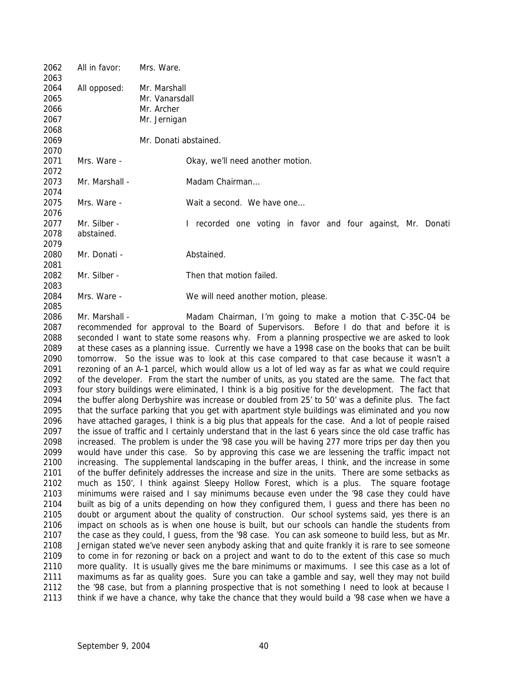| 2062 | All in favor:  | Mrs. Ware.                                                  |
|------|----------------|-------------------------------------------------------------|
| 2063 |                |                                                             |
| 2064 | All opposed:   | Mr. Marshall                                                |
| 2065 |                | Mr. Vanarsdall                                              |
| 2066 |                | Mr. Archer                                                  |
| 2067 |                | Mr. Jernigan                                                |
| 2068 |                |                                                             |
| 2069 |                | Mr. Donati abstained.                                       |
| 2070 |                |                                                             |
| 2071 | Mrs. Ware -    | Okay, we'll need another motion.                            |
| 2072 |                |                                                             |
| 2073 | Mr. Marshall - | Madam Chairman                                              |
| 2074 |                |                                                             |
| 2075 | Mrs. Ware -    | Wait a second. We have one                                  |
|      |                |                                                             |
| 2076 | Mr. Silber -   |                                                             |
| 2077 |                | I recorded one voting in favor and four against, Mr. Donati |
| 2078 | abstained.     |                                                             |
| 2079 |                |                                                             |
| 2080 | Mr. Donati -   | Abstained.                                                  |
| 2081 |                |                                                             |
| 2082 | Mr. Silber -   | Then that motion failed.                                    |
| 2083 |                |                                                             |
| 2084 | Mrs. Ware -    | We will need another motion, please.                        |
| 2085 |                |                                                             |

2086 Mr. Marshall - Madam Chairman, I'm going to make a motion that C-35C-04 be recommended for approval to the Board of Supervisors. Before I do that and before it is seconded I want to state some reasons why. From a planning prospective we are asked to look at these cases as a planning issue. Currently we have a 1998 case on the books that can be built tomorrow. So the issue was to look at this case compared to that case because it wasn't a rezoning of an A-1 parcel, which would allow us a lot of led way as far as what we could require of the developer. From the start the number of units, as you stated are the same. The fact that four story buildings were eliminated, I think is a big positive for the development. The fact that the buffer along Derbyshire was increase or doubled from 25' to 50' was a definite plus. The fact that the surface parking that you get with apartment style buildings was eliminated and you now have attached garages, I think is a big plus that appeals for the case. And a lot of people raised the issue of traffic and I certainly understand that in the last 6 years since the old case traffic has increased. The problem is under the '98 case you will be having 277 more trips per day then you would have under this case. So by approving this case we are lessening the traffic impact not increasing. The supplemental landscaping in the buffer areas, I think, and the increase in some of the buffer definitely addresses the increase and size in the units. There are some setbacks as much as 150', I think against Sleepy Hollow Forest, which is a plus. The square footage minimums were raised and I say minimums because even under the '98 case they could have built as big of a units depending on how they configured them, I guess and there has been no doubt or argument about the quality of construction. Our school systems said, yes there is an impact on schools as is when one house is built, but our schools can handle the students from the case as they could, I guess, from the '98 case. You can ask someone to build less, but as Mr. Jernigan stated we've never seen anybody asking that and quite frankly it is rare to see someone to come in for rezoning or back on a project and want to do to the extent of this case so much more quality. It is usually gives me the bare minimums or maximums. I see this case as a lot of maximums as far as quality goes. Sure you can take a gamble and say, well they may not build the '98 case, but from a planning prospective that is not something I need to look at because I think if we have a chance, why take the chance that they would build a '98 case when we have a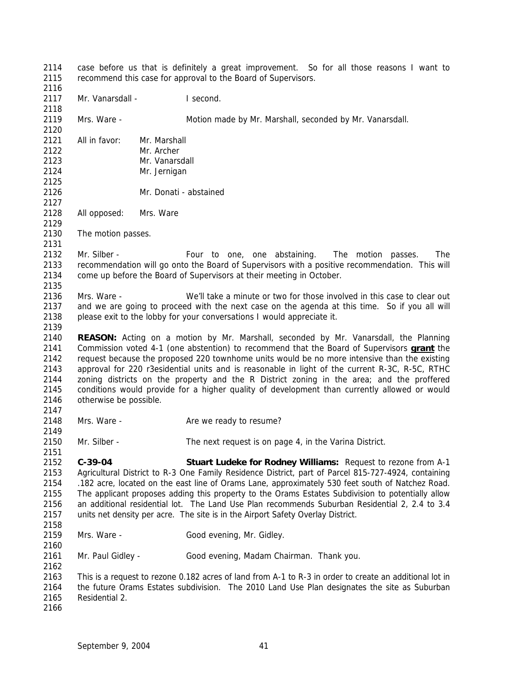case before us that is definitely a great improvement. So for all those reasons I want to recommend this case for approval to the Board of Supervisors. 2117 Mr. Vanarsdall - I second. Mrs. Ware - Motion made by Mr. Marshall, seconded by Mr. Vanarsdall. All in favor: Mr. Marshall Mr. Archer Mr. Vanarsdall Mr. Jernigan Mr. Donati - abstained All opposed: Mrs. Ware The motion passes. Mr. Silber - Four to one, one abstaining. The motion passes. The recommendation will go onto the Board of Supervisors with a positive recommendation. This will come up before the Board of Supervisors at their meeting in October. Mrs. Ware - We'll take a minute or two for those involved in this case to clear out and we are going to proceed with the next case on the agenda at this time. So if you all will please exit to the lobby for your conversations I would appreciate it. **REASON:** Acting on a motion by Mr. Marshall, seconded by Mr. Vanarsdall, the Planning Commission voted 4-1 (one abstention) to recommend that the Board of Supervisors **grant** the request because the proposed 220 townhome units would be no more intensive than the existing approval for 220 r3esidential units and is reasonable in light of the current R-3C, R-5C, RTHC zoning districts on the property and the R District zoning in the area; and the proffered conditions would provide for a higher quality of development than currently allowed or would otherwise be possible. 2148 Mrs. Ware - Are we ready to resume? Mr. Silber - The next request is on page 4, in the Varina District. **C-39-04 Stuart Ludeke for Rodney Williams:** Request to rezone from A-1 Agricultural District to R-3 One Family Residence District, part of Parcel 815-727-4924, containing .182 acre, located on the east line of Orams Lane, approximately 530 feet south of Natchez Road. The applicant proposes adding this property to the Orams Estates Subdivision to potentially allow an additional residential lot. The Land Use Plan recommends Suburban Residential 2, 2.4 to 3.4 units net density per acre. The site is in the Airport Safety Overlay District. 2159 Mrs. Ware - Good evening, Mr. Gidley. Mr. Paul Gidley - Good evening, Madam Chairman. Thank you. This is a request to rezone 0.182 acres of land from A-1 to R-3 in order to create an additional lot in the future Orams Estates subdivision. The 2010 Land Use Plan designates the site as Suburban Residential 2.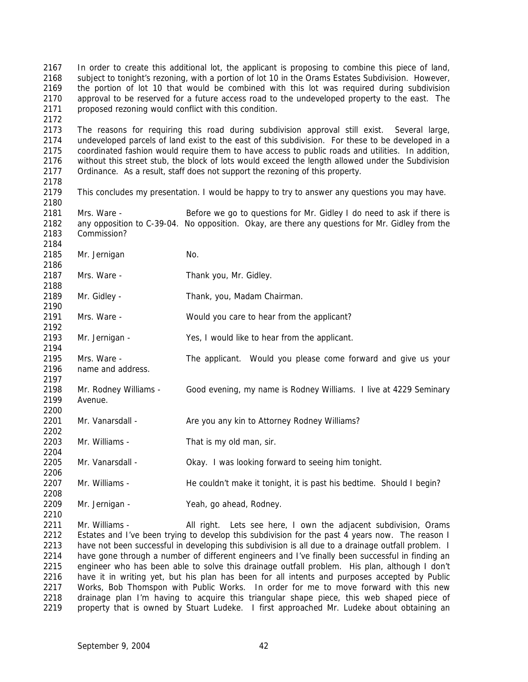In order to create this additional lot, the applicant is proposing to combine this piece of land, subject to tonight's rezoning, with a portion of lot 10 in the Orams Estates Subdivision. However, the portion of lot 10 that would be combined with this lot was required during subdivision approval to be reserved for a future access road to the undeveloped property to the east. The proposed rezoning would conflict with this condition. 

 The reasons for requiring this road during subdivision approval still exist. Several large, undeveloped parcels of land exist to the east of this subdivision. For these to be developed in a coordinated fashion would require them to have access to public roads and utilities. In addition, without this street stub, the block of lots would exceed the length allowed under the Subdivision Ordinance. As a result, staff does not support the rezoning of this property.

This concludes my presentation. I would be happy to try to answer any questions you may have.

 Mrs. Ware - Before we go to questions for Mr. Gidley I do need to ask if there is any opposition to C-39-04. No opposition. Okay, are there any questions for Mr. Gidley from the Commission?

2185 Mr. Jernigan No.

2187 Mrs. Ware - Thank you, Mr. Gidley. 

 Mr. Gidley - Thank, you, Madam Chairman. 

 Mrs. Ware - Would you care to hear from the applicant? 

Mr. Jernigan - Yes, I would like to hear from the applicant.

 Mrs. Ware - The applicant. Would you please come forward and give us your name and address.

 Mr. Rodney Williams - Good evening, my name is Rodney Williams. I live at 4229 Seminary Avenue.

2201 Mr. Vanarsdall - Are you any kin to Attorney Rodney Williams?

Mr. Williams - That is my old man, sir.

Mr. Vanarsdall - Okay. I was looking forward to seeing him tonight.

2207 Mr. Williams - He couldn't make it tonight, it is past his bedtime. Should I begin?

2208<br>2209 Mr. Jernigan - Yeah, go ahead, Rodney.

 Mr. Williams - All right. Lets see here, I own the adjacent subdivision, Orams 2212 Estates and I've been trying to develop this subdivision for the past 4 years now. The reason I 2213 have not been successful in developing this subdivision is all due to a drainage outfall problem. I have gone through a number of different engineers and I've finally been successful in finding an engineer who has been able to solve this drainage outfall problem. His plan, although I don't have it in writing yet, but his plan has been for all intents and purposes accepted by Public Works, Bob Thomspon with Public Works. In order for me to move forward with this new drainage plan I'm having to acquire this triangular shape piece, this web shaped piece of 2219 property that is owned by Stuart Ludeke. I first approached Mr. Ludeke about obtaining an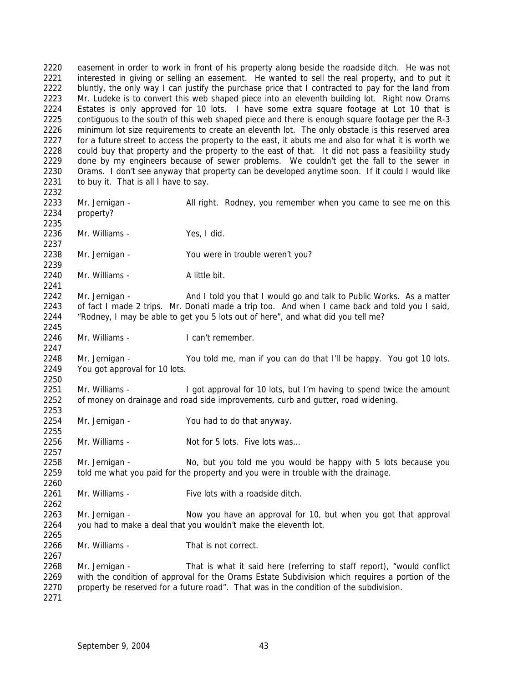easement in order to work in front of his property along beside the roadside ditch. He was not 2221 interested in giving or selling an easement. He wanted to sell the real property, and to put it 2222 bluntly, the only way I can justify the purchase price that I contracted to pay for the land from Mr. Ludeke is to convert this web shaped piece into an eleventh building lot. Right now Orams Estates is only approved for 10 lots. I have some extra square footage at Lot 10 that is contiguous to the south of this web shaped piece and there is enough square footage per the R-3 minimum lot size requirements to create an eleventh lot. The only obstacle is this reserved area 2227 for a future street to access the property to the east, it abuts me and also for what it is worth we could buy that property and the property to the east of that. It did not pass a feasibility study done by my engineers because of sewer problems. We couldn't get the fall to the sewer in Orams. I don't see anyway that property can be developed anytime soon. If it could I would like to buy it. That is all I have to say. Mr. Jernigan - All right. Rodney, you remember when you came to see me on this property? Mr. Williams - Yes, I did. Mr. Jernigan - You were in trouble weren't you? 2240 Mr. Williams - Alittle bit. 2242 Mr. Jernigan - And I told you that I would go and talk to Public Works. As a matter of fact I made 2 trips. Mr. Donati made a trip too. And when I came back and told you I said, "Rodney, I may be able to get you 5 lots out of here", and what did you tell me? 2246 Mr. Williams - I can't remember. Mr. Jernigan - You told me, man if you can do that I'll be happy. You got 10 lots. You got approval for 10 lots. Mr. Williams - I got approval for 10 lots, but I'm having to spend twice the amount of money on drainage and road side improvements, curb and gutter, road widening. Mr. Jernigan - You had to do that anyway. 2256 Mr. Williams - Not for 5 lots. Five lots was... Mr. Jernigan - No, but you told me you would be happy with 5 lots because you told me what you paid for the property and you were in trouble with the drainage. Mr. Williams - Five lots with a roadside ditch. Mr. Jernigan - Now you have an approval for 10, but when you got that approval you had to make a deal that you wouldn't make the eleventh lot. Mr. Williams - That is not correct. Mr. Jernigan - That is what it said here (referring to staff report), "would conflict with the condition of approval for the Orams Estate Subdivision which requires a portion of the 2270 property be reserved for a future road". That was in the condition of the subdivision.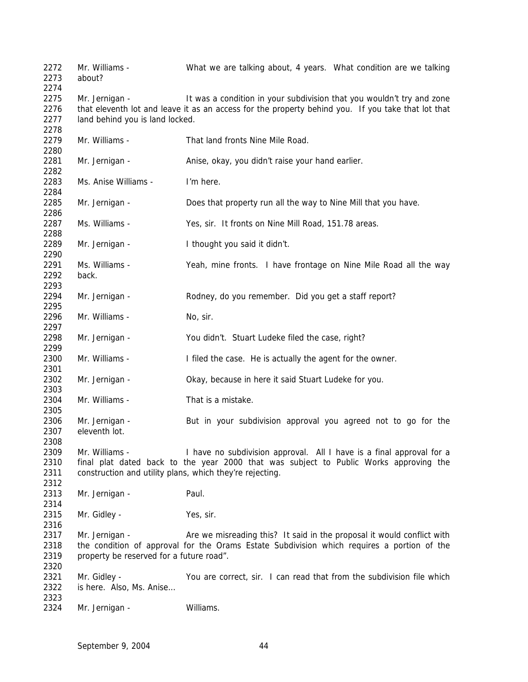2272 Mr. Williams - What we are talking about, 4 years. What condition are we talking about? 2275 Mr. Jernigan - It was a condition in your subdivision that you wouldn't try and zone that eleventh lot and leave it as an access for the property behind you. If you take that lot that land behind you is land locked. Mr. Williams - That land fronts Nine Mile Road. Mr. Jernigan - Anise, okay, you didn't raise your hand earlier. Ms. Anise Williams - I'm here. Mr. Jernigan - Does that property run all the way to Nine Mill that you have. Ms. Williams - Yes, sir. It fronts on Nine Mill Road, 151.78 areas. Mr. Jernigan - I thought you said it didn't. Ms. Williams - Yeah, mine fronts. I have frontage on Nine Mile Road all the way back. Mr. Jernigan - Rodney, do you remember. Did you get a staff report? 2296 Mr. Williams - No, sir. Mr. Jernigan - You didn't. Stuart Ludeke filed the case, right? Mr. Williams - I filed the case. He is actually the agent for the owner. Mr. Jernigan - Okay, because in here it said Stuart Ludeke for you. Mr. Williams - That is a mistake. Mr. Jernigan - But in your subdivision approval you agreed not to go for the eleventh lot. Mr. Williams - I have no subdivision approval. All I have is a final approval for a final plat dated back to the year 2000 that was subject to Public Works approving the construction and utility plans, which they're rejecting. 2313 Mr. Jernigan - Paul. 2315 Mr. Gidley - Yes, sir. 2317 Mr. Jernigan - Are we misreading this? It said in the proposal it would conflict with the condition of approval for the Orams Estate Subdivision which requires a portion of the property be reserved for a future road". 2321 Mr. Gidley - You are correct, sir. I can read that from the subdivision file which is here. Also, Ms. Anise… Mr. Jernigan - Williams.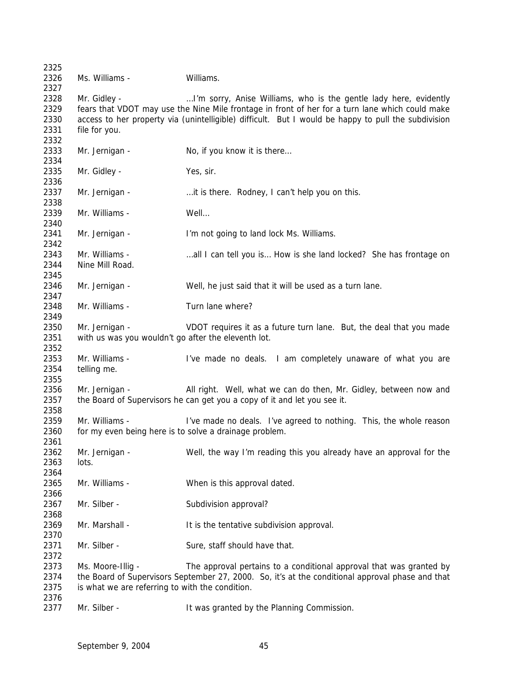Ms. Williams - Williams. 2328 Mr. Gidley - ... ... I'm sorry, Anise Williams, who is the gentle lady here, evidently fears that VDOT may use the Nine Mile frontage in front of her for a turn lane which could make access to her property via (unintelligible) difficult. But I would be happy to pull the subdivision file for you. 2333 Mr. Jernigan - No, if you know it is there... Mr. Gidley - Yes, sir. 2337 Mr. Jernigan - …it is there. Rodney, I can't help you on this. Mr. Williams - Well… Mr. Jernigan - I'm not going to land lock Ms. Williams. 2343 Mr. Williams - …all I can tell you is... How is she land locked? She has frontage on Nine Mill Road. Mr. Jernigan - Well, he just said that it will be used as a turn lane. Mr. Williams - Turn lane where? Mr. Jernigan - VDOT requires it as a future turn lane. But, the deal that you made with us was you wouldn't go after the eleventh lot. Mr. Williams - I've made no deals. I am completely unaware of what you are telling me. Mr. Jernigan - All right. Well, what we can do then, Mr. Gidley, between now and the Board of Supervisors he can get you a copy of it and let you see it. Mr. Williams - I've made no deals. I've agreed to nothing. This, the whole reason 2360 for my even being here is to solve a drainage problem. Mr. Jernigan - Well, the way I'm reading this you already have an approval for the lots. Mr. Williams - When is this approval dated. 2367 Mr. Silber - Subdivision approval? 2369 Mr. Marshall - It is the tentative subdivision approval. 2371 Mr. Silber - Sure, staff should have that. Ms. Moore-Illig - The approval pertains to a conditional approval that was granted by the Board of Supervisors September 27, 2000. So, it's at the conditional approval phase and that is what we are referring to with the condition. 2377 Mr. Silber - It was granted by the Planning Commission.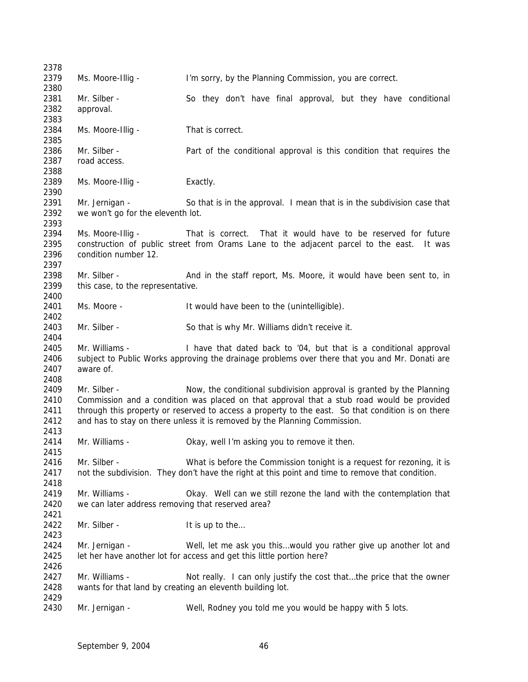Ms. Moore-Illig - I'm sorry, by the Planning Commission, you are correct. 2381 Mr. Silber - So they don't have final approval, but they have conditional approval. Ms. Moore-Illig - That is correct. 2386 Mr. Silber - Part of the conditional approval is this condition that requires the road access. 2389 Ms. Moore-Illig - Exactly. 2391 Mr. Jernigan - So that is in the approval. I mean that is in the subdivision case that we won't go for the eleventh lot. Ms. Moore-Illig - That is correct. That it would have to be reserved for future construction of public street from Orams Lane to the adjacent parcel to the east. It was condition number 12. Mr. Silber - And in the staff report, Ms. Moore, it would have been sent to, in this case, to the representative. Ms. Moore - It would have been to the (unintelligible). 2403 Mr. Silber - So that is why Mr. Williams didn't receive it. Mr. Williams - I have that dated back to '04, but that is a conditional approval subject to Public Works approving the drainage problems over there that you and Mr. Donati are aware of. Mr. Silber - Now, the conditional subdivision approval is granted by the Planning Commission and a condition was placed on that approval that a stub road would be provided through this property or reserved to access a property to the east. So that condition is on there and has to stay on there unless it is removed by the Planning Commission. Mr. Williams - Okay, well I'm asking you to remove it then. 2416 Mr. Silber - What is before the Commission tonight is a request for rezoning, it is not the subdivision. They don't have the right at this point and time to remove that condition. Mr. Williams - Okay. Well can we still rezone the land with the contemplation that we can later address removing that reserved area? 2422 Mr. Silber - It is up to the... Mr. Jernigan - Well, let me ask you this…would you rather give up another lot and 2425 let her have another lot for access and get this little portion here? 2427 Mr. Williams - Not really. I can only justify the cost that...the price that the owner wants for that land by creating an eleventh building lot. Mr. Jernigan - Well, Rodney you told me you would be happy with 5 lots.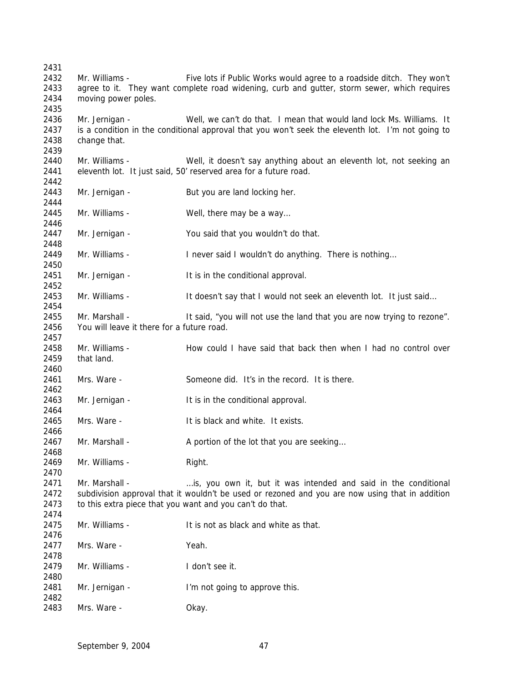Mr. Williams - Five lots if Public Works would agree to a roadside ditch. They won't agree to it. They want complete road widening, curb and gutter, storm sewer, which requires moving power poles. Mr. Jernigan - Well, we can't do that. I mean that would land lock Ms. Williams. It is a condition in the conditional approval that you won't seek the eleventh lot. I'm not going to change that. Mr. Williams - Well, it doesn't say anything about an eleventh lot, not seeking an eleventh lot. It just said, 50' reserved area for a future road. 2443 Mr. Jernigan - But you are land locking her. 2445 Mr. Williams - Well, there may be a way... Mr. Jernigan - You said that you wouldn't do that. Mr. Williams - I never said I wouldn't do anything. There is nothing… Mr. Jernigan - It is in the conditional approval. Mr. Williams - It doesn't say that I would not seek an eleventh lot. It just said… 2455 Mr. Marshall - It said, "you will not use the land that you are now trying to rezone". You will leave it there for a future road. Mr. Williams - How could I have said that back then when I had no control over that land. Mrs. Ware - Someone did. It's in the record. It is there. Mr. Jernigan - It is in the conditional approval. Mrs. Ware - It is black and white. It exists. 2467 Mr. Marshall - A portion of the lot that you are seeking... 2469 Mr. Williams - Right. Mr. Marshall - …is, you own it, but it was intended and said in the conditional subdivision approval that it wouldn't be used or rezoned and you are now using that in addition to this extra piece that you want and you can't do that. Mr. Williams - It is not as black and white as that. 2477 Mrs. Ware - Yeah. Mr. Williams - I don't see it. 2481 Mr. Jernigan - I'm not going to approve this. Mrs. Ware - Okay.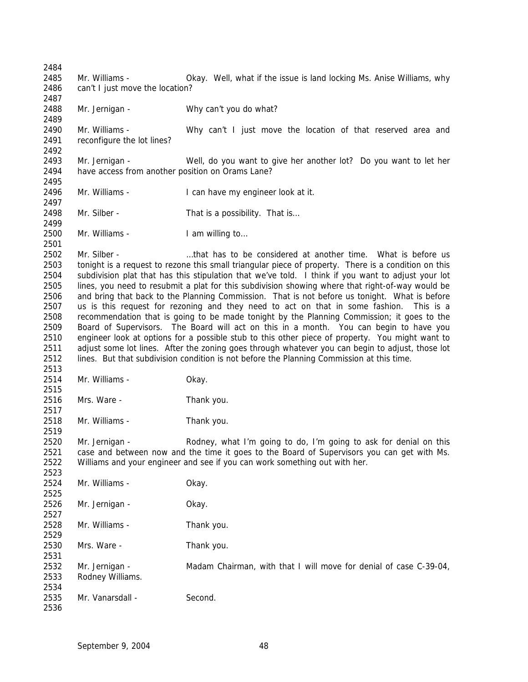Mr. Williams - Okay. Well, what if the issue is land locking Ms. Anise Williams, why 2486 can't I just move the location? Mr. Jernigan - Why can't you do what? Mr. Williams - Why can't I just move the location of that reserved area and reconfigure the lot lines? Mr. Jernigan - Well, do you want to give her another lot? Do you want to let her have access from another position on Orams Lane? Mr. Williams - I can have my engineer look at it. 2498 Mr. Silber - That is a possibility. That is... Mr. Williams - I am willing to… Mr. Silber - …that has to be considered at another time. What is before us tonight is a request to rezone this small triangular piece of property. There is a condition on this subdivision plat that has this stipulation that we've told. I think if you want to adjust your lot lines, you need to resubmit a plat for this subdivision showing where that right-of-way would be and bring that back to the Planning Commission. That is not before us tonight. What is before us is this request for rezoning and they need to act on that in some fashion. This is a recommendation that is going to be made tonight by the Planning Commission; it goes to the Board of Supervisors. The Board will act on this in a month. You can begin to have you engineer look at options for a possible stub to this other piece of property. You might want to adjust some lot lines. After the zoning goes through whatever you can begin to adjust, those lot lines. But that subdivision condition is not before the Planning Commission at this time. Mr. Williams - Okay. Mrs. Ware - Thank you. Mr. Williams - Thank you. Mr. Jernigan - Rodney, what I'm going to do, I'm going to ask for denial on this case and between now and the time it goes to the Board of Supervisors you can get with Ms. Williams and your engineer and see if you can work something out with her. Mr. Williams - Okay. Mr. Jernigan - Okay. Mr. Williams - Thank you. Mrs. Ware - Thank you. 2532 Mr. Jernigan - Madam Chairman, with that I will move for denial of case C-39-04, Rodney Williams. 2535 Mr. Vanarsdall - Second.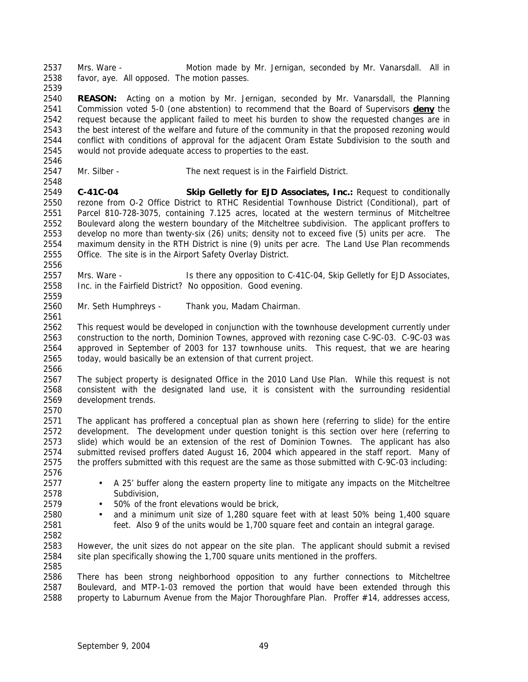Mrs. Ware - Motion made by Mr. Jernigan, seconded by Mr. Vanarsdall. All in favor, aye. All opposed. The motion passes. 

 **REASON:** Acting on a motion by Mr. Jernigan, seconded by Mr. Vanarsdall, the Planning Commission voted 5-0 (one abstention) to recommend that the Board of Supervisors **deny** the request because the applicant failed to meet his burden to show the requested changes are in the best interest of the welfare and future of the community in that the proposed rezoning would conflict with conditions of approval for the adjacent Oram Estate Subdivision to the south and would not provide adequate access to properties to the east.

Mr. Silber - The next request is in the Fairfield District.

 **C-41C-04 Skip Gelletly for EJD Associates, Inc.:** Request to conditionally rezone from O-2 Office District to RTHC Residential Townhouse District (Conditional), part of Parcel 810-728-3075, containing 7.125 acres, located at the western terminus of Mitcheltree Boulevard along the western boundary of the Mitcheltree subdivision. The applicant proffers to develop no more than twenty-six (26) units; density not to exceed five (5) units per acre. The maximum density in the RTH District is nine (9) units per acre. The Land Use Plan recommends Office. The site is in the Airport Safety Overlay District.

 Mrs. Ware - Is there any opposition to C-41C-04, Skip Gelletly for EJD Associates, Inc. in the Fairfield District? No opposition. Good evening.

Mr. Seth Humphreys - Thank you, Madam Chairman.

 This request would be developed in conjunction with the townhouse development currently under construction to the north, Dominion Townes, approved with rezoning case C-9C-03. C-9C-03 was approved in September of 2003 for 137 townhouse units. This request, that we are hearing today, would basically be an extension of that current project.

 The subject property is designated Office in the 2010 Land Use Plan. While this request is not consistent with the designated land use, it is consistent with the surrounding residential development trends.

 The applicant has proffered a conceptual plan as shown here (referring to slide) for the entire development. The development under question tonight is this section over here (referring to slide) which would be an extension of the rest of Dominion Townes. The applicant has also submitted revised proffers dated August 16, 2004 which appeared in the staff report. Many of the proffers submitted with this request are the same as those submitted with C-9C-03 including: 

- A 25' buffer along the eastern property line to mitigate any impacts on the Mitcheltree Subdivision,
- 50% of the front elevations would be brick,
- and a minimum unit size of 1,280 square feet with at least 50% being 1,400 square feet. Also 9 of the units would be 1,700 square feet and contain an integral garage.

 However, the unit sizes do not appear on the site plan. The applicant should submit a revised site plan specifically showing the 1,700 square units mentioned in the proffers. 

 There has been strong neighborhood opposition to any further connections to Mitcheltree Boulevard, and MTP-1-03 removed the portion that would have been extended through this property to Laburnum Avenue from the Major Thoroughfare Plan. Proffer #14, addresses access,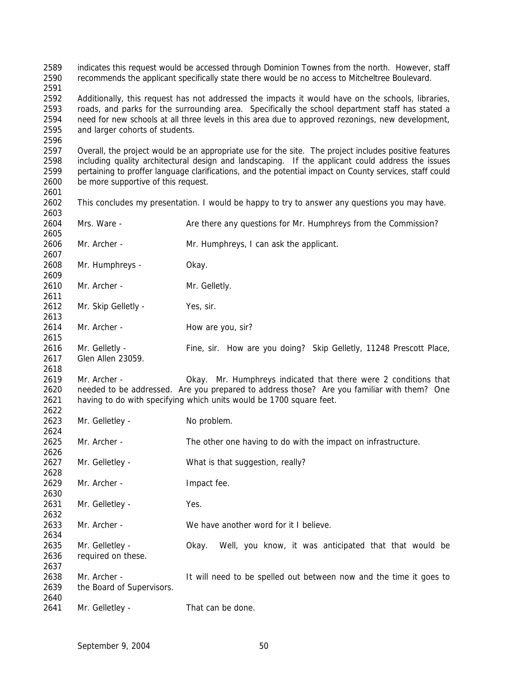indicates this request would be accessed through Dominion Townes from the north. However, staff recommends the applicant specifically state there would be no access to Mitcheltree Boulevard. Additionally, this request has not addressed the impacts it would have on the schools, libraries, roads, and parks for the surrounding area. Specifically the school department staff has stated a need for new schools at all three levels in this area due to approved rezonings, new development, and larger cohorts of students. Overall, the project would be an appropriate use for the site. The project includes positive features including quality architectural design and landscaping. If the applicant could address the issues pertaining to proffer language clarifications, and the potential impact on County services, staff could be more supportive of this request. This concludes my presentation. I would be happy to try to answer any questions you may have. 2604 Mrs. Ware - Are there any questions for Mr. Humphreys from the Commission? Mr. Archer - Mr. Humphreys, I can ask the applicant. Mr. Humphreys - Okay. 2610 Mr. Archer - Mr. Gelletly. 2612 Mr. Skip Gelletly - Yes, sir. 2614 Mr. Archer - How are you, sir? Mr. Gelletly - Fine, sir. How are you doing? Skip Gelletly, 11248 Prescott Place, Glen Allen 23059. Mr. Archer - Okay. Mr. Humphreys indicated that there were 2 conditions that needed to be addressed. Are you prepared to address those? Are you familiar with them? One having to do with specifying which units would be 1700 square feet. 2623 Mr. Gelletley - No problem. Mr. Archer - The other one having to do with the impact on infrastructure. Mr. Gelletley - What is that suggestion, really? 2629 Mr. Archer - Impact fee. Mr. Gelletley - Yes. Mr. Archer - We have another word for it I believe. Mr. Gelletley - Okay. Well, you know, it was anticipated that that would be required on these. Mr. Archer - It will need to be spelled out between now and the time it goes to the Board of Supervisors. 2641 Mr. Gelletley - That can be done.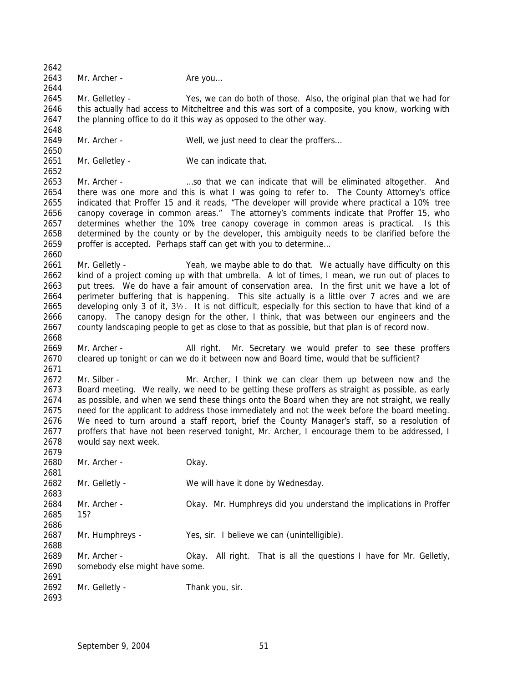2643 Mr. Archer - Are you... Mr. Gelletley - Yes, we can do both of those. Also, the original plan that we had for 2646 this actually had access to Mitcheltree and this was sort of a composite, you know, working with the planning office to do it this way as opposed to the other way. 2649 Mr. Archer - Well, we just need to clear the proffers... 2651 Mr. Gelletley - We can indicate that. Mr. Archer - …so that we can indicate that will be eliminated altogether. And there was one more and this is what I was going to refer to. The County Attorney's office indicated that Proffer 15 and it reads, "The developer will provide where practical a 10% tree canopy coverage in common areas." The attorney's comments indicate that Proffer 15, who determines whether the 10% tree canopy coverage in common areas is practical. Is this determined by the county or by the developer, this ambiguity needs to be clarified before the proffer is accepted. Perhaps staff can get with you to determine… 2661 Mr. Gelletly - Yeah, we maybe able to do that. We actually have difficulty on this kind of a project coming up with that umbrella. A lot of times, I mean, we run out of places to put trees. We do have a fair amount of conservation area. In the first unit we have a lot of perimeter buffering that is happening. This site actually is a little over 7 acres and we are developing only 3 of it, 3½. It is not difficult, especially for this section to have that kind of a canopy. The canopy design for the other, I think, that was between our engineers and the county landscaping people to get as close to that as possible, but that plan is of record now. Mr. Archer - All right. Mr. Secretary we would prefer to see these proffers cleared up tonight or can we do it between now and Board time, would that be sufficient? Mr. Silber - Mr. Archer, I think we can clear them up between now and the Board meeting. We really, we need to be getting these proffers as straight as possible, as early as possible, and when we send these things onto the Board when they are not straight, we really need for the applicant to address those immediately and not the week before the board meeting. We need to turn around a staff report, brief the County Manager's staff, so a resolution of proffers that have not been reserved tonight, Mr. Archer, I encourage them to be addressed, I would say next week. Mr. Archer - Okay. Mr. Gelletly - We will have it done by Wednesday. Mr. Archer - Okay. Mr. Humphreys did you understand the implications in Proffer 15? Mr. Humphreys - Yes, sir. I believe we can (unintelligible). Mr. Archer - Okay. All right. That is all the questions I have for Mr. Gelletly, somebody else might have some. 2692 Mr. Gelletly - Thank you, sir.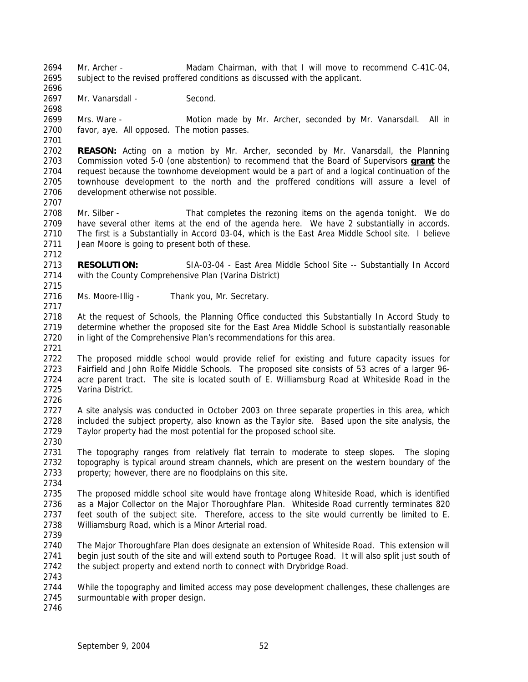Mr. Archer - Madam Chairman, with that I will move to recommend C-41C-04, subject to the revised proffered conditions as discussed with the applicant.

 2697 Mr. Vanarsdall - Second.

 Mrs. Ware - Motion made by Mr. Archer, seconded by Mr. Vanarsdall. All in favor, aye. All opposed. The motion passes.

 **REASON:** Acting on a motion by Mr. Archer, seconded by Mr. Vanarsdall, the Planning Commission voted 5-0 (one abstention) to recommend that the Board of Supervisors **grant** the request because the townhome development would be a part of and a logical continuation of the townhouse development to the north and the proffered conditions will assure a level of development otherwise not possible.

2708 Mr. Silber - That completes the rezoning items on the agenda tonight. We do have several other items at the end of the agenda here. We have 2 substantially in accords. The first is a Substantially in Accord 03-04, which is the East Area Middle School site. I believe Jean Moore is going to present both of these.

 **RESOLUTION:** SIA-03-04 - East Area Middle School Site -- Substantially In Accord with the County Comprehensive Plan (Varina District)

Ms. Moore-Illig - Thank you, Mr. Secretary.

 At the request of Schools, the Planning Office conducted this Substantially In Accord Study to determine whether the proposed site for the East Area Middle School is substantially reasonable in light of the Comprehensive Plan's recommendations for this area.

 The proposed middle school would provide relief for existing and future capacity issues for Fairfield and John Rolfe Middle Schools. The proposed site consists of 53 acres of a larger 96- acre parent tract. The site is located south of E. Williamsburg Road at Whiteside Road in the Varina District. 

 A site analysis was conducted in October 2003 on three separate properties in this area, which included the subject property, also known as the Taylor site. Based upon the site analysis, the Taylor property had the most potential for the proposed school site.

 The topography ranges from relatively flat terrain to moderate to steep slopes. The sloping topography is typical around stream channels, which are present on the western boundary of the property; however, there are no floodplains on this site.

 The proposed middle school site would have frontage along Whiteside Road, which is identified as a Major Collector on the Major Thoroughfare Plan. Whiteside Road currently terminates 820 feet south of the subject site. Therefore, access to the site would currently be limited to E. Williamsburg Road, which is a Minor Arterial road.

 The Major Thoroughfare Plan does designate an extension of Whiteside Road. This extension will begin just south of the site and will extend south to Portugee Road. It will also split just south of the subject property and extend north to connect with Drybridge Road. 

2744 While the topography and limited access may pose development challenges, these challenges are surmountable with proper design.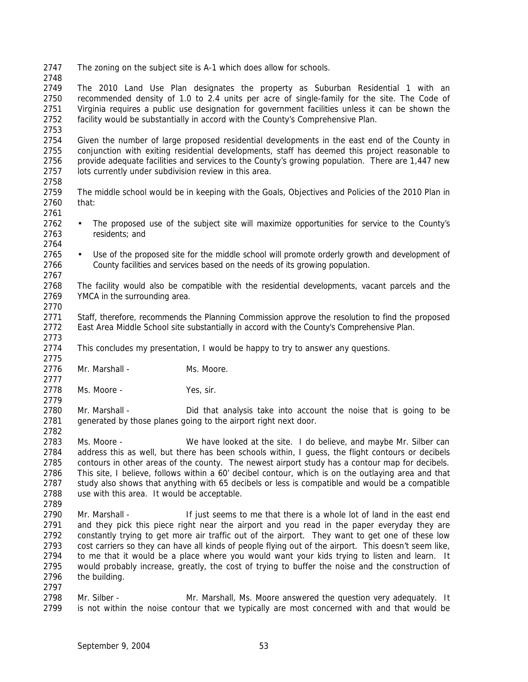The zoning on the subject site is A-1 which does allow for schools.

 The 2010 Land Use Plan designates the property as Suburban Residential 1 with an recommended density of 1.0 to 2.4 units per acre of single-family for the site. The Code of Virginia requires a public use designation for government facilities unless it can be shown the facility would be substantially in accord with the County's Comprehensive Plan.

 Given the number of large proposed residential developments in the east end of the County in conjunction with exiting residential developments, staff has deemed this project reasonable to provide adequate facilities and services to the County's growing population. There are 1,447 new lots currently under subdivision review in this area. 

- The middle school would be in keeping with the Goals, Objectives and Policies of the 2010 Plan in that:
- 

- The proposed use of the subject site will maximize opportunities for service to the County's residents; and
- 

 • Use of the proposed site for the middle school will promote orderly growth and development of County facilities and services based on the needs of its growing population.

 The facility would also be compatible with the residential developments, vacant parcels and the YMCA in the surrounding area.

 Staff, therefore, recommends the Planning Commission approve the resolution to find the proposed East Area Middle School site substantially in accord with the County's Comprehensive Plan.

 This concludes my presentation, I would be happy to try to answer any questions. 

2776 Mr. Marshall - Ms. Moore.

2778 Ms. Moore - Yes, sir.

 Mr. Marshall - Did that analysis take into account the noise that is going to be 2781 generated by those planes going to the airport right next door.

 Ms. Moore - We have looked at the site. I do believe, and maybe Mr. Silber can address this as well, but there has been schools within, I guess, the flight contours or decibels contours in other areas of the county. The newest airport study has a contour map for decibels. This site, I believe, follows within a 60' decibel contour, which is on the outlaying area and that study also shows that anything with 65 decibels or less is compatible and would be a compatible use with this area. It would be acceptable.

 Mr. Marshall - If just seems to me that there is a whole lot of land in the east end and they pick this piece right near the airport and you read in the paper everyday they are constantly trying to get more air traffic out of the airport. They want to get one of these low cost carriers so they can have all kinds of people flying out of the airport. This doesn't seem like, to me that it would be a place where you would want your kids trying to listen and learn. It would probably increase, greatly, the cost of trying to buffer the noise and the construction of the building.

 Mr. Silber - Mr. Marshall, Ms. Moore answered the question very adequately. It is not within the noise contour that we typically are most concerned with and that would be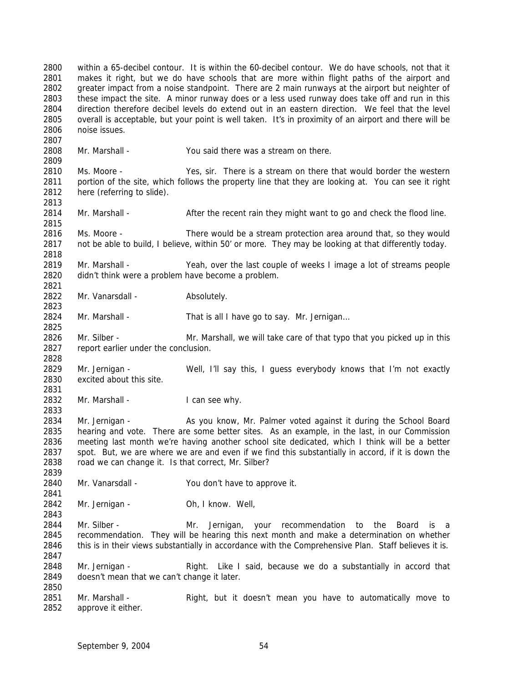within a 65-decibel contour. It is within the 60-decibel contour. We do have schools, not that it makes it right, but we do have schools that are more within flight paths of the airport and greater impact from a noise standpoint. There are 2 main runways at the airport but neighter of these impact the site. A minor runway does or a less used runway does take off and run in this direction therefore decibel levels do extend out in an eastern direction. We feel that the level overall is acceptable, but your point is well taken. It's in proximity of an airport and there will be noise issues. Mr. Marshall - You said there was a stream on there. Ms. Moore - Yes, sir. There is a stream on there that would border the western portion of the site, which follows the property line that they are looking at. You can see it right here (referring to slide). 2814 Mr. Marshall - After the recent rain they might want to go and check the flood line. Ms. Moore - There would be a stream protection area around that, so they would not be able to build, I believe, within 50' or more. They may be looking at that differently today. 2819 Mr. Marshall - Yeah, over the last couple of weeks I image a lot of streams people didn't think were a problem have become a problem. 2822 Mr. Vanarsdall - Absolutely. 2824 Mr. Marshall - That is all I have go to say. Mr. Jernigan... Mr. Silber - Mr. Marshall, we will take care of that typo that you picked up in this report earlier under the conclusion. Mr. Jernigan - Well, I'll say this, I guess everybody knows that I'm not exactly excited about this site. 2832 Mr. Marshall - I can see why. Mr. Jernigan - As you know, Mr. Palmer voted against it during the School Board hearing and vote. There are some better sites. As an example, in the last, in our Commission meeting last month we're having another school site dedicated, which I think will be a better spot. But, we are where we are and even if we find this substantially in accord, if it is down the road we can change it. Is that correct, Mr. Silber? Mr. Vanarsdall - You don't have to approve it. Mr. Jernigan - Oh, I know. Well, 2844 Mr. Silber - The Mr. Jernigan, your recommendation to the Board is a recommendation. They will be hearing this next month and make a determination on whether this is in their views substantially in accordance with the Comprehensive Plan. Staff believes it is. Mr. Jernigan - Right. Like I said, because we do a substantially in accord that doesn't mean that we can't change it later. Mr. Marshall - Right, but it doesn't mean you have to automatically move to approve it either.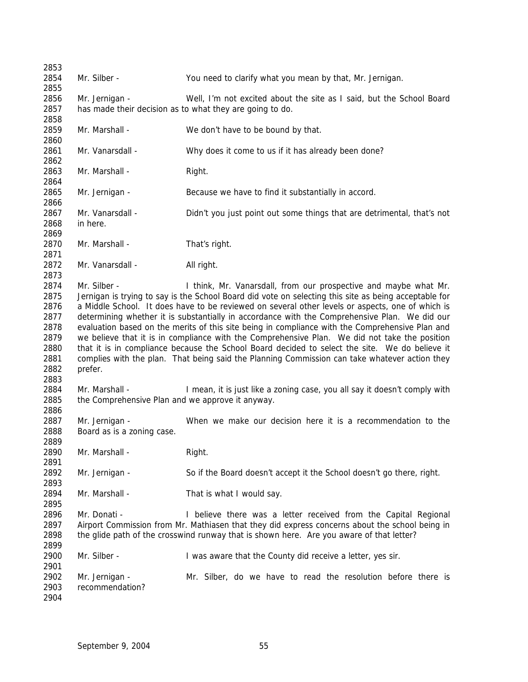| 2853 |                                                  |                                                                                                       |
|------|--------------------------------------------------|-------------------------------------------------------------------------------------------------------|
| 2854 | Mr. Silber -                                     | You need to clarify what you mean by that, Mr. Jernigan.                                              |
| 2855 |                                                  |                                                                                                       |
| 2856 | Mr. Jernigan -                                   | Well, I'm not excited about the site as I said, but the School Board                                  |
| 2857 |                                                  | has made their decision as to what they are going to do.                                              |
| 2858 |                                                  |                                                                                                       |
| 2859 | Mr. Marshall -                                   | We don't have to be bound by that.                                                                    |
| 2860 |                                                  |                                                                                                       |
| 2861 | Mr. Vanarsdall -                                 | Why does it come to us if it has already been done?                                                   |
| 2862 |                                                  |                                                                                                       |
| 2863 | Mr. Marshall -                                   | Right.                                                                                                |
| 2864 |                                                  |                                                                                                       |
| 2865 | Mr. Jernigan -                                   | Because we have to find it substantially in accord.                                                   |
| 2866 |                                                  |                                                                                                       |
| 2867 | Mr. Vanarsdall -                                 | Didn't you just point out some things that are detrimental, that's not                                |
| 2868 | in here.                                         |                                                                                                       |
| 2869 |                                                  |                                                                                                       |
| 2870 | Mr. Marshall -                                   | That's right.                                                                                         |
| 2871 |                                                  |                                                                                                       |
| 2872 | Mr. Vanarsdall -                                 | All right.                                                                                            |
| 2873 |                                                  |                                                                                                       |
| 2874 | Mr. Silber -                                     | I think, Mr. Vanarsdall, from our prospective and maybe what Mr.                                      |
| 2875 |                                                  | Jernigan is trying to say is the School Board did vote on selecting this site as being acceptable for |
| 2876 |                                                  | a Middle School. It does have to be reviewed on several other levels or aspects, one of which is      |
| 2877 |                                                  | determining whether it is substantially in accordance with the Comprehensive Plan. We did our         |
| 2878 |                                                  | evaluation based on the merits of this site being in compliance with the Comprehensive Plan and       |
| 2879 |                                                  | we believe that it is in compliance with the Comprehensive Plan. We did not take the position         |
| 2880 |                                                  | that it is in compliance because the School Board decided to select the site. We do believe it        |
| 2881 |                                                  | complies with the plan. That being said the Planning Commission can take whatever action they         |
| 2882 | prefer.                                          |                                                                                                       |
| 2883 |                                                  |                                                                                                       |
| 2884 | Mr. Marshall -                                   | I mean, it is just like a zoning case, you all say it doesn't comply with                             |
| 2885 | the Comprehensive Plan and we approve it anyway. |                                                                                                       |
| 2886 |                                                  |                                                                                                       |
| 2887 | Mr. Jernigan -                                   | When we make our decision here it is a recommendation to the                                          |
| 2888 | Board as is a zoning case.                       |                                                                                                       |
| 2889 |                                                  |                                                                                                       |
| 2890 | Mr. Marshall -                                   | Right.                                                                                                |
| 2891 |                                                  |                                                                                                       |
| 2892 | Mr. Jernigan -                                   | So if the Board doesn't accept it the School doesn't go there, right.                                 |
| 2893 |                                                  |                                                                                                       |
| 2894 | Mr. Marshall -                                   | That is what I would say.                                                                             |
|      |                                                  |                                                                                                       |
| 2895 |                                                  |                                                                                                       |
| 2896 | Mr. Donati -                                     | I believe there was a letter received from the Capital Regional                                       |
| 2897 |                                                  | Airport Commission from Mr. Mathiasen that they did express concerns about the school being in        |
| 2898 |                                                  | the glide path of the crosswind runway that is shown here. Are you aware of that letter?              |
| 2899 |                                                  |                                                                                                       |
| 2900 | Mr. Silber -                                     | I was aware that the County did receive a letter, yes sir.                                            |
| 2901 |                                                  |                                                                                                       |
| 2902 | Mr. Jernigan -                                   | Mr. Silber, do we have to read the resolution before there is                                         |
| 2903 | recommendation?                                  |                                                                                                       |
| 2904 |                                                  |                                                                                                       |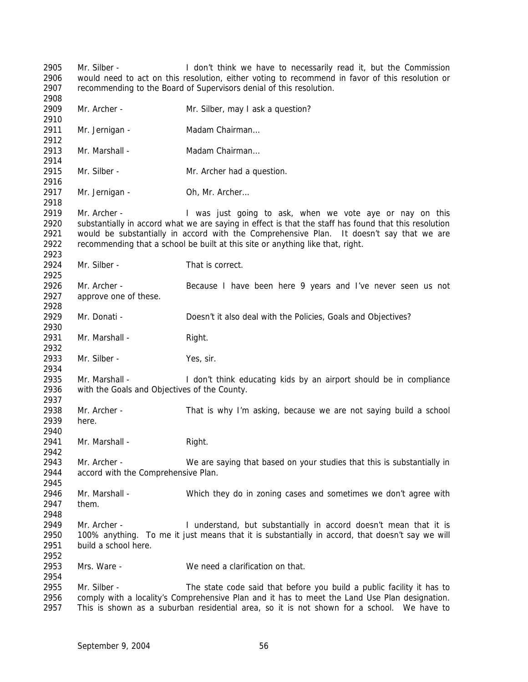Mr. Silber - I don't think we have to necessarily read it, but the Commission would need to act on this resolution, either voting to recommend in favor of this resolution or recommending to the Board of Supervisors denial of this resolution. Mr. Archer - Mr. Silber, may I ask a question? 2911 Mr. Jernigan - Madam Chairman... Mr. Marshall - Madam Chairman… 2915 Mr. Silber - Mr. Archer had a question. 2917 Mr. Jernigan - Oh, Mr. Archer... 2919 Mr. Archer - I was just going to ask, when we vote aye or nay on this substantially in accord what we are saying in effect is that the staff has found that this resolution would be substantially in accord with the Comprehensive Plan. It doesn't say that we are recommending that a school be built at this site or anything like that, right. Mr. Silber - That is correct. Mr. Archer - Because I have been here 9 years and I've never seen us not approve one of these. 2929 Mr. Donati - Doesn't it also deal with the Policies, Goals and Objectives? 2931 Mr. Marshall - Right. 2933 Mr. Silber - Yes, sir. Mr. Marshall - I don't think educating kids by an airport should be in compliance with the Goals and Objectives of the County. Mr. Archer - That is why I'm asking, because we are not saying build a school here. 2941 Mr. Marshall - Right. Mr. Archer - We are saying that based on your studies that this is substantially in accord with the Comprehensive Plan. Mr. Marshall - Which they do in zoning cases and sometimes we don't agree with them. Mr. Archer - I understand, but substantially in accord doesn't mean that it is 100% anything. To me it just means that it is substantially in accord, that doesn't say we will build a school here. Mrs. Ware - We need a clarification on that. 2955 Mr. Silber - The state code said that before you build a public facility it has to comply with a locality's Comprehensive Plan and it has to meet the Land Use Plan designation. This is shown as a suburban residential area, so it is not shown for a school. We have to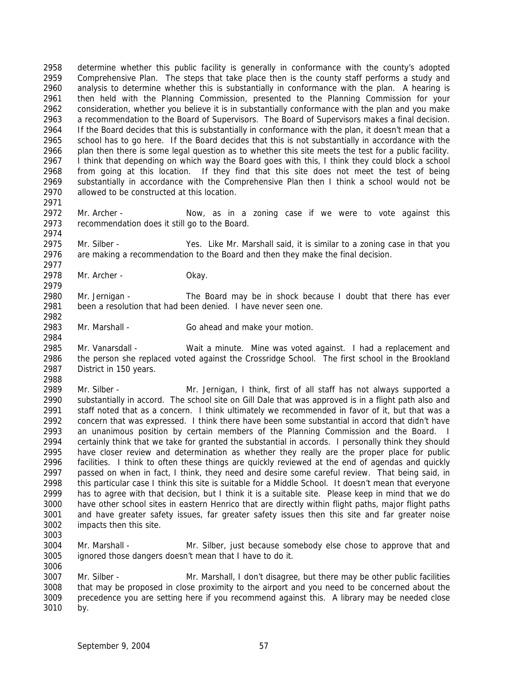determine whether this public facility is generally in conformance with the county's adopted Comprehensive Plan. The steps that take place then is the county staff performs a study and analysis to determine whether this is substantially in conformance with the plan. A hearing is then held with the Planning Commission, presented to the Planning Commission for your consideration, whether you believe it is in substantially conformance with the plan and you make a recommendation to the Board of Supervisors. The Board of Supervisors makes a final decision. If the Board decides that this is substantially in conformance with the plan, it doesn't mean that a school has to go here. If the Board decides that this is not substantially in accordance with the plan then there is some legal question as to whether this site meets the test for a public facility. I think that depending on which way the Board goes with this, I think they could block a school from going at this location. If they find that this site does not meet the test of being substantially in accordance with the Comprehensive Plan then I think a school would not be allowed to be constructed at this location.

2972 Mr. Archer - Now, as in a zoning case if we were to vote against this recommendation does it still go to the Board. 

 Mr. Silber - Yes. Like Mr. Marshall said, it is similar to a zoning case in that you are making a recommendation to the Board and then they make the final decision. 

 Mr. Archer - Okay. 

 Mr. Jernigan - The Board may be in shock because I doubt that there has ever been a resolution that had been denied. I have never seen one.

Mr. Marshall - Go ahead and make your motion.

 Mr. Vanarsdall - Wait a minute. Mine was voted against. I had a replacement and the person she replaced voted against the Crossridge School. The first school in the Brookland District in 150 years.

 Mr. Silber - Mr. Jernigan, I think, first of all staff has not always supported a substantially in accord. The school site on Gill Dale that was approved is in a flight path also and staff noted that as a concern. I think ultimately we recommended in favor of it, but that was a concern that was expressed. I think there have been some substantial in accord that didn't have an unanimous position by certain members of the Planning Commission and the Board. I certainly think that we take for granted the substantial in accords. I personally think they should have closer review and determination as whether they really are the proper place for public facilities. I think to often these things are quickly reviewed at the end of agendas and quickly 2997 passed on when in fact, I think, they need and desire some careful review. That being said, in this particular case I think this site is suitable for a Middle School. It doesn't mean that everyone has to agree with that decision, but I think it is a suitable site. Please keep in mind that we do have other school sites in eastern Henrico that are directly within flight paths, major flight paths and have greater safety issues, far greater safety issues then this site and far greater noise impacts then this site.

 Mr. Marshall - Mr. Silber, just because somebody else chose to approve that and ignored those dangers doesn't mean that I have to do it. 

 Mr. Silber - Mr. Marshall, I don't disagree, but there may be other public facilities that may be proposed in close proximity to the airport and you need to be concerned about the precedence you are setting here if you recommend against this. A library may be needed close by.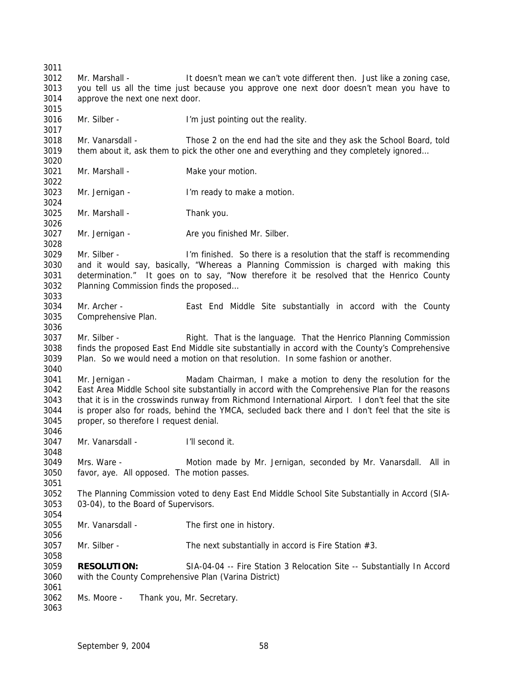Mr. Marshall - It doesn't mean we can't vote different then. Just like a zoning case, you tell us all the time just because you approve one next door doesn't mean you have to approve the next one next door. Mr. Silber - I'm just pointing out the reality. Mr. Vanarsdall - Those 2 on the end had the site and they ask the School Board, told them about it, ask them to pick the other one and everything and they completely ignored… 3021 Mr. Marshall - Make your motion. Mr. Jernigan - I'm ready to make a motion. Mr. Marshall - Thank you. 3027 Mr. Jernigan - Are you finished Mr. Silber. Mr. Silber - I'm finished. So there is a resolution that the staff is recommending and it would say, basically, "Whereas a Planning Commission is charged with making this determination." It goes on to say, "Now therefore it be resolved that the Henrico County Planning Commission finds the proposed… Mr. Archer - East End Middle Site substantially in accord with the County Comprehensive Plan. Mr. Silber - Right. That is the language. That the Henrico Planning Commission finds the proposed East End Middle site substantially in accord with the County's Comprehensive Plan. So we would need a motion on that resolution. In some fashion or another. Mr. Jernigan - Madam Chairman, I make a motion to deny the resolution for the East Area Middle School site substantially in accord with the Comprehensive Plan for the reasons that it is in the crosswinds runway from Richmond International Airport. I don't feel that the site is proper also for roads, behind the YMCA, secluded back there and I don't feel that the site is proper, so therefore I request denial. Mr. Vanarsdall - I'll second it. Mrs. Ware - Motion made by Mr. Jernigan, seconded by Mr. Vanarsdall. All in favor, aye. All opposed. The motion passes. The Planning Commission voted to deny East End Middle School Site Substantially in Accord (SIA- 03-04), to the Board of Supervisors. Mr. Vanarsdall - The first one in history. 3057 Mr. Silber - The next substantially in accord is Fire Station #3. **RESOLUTION:** SIA-04-04 -- Fire Station 3 Relocation Site -- Substantially In Accord with the County Comprehensive Plan (Varina District) Ms. Moore - Thank you, Mr. Secretary.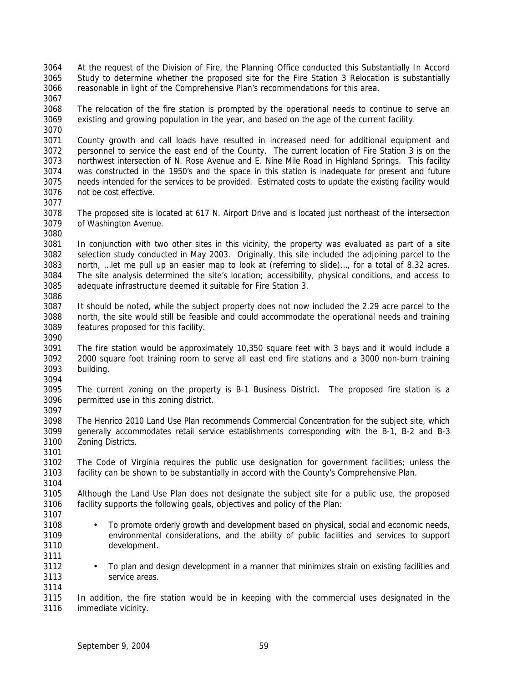- At the request of the Division of Fire, the Planning Office conducted this Substantially In Accord Study to determine whether the proposed site for the Fire Station 3 Relocation is substantially reasonable in light of the Comprehensive Plan's recommendations for this area.
- 

 The relocation of the fire station is prompted by the operational needs to continue to serve an existing and growing population in the year, and based on the age of the current facility.

 County growth and call loads have resulted in increased need for additional equipment and personnel to service the east end of the County. The current location of Fire Station 3 is on the northwest intersection of N. Rose Avenue and E. Nine Mile Road in Highland Springs. This facility was constructed in the 1950's and the space in this station is inadequate for present and future needs intended for the services to be provided. Estimated costs to update the existing facility would not be cost effective.

- 
- The proposed site is located at 617 N. Airport Drive and is located just northeast of the intersection of Washington Avenue.
- In conjunction with two other sites in this vicinity, the property was evaluated as part of a site selection study conducted in May 2003. Originally, this site included the adjoining parcel to the north, …let me pull up an easier map to look at (referring to slide)…, for a total of 8.32 acres. The site analysis determined the site's location; accessibility, physical conditions, and access to adequate infrastructure deemed it suitable for Fire Station 3.
- 
- It should be noted, while the subject property does not now included the 2.29 acre parcel to the north, the site would still be feasible and could accommodate the operational needs and training features proposed for this facility.
- The fire station would be approximately 10,350 square feet with 3 bays and it would include a 2000 square foot training room to serve all east end fire stations and a 3000 non-burn training building.
- The current zoning on the property is B-1 Business District. The proposed fire station is a permitted use in this zoning district.
- The Henrico 2010 Land Use Plan recommends Commercial Concentration for the subject site, which generally accommodates retail service establishments corresponding with the B-1, B-2 and B-3 Zoning Districts.
- The Code of Virginia requires the public use designation for government facilities; unless the facility can be shown to be substantially in accord with the County's Comprehensive Plan.
- Although the Land Use Plan does not designate the subject site for a public use, the proposed facility supports the following goals, objectives and policy of the Plan:
- To promote orderly growth and development based on physical, social and economic needs, environmental considerations, and the ability of public facilities and services to support development.
- To plan and design development in a manner that minimizes strain on existing facilities and service areas.
- 

 In addition, the fire station would be in keeping with the commercial uses designated in the immediate vicinity.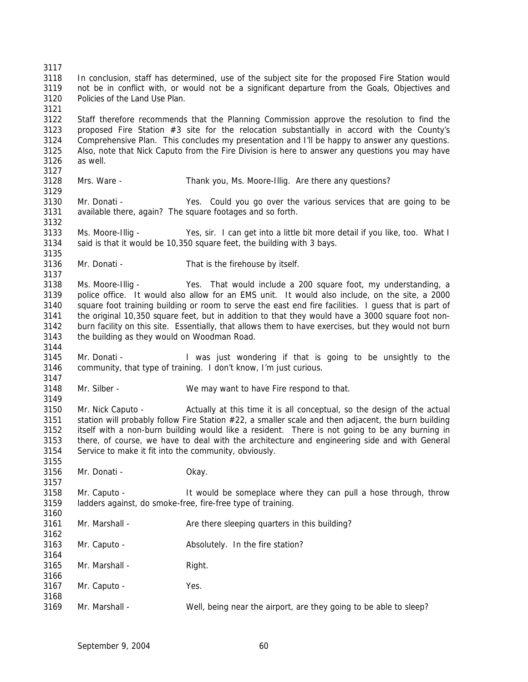In conclusion, staff has determined, use of the subject site for the proposed Fire Station would not be in conflict with, or would not be a significant departure from the Goals, Objectives and Policies of the Land Use Plan. Staff therefore recommends that the Planning Commission approve the resolution to find the proposed Fire Station #3 site for the relocation substantially in accord with the County's Comprehensive Plan. This concludes my presentation and I'll be happy to answer any questions. Also, note that Nick Caputo from the Fire Division is here to answer any questions you may have as well. Mrs. Ware - Thank you, Ms. Moore-Illig. Are there any questions? Mr. Donati - Yes. Could you go over the various services that are going to be available there, again? The square footages and so forth. Ms. Moore-Illig - Yes, sir. I can get into a little bit more detail if you like, too. What I said is that it would be 10,350 square feet, the building with 3 bays. Mr. Donati - That is the firehouse by itself. Ms. Moore-Illig - Yes. That would include a 200 square foot, my understanding, a police office. It would also allow for an EMS unit. It would also include, on the site, a 2000 square foot training building or room to serve the east end fire facilities. I guess that is part of the original 10,350 square feet, but in addition to that they would have a 3000 square foot non- burn facility on this site. Essentially, that allows them to have exercises, but they would not burn the building as they would on Woodman Road. Mr. Donati - I was just wondering if that is going to be unsightly to the community, that type of training. I don't know, I'm just curious. Mr. Silber - We may want to have Fire respond to that. Mr. Nick Caputo - Actually at this time it is all conceptual, so the design of the actual 3151 station will probably follow Fire Station  $#22$ , a smaller scale and then adjacent, the burn building itself with a non-burn building would like a resident. There is not going to be any burning in there, of course, we have to deal with the architecture and engineering side and with General Service to make it fit into the community, obviously. Mr. Donati - Okay. Mr. Caputo - It would be someplace where they can pull a hose through, throw ladders against, do smoke-free, fire-free type of training. Mr. Marshall - Are there sleeping quarters in this building? Mr. Caputo - Absolutely. In the fire station? 3165 Mr. Marshall - Right. Mr. Caputo - Yes. Mr. Marshall - Well, being near the airport, are they going to be able to sleep?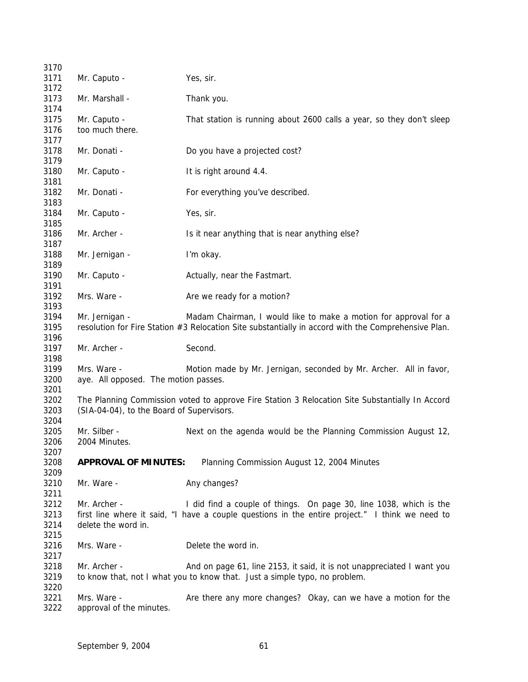| 3170                         |                                                     |                                                                                                                                                                         |
|------------------------------|-----------------------------------------------------|-------------------------------------------------------------------------------------------------------------------------------------------------------------------------|
| 3171<br>3172                 | Mr. Caputo -                                        | Yes, sir.                                                                                                                                                               |
| 3173<br>3174                 | Mr. Marshall -                                      | Thank you.                                                                                                                                                              |
| 3175                         | Mr. Caputo -                                        | That station is running about 2600 calls a year, so they don't sleep                                                                                                    |
| 3176                         | too much there.                                     |                                                                                                                                                                         |
| 3177<br>3178                 | Mr. Donati -                                        | Do you have a projected cost?                                                                                                                                           |
| 3179<br>3180<br>3181         | Mr. Caputo -                                        | It is right around 4.4.                                                                                                                                                 |
| 3182<br>3183                 | Mr. Donati -                                        | For everything you've described.                                                                                                                                        |
| 3184<br>3185                 | Mr. Caputo -                                        | Yes, sir.                                                                                                                                                               |
| 3186<br>3187                 | Mr. Archer -                                        | Is it near anything that is near anything else?                                                                                                                         |
| 3188<br>3189                 | Mr. Jernigan -                                      | I'm okay.                                                                                                                                                               |
| 3190<br>3191                 | Mr. Caputo -                                        | Actually, near the Fastmart.                                                                                                                                            |
| 3192<br>3193                 | Mrs. Ware -                                         | Are we ready for a motion?                                                                                                                                              |
| 3194<br>3195<br>3196         | Mr. Jernigan -                                      | Madam Chairman, I would like to make a motion for approval for a<br>resolution for Fire Station #3 Relocation Site substantially in accord with the Comprehensive Plan. |
| 3197<br>3198                 | Mr. Archer -                                        | Second.                                                                                                                                                                 |
| 3199<br>3200<br>3201         | Mrs. Ware -<br>aye. All opposed. The motion passes. | Motion made by Mr. Jernigan, seconded by Mr. Archer. All in favor,                                                                                                      |
| 3202<br>3203                 | (SIA-04-04), to the Board of Supervisors.           | The Planning Commission voted to approve Fire Station 3 Relocation Site Substantially In Accord                                                                         |
| 3204<br>3205<br>3206<br>3207 | Mr. Silber -<br>2004 Minutes.                       | Next on the agenda would be the Planning Commission August 12,                                                                                                          |
| 3208<br>3209                 | <b>APPROVAL OF MINUTES:</b>                         | Planning Commission August 12, 2004 Minutes                                                                                                                             |
| 3210<br>3211                 | Mr. Ware -                                          | Any changes?                                                                                                                                                            |
| 3212<br>3213<br>3214         | Mr. Archer -<br>delete the word in.                 | I did find a couple of things. On page 30, line 1038, which is the<br>first line where it said, "I have a couple questions in the entire project." I think we need to   |
| 3215<br>3216<br>3217         | Mrs. Ware -                                         | Delete the word in.                                                                                                                                                     |
| 3218<br>3219                 | Mr. Archer -                                        | And on page 61, line 2153, it said, it is not unappreciated I want you<br>to know that, not I what you to know that. Just a simple typo, no problem.                    |
| 3220<br>3221<br>3222         | Mrs. Ware -<br>approval of the minutes.             | Are there any more changes? Okay, can we have a motion for the                                                                                                          |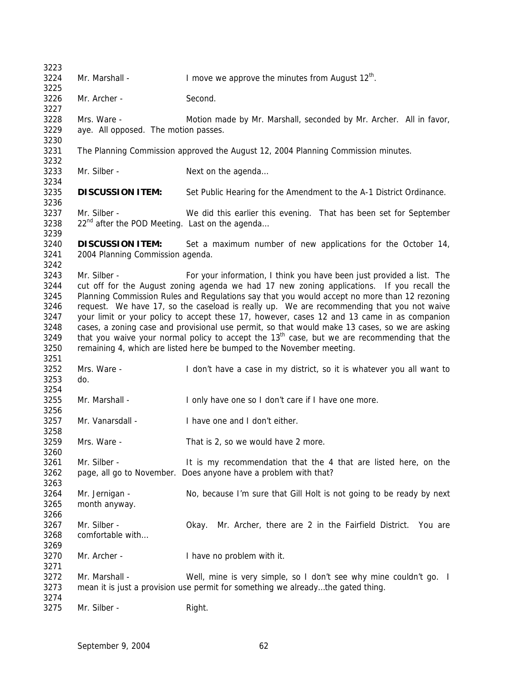| 3223                                                                 |                                                                                                                                                                                                                                                                                                                                                                                                                                                                                                                                                                                                                                                                                                                                                                      |                                                                                                                                                      |  |  |  |  |
|----------------------------------------------------------------------|----------------------------------------------------------------------------------------------------------------------------------------------------------------------------------------------------------------------------------------------------------------------------------------------------------------------------------------------------------------------------------------------------------------------------------------------------------------------------------------------------------------------------------------------------------------------------------------------------------------------------------------------------------------------------------------------------------------------------------------------------------------------|------------------------------------------------------------------------------------------------------------------------------------------------------|--|--|--|--|
| 3224<br>3225                                                         | Mr. Marshall -                                                                                                                                                                                                                                                                                                                                                                                                                                                                                                                                                                                                                                                                                                                                                       | I move we approve the minutes from August $12th$ .                                                                                                   |  |  |  |  |
| 3226<br>3227                                                         | Mr. Archer -                                                                                                                                                                                                                                                                                                                                                                                                                                                                                                                                                                                                                                                                                                                                                         | Second.                                                                                                                                              |  |  |  |  |
| 3228<br>3229<br>3230                                                 | Mrs. Ware -                                                                                                                                                                                                                                                                                                                                                                                                                                                                                                                                                                                                                                                                                                                                                          | Motion made by Mr. Marshall, seconded by Mr. Archer. All in favor,<br>aye. All opposed. The motion passes.                                           |  |  |  |  |
| 3231<br>3232                                                         |                                                                                                                                                                                                                                                                                                                                                                                                                                                                                                                                                                                                                                                                                                                                                                      | The Planning Commission approved the August 12, 2004 Planning Commission minutes.                                                                    |  |  |  |  |
| 3233<br>3234                                                         | Mr. Silber -                                                                                                                                                                                                                                                                                                                                                                                                                                                                                                                                                                                                                                                                                                                                                         | Next on the agenda                                                                                                                                   |  |  |  |  |
| 3235<br>3236                                                         | <b>DISCUSSION ITEM:</b>                                                                                                                                                                                                                                                                                                                                                                                                                                                                                                                                                                                                                                                                                                                                              | Set Public Hearing for the Amendment to the A-1 District Ordinance.                                                                                  |  |  |  |  |
| 3237<br>3238<br>3239                                                 | Mr. Silber -<br>22 <sup>nd</sup> after the POD Meeting. Last on the agenda                                                                                                                                                                                                                                                                                                                                                                                                                                                                                                                                                                                                                                                                                           | We did this earlier this evening. That has been set for September                                                                                    |  |  |  |  |
| 3240<br>3241<br>3242                                                 | <b>DISCUSSION ITEM:</b><br>Set a maximum number of new applications for the October 14,<br>2004 Planning Commission agenda.                                                                                                                                                                                                                                                                                                                                                                                                                                                                                                                                                                                                                                          |                                                                                                                                                      |  |  |  |  |
| 3243<br>3244<br>3245<br>3246<br>3247<br>3248<br>3249<br>3250<br>3251 | Mr. Silber -<br>For your information, I think you have been just provided a list. The<br>cut off for the August zoning agenda we had 17 new zoning applications. If you recall the<br>Planning Commission Rules and Regulations say that you would accept no more than 12 rezoning<br>request. We have 17, so the caseload is really up. We are recommending that you not waive<br>your limit or your policy to accept these 17, however, cases 12 and 13 came in as companion<br>cases, a zoning case and provisional use permit, so that would make 13 cases, so we are asking<br>that you waive your normal policy to accept the 13 <sup>th</sup> case, but we are recommending that the<br>remaining 4, which are listed here be bumped to the November meeting. |                                                                                                                                                      |  |  |  |  |
| 3252<br>3253<br>3254                                                 | Mrs. Ware -<br>do.                                                                                                                                                                                                                                                                                                                                                                                                                                                                                                                                                                                                                                                                                                                                                   | I don't have a case in my district, so it is whatever you all want to                                                                                |  |  |  |  |
| 3255<br>3256                                                         | Mr. Marshall -                                                                                                                                                                                                                                                                                                                                                                                                                                                                                                                                                                                                                                                                                                                                                       | I only have one so I don't care if I have one more.                                                                                                  |  |  |  |  |
| 3257<br>3258                                                         | Mr. Vanarsdall -                                                                                                                                                                                                                                                                                                                                                                                                                                                                                                                                                                                                                                                                                                                                                     | I have one and I don't either.                                                                                                                       |  |  |  |  |
| 3259<br>3260                                                         | Mrs. Ware -                                                                                                                                                                                                                                                                                                                                                                                                                                                                                                                                                                                                                                                                                                                                                          | That is 2, so we would have 2 more.                                                                                                                  |  |  |  |  |
| 3261<br>3262<br>3263                                                 | Mr. Silber -                                                                                                                                                                                                                                                                                                                                                                                                                                                                                                                                                                                                                                                                                                                                                         | It is my recommendation that the 4 that are listed here, on the<br>page, all go to November. Does anyone have a problem with that?                   |  |  |  |  |
| 3264<br>3265<br>3266                                                 | Mr. Jernigan -<br>month anyway.                                                                                                                                                                                                                                                                                                                                                                                                                                                                                                                                                                                                                                                                                                                                      | No, because I'm sure that Gill Holt is not going to be ready by next                                                                                 |  |  |  |  |
| 3267<br>3268<br>3269                                                 | Mr. Silber -<br>comfortable with                                                                                                                                                                                                                                                                                                                                                                                                                                                                                                                                                                                                                                                                                                                                     | Mr. Archer, there are 2 in the Fairfield District.<br>Okay.<br>You are                                                                               |  |  |  |  |
| 3270<br>3271                                                         | Mr. Archer -                                                                                                                                                                                                                                                                                                                                                                                                                                                                                                                                                                                                                                                                                                                                                         | I have no problem with it.                                                                                                                           |  |  |  |  |
| 3272<br>3273<br>3274                                                 | Mr. Marshall -                                                                                                                                                                                                                                                                                                                                                                                                                                                                                                                                                                                                                                                                                                                                                       | Well, mine is very simple, so I don't see why mine couldn't go. I<br>mean it is just a provision use permit for something we alreadythe gated thing. |  |  |  |  |
| 3275                                                                 | Mr. Silber -                                                                                                                                                                                                                                                                                                                                                                                                                                                                                                                                                                                                                                                                                                                                                         | Right.                                                                                                                                               |  |  |  |  |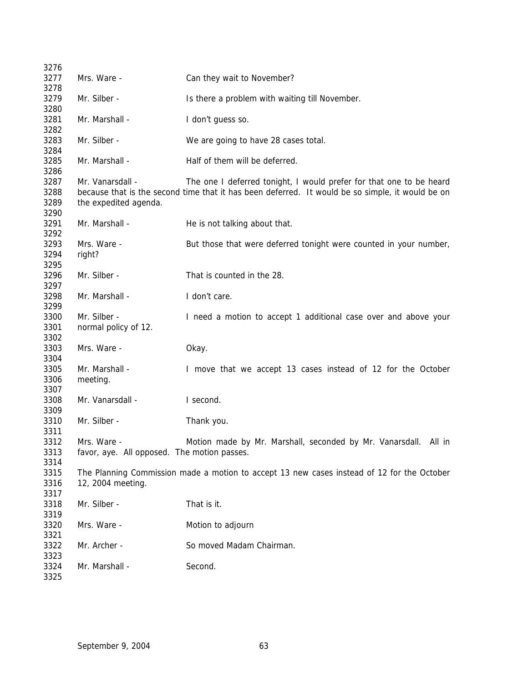| 3276         |                                                                                                  |                                                                                            |  |  |  |
|--------------|--------------------------------------------------------------------------------------------------|--------------------------------------------------------------------------------------------|--|--|--|
| 3277         | Mrs. Ware -                                                                                      | Can they wait to November?                                                                 |  |  |  |
| 3278         |                                                                                                  |                                                                                            |  |  |  |
| 3279         | Mr. Silber -                                                                                     | Is there a problem with waiting till November.                                             |  |  |  |
| 3280         |                                                                                                  |                                                                                            |  |  |  |
| 3281         | Mr. Marshall -                                                                                   | I don't guess so.                                                                          |  |  |  |
| 3282         |                                                                                                  |                                                                                            |  |  |  |
| 3283         | Mr. Silber -                                                                                     | We are going to have 28 cases total.                                                       |  |  |  |
| 3284         |                                                                                                  |                                                                                            |  |  |  |
| 3285         | Mr. Marshall -                                                                                   | Half of them will be deferred.                                                             |  |  |  |
| 3286         |                                                                                                  |                                                                                            |  |  |  |
| 3287         | Mr. Vanarsdall -                                                                                 | The one I deferred tonight, I would prefer for that one to be heard                        |  |  |  |
| 3288         | because that is the second time that it has been deferred. It would be so simple, it would be on |                                                                                            |  |  |  |
| 3289         | the expedited agenda.                                                                            |                                                                                            |  |  |  |
| 3290         |                                                                                                  |                                                                                            |  |  |  |
| 3291         | Mr. Marshall -                                                                                   | He is not talking about that.                                                              |  |  |  |
| 3292         |                                                                                                  |                                                                                            |  |  |  |
| 3293         | Mrs. Ware -                                                                                      | But those that were deferred tonight were counted in your number,                          |  |  |  |
| 3294         | right?                                                                                           |                                                                                            |  |  |  |
| 3295         |                                                                                                  |                                                                                            |  |  |  |
| 3296         | Mr. Silber -                                                                                     | That is counted in the 28.                                                                 |  |  |  |
| 3297         |                                                                                                  |                                                                                            |  |  |  |
| 3298         | Mr. Marshall -                                                                                   | I don't care.                                                                              |  |  |  |
| 3299         |                                                                                                  |                                                                                            |  |  |  |
| 3300         | Mr. Silber -                                                                                     | I need a motion to accept 1 additional case over and above your                            |  |  |  |
| 3301         | normal policy of 12.                                                                             |                                                                                            |  |  |  |
| 3302         |                                                                                                  |                                                                                            |  |  |  |
| 3303         | Mrs. Ware -                                                                                      | Okay.                                                                                      |  |  |  |
| 3304<br>3305 | Mr. Marshall -                                                                                   |                                                                                            |  |  |  |
| 3306         |                                                                                                  | I move that we accept 13 cases instead of 12 for the October                               |  |  |  |
| 3307         | meeting.                                                                                         |                                                                                            |  |  |  |
| 3308         | Mr. Vanarsdall -                                                                                 | I second.                                                                                  |  |  |  |
| 3309         |                                                                                                  |                                                                                            |  |  |  |
| 3310         | Mr. Silber -                                                                                     | Thank you.                                                                                 |  |  |  |
| 3311         |                                                                                                  |                                                                                            |  |  |  |
| 3312         | Mrs. Ware -                                                                                      | Motion made by Mr. Marshall, seconded by Mr. Vanarsdall. All in                            |  |  |  |
| 3313         | favor, aye. All opposed. The motion passes.                                                      |                                                                                            |  |  |  |
| 3314         |                                                                                                  |                                                                                            |  |  |  |
| 3315         |                                                                                                  | The Planning Commission made a motion to accept 13 new cases instead of 12 for the October |  |  |  |
| 3316         | 12, 2004 meeting.                                                                                |                                                                                            |  |  |  |
| 3317         |                                                                                                  |                                                                                            |  |  |  |
| 3318         | Mr. Silber -                                                                                     | That is it.                                                                                |  |  |  |
| 3319         |                                                                                                  |                                                                                            |  |  |  |
| 3320         | Mrs. Ware -                                                                                      | Motion to adjourn                                                                          |  |  |  |
| 3321         |                                                                                                  |                                                                                            |  |  |  |
| 3322         | Mr. Archer -                                                                                     | So moved Madam Chairman.                                                                   |  |  |  |
| 3323         |                                                                                                  |                                                                                            |  |  |  |
| 3324         | Mr. Marshall -                                                                                   | Second.                                                                                    |  |  |  |
| 3325         |                                                                                                  |                                                                                            |  |  |  |